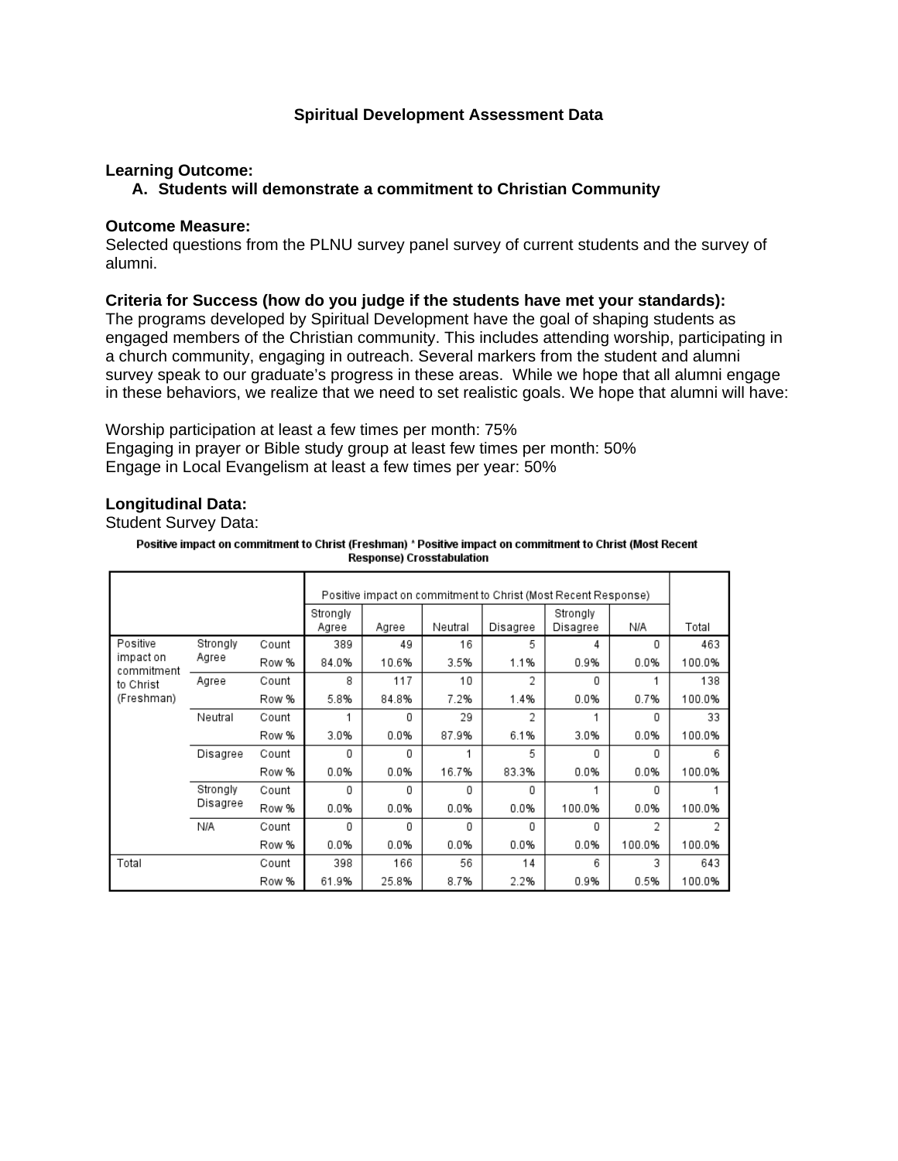# **Spiritual Development Assessment Data**

# **Learning Outcome:**

#### **A. Students will demonstrate a commitment to Christian Community**

#### **Outcome Measure:**

Selected questions from the PLNU survey panel survey of current students and the survey of alumni.

#### **Criteria for Success (how do you judge if the students have met your standards):**

The programs developed by Spiritual Development have the goal of shaping students as engaged members of the Christian community. This includes attending worship, participating in a church community, engaging in outreach. Several markers from the student and alumni survey speak to our graduate's progress in these areas. While we hope that all alumni engage in these behaviors, we realize that we need to set realistic goals. We hope that alumni will have:

Worship participation at least a few times per month: 75% Engaging in prayer or Bible study group at least few times per month: 50% Engage in Local Evangelism at least a few times per year: 50%

# **Longitudinal Data:**

Student Survey Data:

Positive impact on commitment to Christ (Freshman) \* Positive impact on commitment to Christ (Most Recent **Response) Crosstabulation** 

|                         |          |       |                   | Positive impact on commitment to Christ (Most Recent Response) |         |          |                      |        |        |
|-------------------------|----------|-------|-------------------|----------------------------------------------------------------|---------|----------|----------------------|--------|--------|
|                         |          |       | Strongly<br>Agree | Agree                                                          | Neutral | Disagree | Strongly<br>Disagree | N/A    | Total  |
| Positive                | Strongly | Count | 389               | 49                                                             | 16      | 5        | 4                    | 0      | 463    |
| impact on<br>commitment | Agree    | Row % | 84.0%             | 10.6%                                                          | 3.5%    | 1.1%     | 0.9%                 | 0.0%   | 100.0% |
| to Christ               | Agree    | Count | 8                 | 117                                                            | 10      | 2        | 0                    |        | 138    |
| (Freshman)              |          | Row % | 5.8%              | 84.8%                                                          | 7.2%    | 1.4%     | 0.0%                 | 0.7%   | 100.0% |
|                         | Neutral  | Count |                   | 0                                                              | 29      | 2        |                      | 0      | 33     |
|                         |          | Row % | 3.0%              | 0.0%                                                           | 87.9%   | 6.1%     | 3.0%                 | 0.0%   | 100.0% |
|                         | Disagree | Count | 0                 | 0                                                              |         | 5        | 0                    | 0      | 6      |
|                         |          | Row % | 0.0%              | 0.0%                                                           | 16.7%   | 83.3%    | 0.0%                 | 0.0%   | 100.0% |
|                         | Strongly | Count | 0                 | 0                                                              | 0       | 0        |                      | 0      |        |
|                         | Disagree | Row % | 0.0%              | 0.0%                                                           | 0.0%    | 0.0%     | 100.0%               | 0.0%   | 100.0% |
|                         | N/A      | Count | 0                 | 0                                                              | 0       | 0        | 0                    | 2      | 2      |
|                         |          | Row % | 0.0%              | 0.0%                                                           | 0.0%    | 0.0%     | 0.0%                 | 100.0% | 100.0% |
| Total                   |          | Count | 398               | 166                                                            | 56      | 14       | 6                    | 3      | 643    |
|                         |          | Row % | 61.9%             | 25.8%                                                          | 8.7%    | 2.2%     | 0.9%                 | 0.5%   | 100.0% |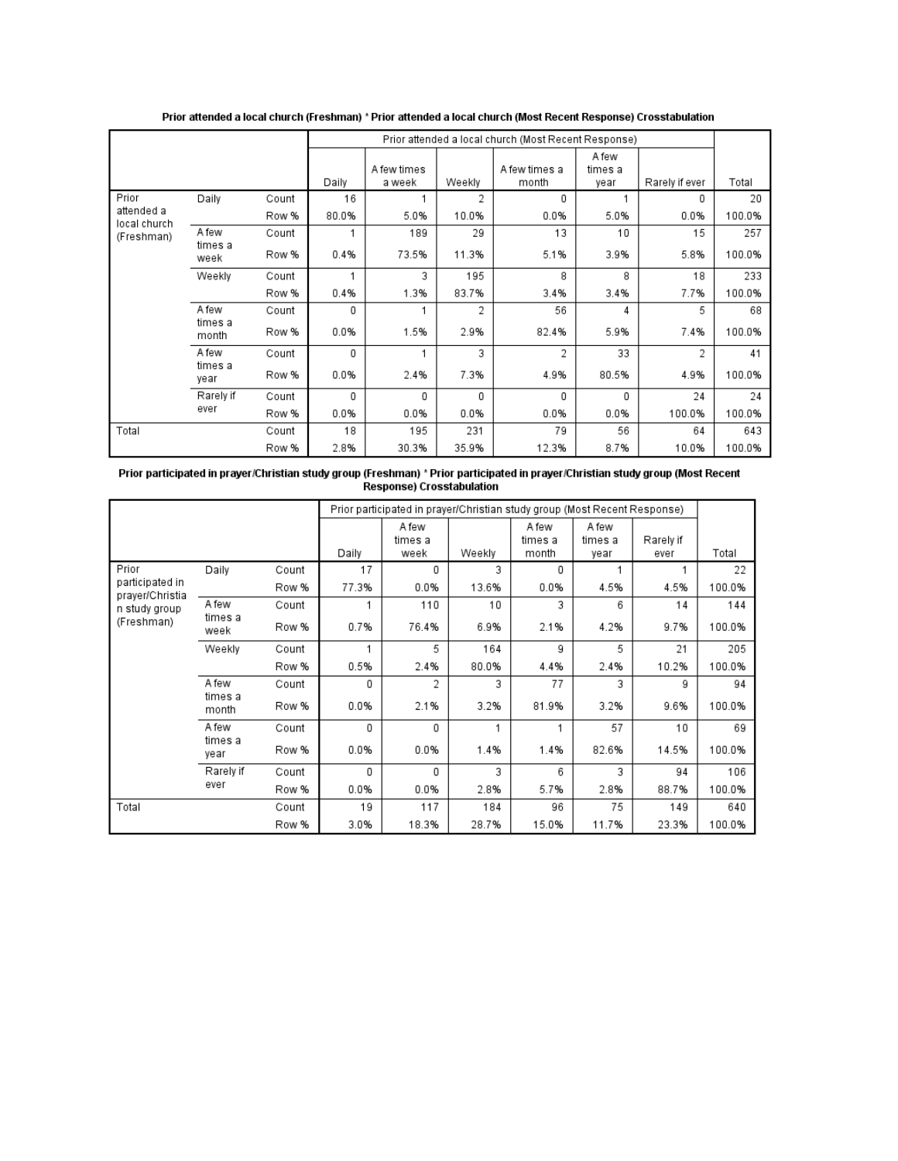|                                                                      |                  |       |       |             |        | Prior attended a local church (Most Recent Response) |                  |                |        |
|----------------------------------------------------------------------|------------------|-------|-------|-------------|--------|------------------------------------------------------|------------------|----------------|--------|
|                                                                      |                  |       |       | A few times |        | A few times a                                        | A few<br>times a |                |        |
|                                                                      |                  |       | Daily | a week      | Weekly | month                                                | year             | Rarely if ever | Total  |
| Prior                                                                | Daily            | Count | 16    |             | 2      | 0                                                    |                  | 0              | 20     |
| attended a<br>local church<br>A few<br>(Freshman)<br>times a<br>week |                  | Row % | 80.0% | 5.0%        | 10.0%  | 0.0%                                                 | 5.0%             | 0.0%           | 100.0% |
|                                                                      |                  | Count |       | 189         | 29     | 13                                                   | 10               | 15             | 257    |
|                                                                      |                  | Row % | 0.4%  | 73.5%       | 11.3%  | 5.1%                                                 | 3.9%             | 5.8%           | 100.0% |
|                                                                      | Weekly           | Count |       | 3           | 195    | 8                                                    | 8                | 18             | 233    |
|                                                                      |                  | Row % | 0.4%  | 1.3%        | 83.7%  | 3.4%                                                 | 3.4%             | 7.7%           | 100.0% |
|                                                                      | A few            | Count | 0     |             | 2      | 56                                                   | 4                | 5              | 68     |
|                                                                      | times a<br>month | Row % | 0.0%  | 1.5%        | 2.9%   | 82.4%                                                | 5.9%             | 7.4%           | 100.0% |
|                                                                      | A few            | Count | 0     |             | 3      | 2                                                    | 33               | $\mathfrak{p}$ | 41     |
|                                                                      | times a<br>year  | Row % | 0.0%  | 2.4%        | 7.3%   | 4.9%                                                 | 80.5%            | 4.9%           | 100.0% |
|                                                                      | Rarely if        | Count | 0     | 0           | 0      | 0                                                    | 0                | 24             | 24     |
|                                                                      | ever             | Row % | 0.0%  | 0.0%        | 0.0%   | 0.0%                                                 | 0.0%             | 100.0%         | 100.0% |
| Total                                                                |                  | Count | 18    | 195         | 231    | 79                                                   | 56               | 64             | 643    |
|                                                                      |                  | Row % | 2.8%  | 30.3%       | 35.9%  | 12.3%                                                | 8.7%             | 10.0%          | 100.0% |

Prior attended a local church (Freshman) \* Prior attended a local church (Most Recent Response) Crosstabulation

# Prior participated in prayer/Christian study group (Freshman) \* Prior participated in prayer/Christian study group (Most Recent<br>Response) Crosstabulation

|                                                                   |                  |       |       | Prior participated in prayer/Christian study group (Most Recent Response) |        |                           |                          |                   |        |
|-------------------------------------------------------------------|------------------|-------|-------|---------------------------------------------------------------------------|--------|---------------------------|--------------------------|-------------------|--------|
|                                                                   |                  |       | Daily | A few<br>times a<br>week                                                  | Weekly | A few<br>times a<br>month | A few<br>times a<br>year | Rarely if<br>ever | Total  |
| Prior                                                             | Daily            | Count | 17    | 0                                                                         | 3      | 0                         |                          |                   | 22     |
| participated in<br>prayer/Christia<br>n study group<br>(Freshman) |                  | Row % | 77.3% | 0.0%                                                                      | 13.6%  | 0.0%                      | 4.5%                     | 4.5%              | 100.0% |
|                                                                   | A few            | Count |       | 110                                                                       | 10     | 3                         | 6                        | 14                | 144    |
|                                                                   | times a<br>week  | Row % | 0.7%  | 76.4%                                                                     | 6.9%   | 2.1%                      | 4.2%                     | 9.7%              | 100.0% |
|                                                                   | Weekly           | Count |       | 5                                                                         | 164    | 9                         | 5                        | 21                | 205    |
|                                                                   |                  | Row % | 0.5%  | 2.4%                                                                      | 80.0%  | 4.4%                      | 2.4%                     | 10.2%             | 100.0% |
|                                                                   | A few            | Count | 0     | 2                                                                         | 3      | 77                        | 3                        | 9                 | 94     |
|                                                                   | times a<br>month | Row % | 0.0%  | 2.1%                                                                      | 3.2%   | 81.9%                     | 3.2%                     | 9.6%              | 100.0% |
|                                                                   | A few            | Count | 0     | 0                                                                         | 1      |                           | 57                       | 10                | 69     |
|                                                                   | times a<br>vear  | Row % | 0.0%  | 0.0%                                                                      | 1.4%   | 1.4%                      | 82.6%                    | 14.5%             | 100.0% |
|                                                                   | Rarely if        | Count | 0     | 0                                                                         | 3      | 6                         | 3                        | 94                | 106    |
|                                                                   | ever             | Row % | 0.0%  | 0.0%                                                                      | 2.8%   | 5.7%                      | 2.8%                     | 88.7%             | 100.0% |
| Total                                                             |                  | Count | 19    | 117                                                                       | 184    | 96                        | 75                       | 149               | 640    |
|                                                                   |                  | Row % | 3.0%  | 18.3%                                                                     | 28.7%  | 15.0%                     | 11.7%                    | 23.3%             | 100.0% |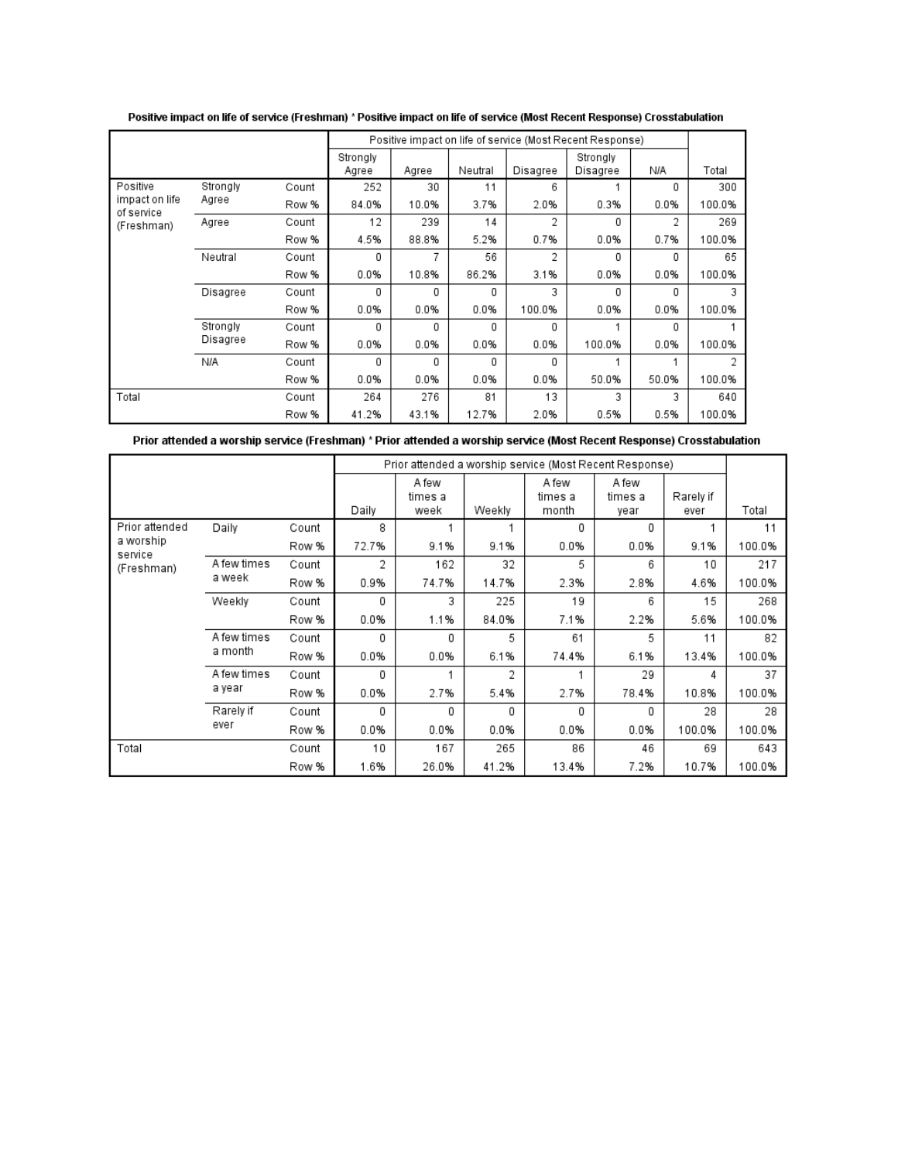|                                            |          |       |                   |       |         |          | Positive impact on life of service (Most Recent Response) |       |        |
|--------------------------------------------|----------|-------|-------------------|-------|---------|----------|-----------------------------------------------------------|-------|--------|
|                                            |          |       | Strongly<br>Agree | Agree | Neutral | Disagree | Strongly<br>Disagree                                      | N/A   | Total  |
| Positive                                   | Strongly | Count | 252               | 30    | 11      | 6        |                                                           | 0     | 300    |
| impact on life<br>of service<br>(Freshman) | Agree    | Row % | 84.0%             | 10.0% | 3.7%    | 2.0%     | 0.3%                                                      | 0.0%  | 100.0% |
|                                            | Agree    | Count | 12                | 239   | 14      | 2        | 0                                                         | 2     | 269    |
|                                            |          | Row % | 4.5%              | 88.8% | 5.2%    | 0.7%     | 0.0%                                                      | 0.7%  | 100.0% |
|                                            | Neutral  | Count | 0                 | 7     | 56      | 2        | 0                                                         | 0     | 65     |
|                                            |          | Row % | 0.0%              | 10.8% | 86.2%   | 3.1%     | 0.0%                                                      | 0.0%  | 100.0% |
|                                            | Disagree | Count | 0                 | 0     | 0       | 3        | 0                                                         | 0     | 3      |
|                                            |          | Row % | 0.0%              | 0.0%  | 0.0%    | 100.0%   | 0.0%                                                      | 0.0%  | 100.0% |
|                                            | Strongly | Count | 0                 | 0     | 0       | 0        |                                                           | 0     |        |
|                                            | Disagree | Row % | 0.0%              | 0.0%  | 0.0%    | 0.0%     | 100.0%                                                    | 0.0%  | 100.0% |
|                                            | N/A      | Count | 0                 | 0     | 0       | 0        |                                                           |       | 2      |
|                                            |          | Row % | 0.0%              | 0.0%  | 0.0%    | 0.0%     | 50.0%                                                     | 50.0% | 100.0% |
| Total                                      |          | Count | 264               | 276   | 81      | 13       | 3                                                         | 3     | 640    |
|                                            |          | Row % | 41.2%             | 43.1% | 12.7%   | 2.0%     | 0.5%                                                      | 0.5%  | 100.0% |

Positive impact on life of service (Freshman) \* Positive impact on life of service (Most Recent Response) Crosstabulation

Prior attended a worship service (Freshman) \* Prior attended a worship service (Most Recent Response) Crosstabulation

|                                    |                        |       |       | Prior attended a worship service (Most Recent Response) |        |                           |                          |                   |        |
|------------------------------------|------------------------|-------|-------|---------------------------------------------------------|--------|---------------------------|--------------------------|-------------------|--------|
|                                    |                        |       |       | A few<br>times a<br>week                                | Weekly | A few<br>times a<br>month | A few<br>times a<br>year | Rarely if<br>ever | Total  |
| Prior attended                     | Daily                  | Count | 8     |                                                         |        | 0                         | 0                        |                   | 11     |
| a worship<br>service<br>(Freshman) |                        | Row % | 72.7% | 9.1%                                                    | 9.1%   | 0.0%                      | 0.0%                     | 9.1%              | 100.0% |
|                                    | A few times<br>a week  | Count | 2     | 162                                                     | 32     | 5                         | 6                        | 10                | 217    |
|                                    |                        | Row % | 0.9%  | 74.7%                                                   | 14.7%  | 2.3%                      | 2.8%                     | 4.6%              | 100.0% |
|                                    | Weekly                 | Count | 0     | 3                                                       | 225    | 19                        | 6                        | 15                | 268    |
|                                    |                        | Row % | 0.0%  | 1.1%                                                    | 84.0%  | 7.1%                      | 2.2%                     | 5.6%              | 100.0% |
|                                    | A few times<br>a month | Count | 0     | 0                                                       | 5      | 61                        | 5.                       | 11                | 82     |
|                                    |                        | Row % | 0.0%  | 0.0%                                                    | 6.1%   | 74.4%                     | 6.1%                     | 13.4%             | 100.0% |
|                                    | A few times            | Count | 0     |                                                         | 2      |                           | 29                       | 4                 | 37     |
|                                    | a year                 | Row % | 0.0%  | 2.7%                                                    | 5.4%   | 2.7%                      | 78.4%                    | 10.8%             | 100.0% |
|                                    | Rarely if              | Count | 0     | 0                                                       | 0      | 0                         | 0                        | 28                | 28     |
|                                    | ever                   | Row % | 0.0%  | 0.0%                                                    | 0.0%   | 0.0%                      | 0.0%                     | 100.0%            | 100.0% |
| Total                              |                        | Count | 10    | 167                                                     | 265    | 86                        | 46                       | 69                | 643    |
|                                    |                        | Row % | 1.6%  | 26.0%                                                   | 41.2%  | 13.4%                     | 7.2%                     | 10.7%             | 100.0% |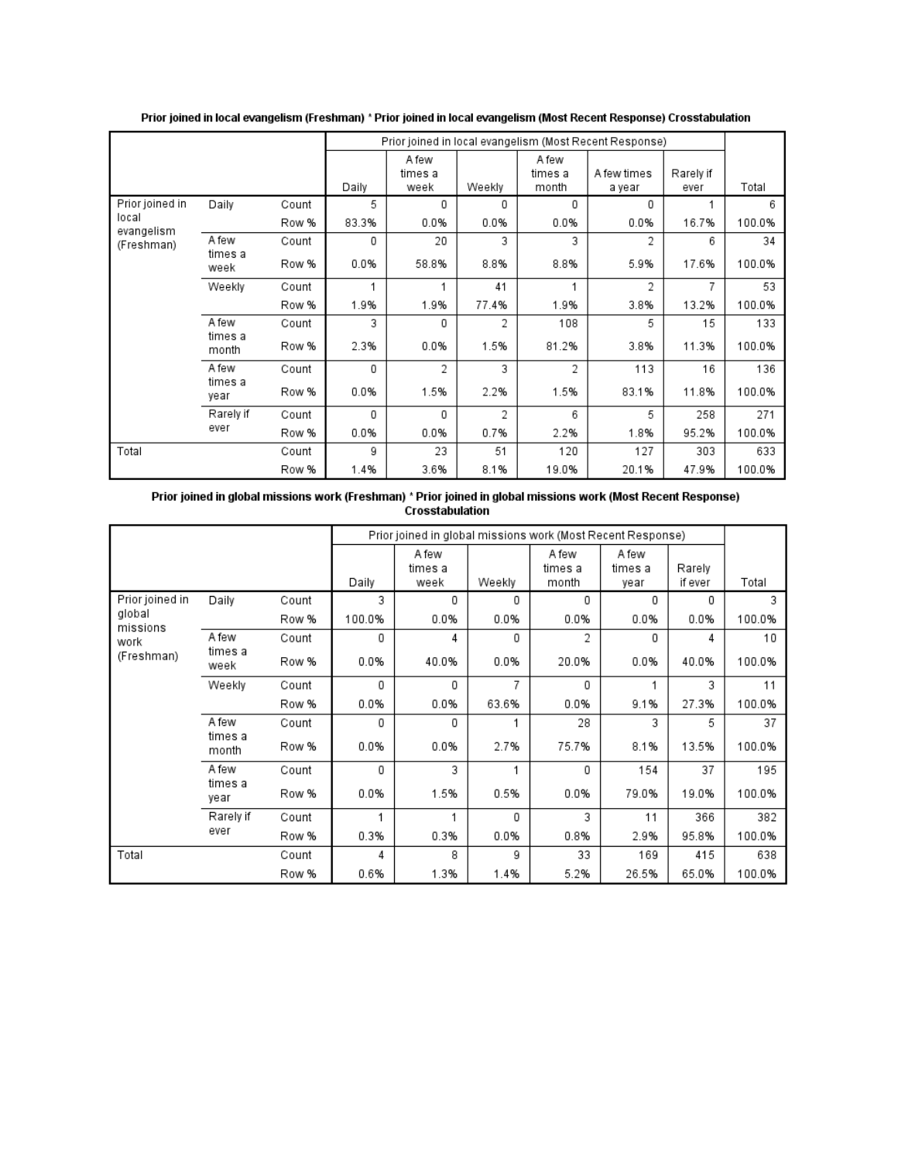|                     |                  |       |       |                          |        |                           | Prior joined in local evangelism (Most Recent Response) |                   |        |
|---------------------|------------------|-------|-------|--------------------------|--------|---------------------------|---------------------------------------------------------|-------------------|--------|
|                     |                  |       | Daily | A few<br>times a<br>week | Weekly | A few<br>times a<br>month | A few times<br>a year                                   | Rarely if<br>ever | Total  |
| Prior joined in     | Daily            | Count | 5     | 0                        | 0      | 0                         | 0                                                       |                   | 6      |
| local<br>evangelism |                  | Row % | 83.3% | 0.0%                     | 0.0%   | 0.0%                      | 0.0%                                                    | 16.7%             | 100.0% |
| (Freshman)          | A few            | Count | 0     | 20                       | 3      | 3                         | 2                                                       | 6                 | 34     |
|                     | times a<br>week  | Row % | 0.0%  | 58.8%                    | 8.8%   | 8.8%                      | 5.9%                                                    | 17.6%             | 100.0% |
|                     | Weekly           | Count |       |                          | 41     |                           | 2                                                       | 7                 | 53     |
|                     |                  | Row % | 1.9%  | 1.9%                     | 77.4%  | 1.9%                      | 3.8%                                                    | 13.2%             | 100.0% |
|                     | A few            | Count | 3     | 0                        | 2      | 108                       | 5                                                       | 15                | 133    |
|                     | times a<br>month | Row % | 2.3%  | 0.0%                     | 1.5%   | 81.2%                     | 3.8%                                                    | 11.3%             | 100.0% |
|                     | A few            | Count | 0     | 2                        | 3      | 2                         | 113                                                     | 16                | 136    |
|                     | times a<br>vear  | Row % | 0.0%  | 1.5%                     | 2.2%   | 1.5%                      | 83.1%                                                   | 11.8%             | 100.0% |
|                     | Rarely if        | Count | 0     | 0                        | 2      | 6                         | 5                                                       | 258               | 271    |
|                     | ever             | Row % | 0.0%  | 0.0%                     | 0.7%   | 2.2%                      | 1.8%                                                    | 95.2%             | 100.0% |
| Total               |                  | Count | 9     | 23                       | 51     | 120                       | 127                                                     | 303               | 633    |
|                     |                  | Row % | 1.4%  | 3.6%                     | 8.1%   | 19.0%                     | 20.1%                                                   | 47.9%             | 100.0% |

Prior joined in local evangelism (Freshman) \* Prior joined in local evangelism (Most Recent Response) Crosstabulation

Prior joined in global missions work (Freshman) \* Prior joined in global missions work (Most Recent Response)<br>Crosstabulation

|                                                             |                  |       |        | Prior joined in global missions work (Most Recent Response) |        |                           |                          |                   |        |
|-------------------------------------------------------------|------------------|-------|--------|-------------------------------------------------------------|--------|---------------------------|--------------------------|-------------------|--------|
|                                                             |                  |       | Daily  | A few<br>times a<br>week                                    | Weekly | A few<br>times a<br>month | A few<br>times a<br>vear | Rarely<br>if ever | Total  |
| Prior joined in<br>global<br>missions<br>work<br>(Freshman) | Daily            | Count | 3      | 0                                                           | 0      | 0                         | 0                        | 0                 | 3      |
|                                                             |                  | Row % | 100.0% | 0.0%                                                        | 0.0%   | 0.0%                      | 0.0%                     | 0.0%              | 100.0% |
|                                                             | A few            | Count | 0      | 4                                                           | 0      | 2                         | 0                        | 4                 | 10     |
|                                                             | times a<br>week  | Row % | 0.0%   | 40.0%                                                       | 0.0%   | 20.0%                     | 0.0%                     | 40.0%             | 100.0% |
|                                                             | Weekly           | Count | 0      | 0                                                           | 7      | 0                         |                          | 3                 | 11     |
|                                                             |                  | Row % | 0.0%   | 0.0%                                                        | 63.6%  | 0.0%                      | 9.1%                     | 27.3%             | 100.0% |
|                                                             | A few            | Count | 0      | 0                                                           |        | 28                        | 3                        | 5                 | 37     |
|                                                             | times a<br>month | Row % | 0.0%   | 0.0%                                                        | 2.7%   | 75.7%                     | 8.1%                     | 13.5%             | 100.0% |
|                                                             | A few            | Count | 0      | 3                                                           |        | 0                         | 154                      | 37                | 195    |
|                                                             | times a<br>year  | Row % | 0.0%   | 1.5%                                                        | 0.5%   | 0.0%                      | 79.0%                    | 19.0%             | 100.0% |
|                                                             | Rarely if        | Count | 4      | 1                                                           | 0      | 3                         | 11                       | 366               | 382    |
|                                                             | ever             | Row % | 0.3%   | 0.3%                                                        | 0.0%   | 0.8%                      | 2.9%                     | 95.8%             | 100.0% |
| Total                                                       |                  | Count | 4      | 8                                                           | 9      | 33                        | 169                      | 415               | 638    |
|                                                             |                  | Row % | 0.6%   | 1.3%                                                        | 1.4%   | 5.2%                      | 26.5%                    | 65.0%             | 100.0% |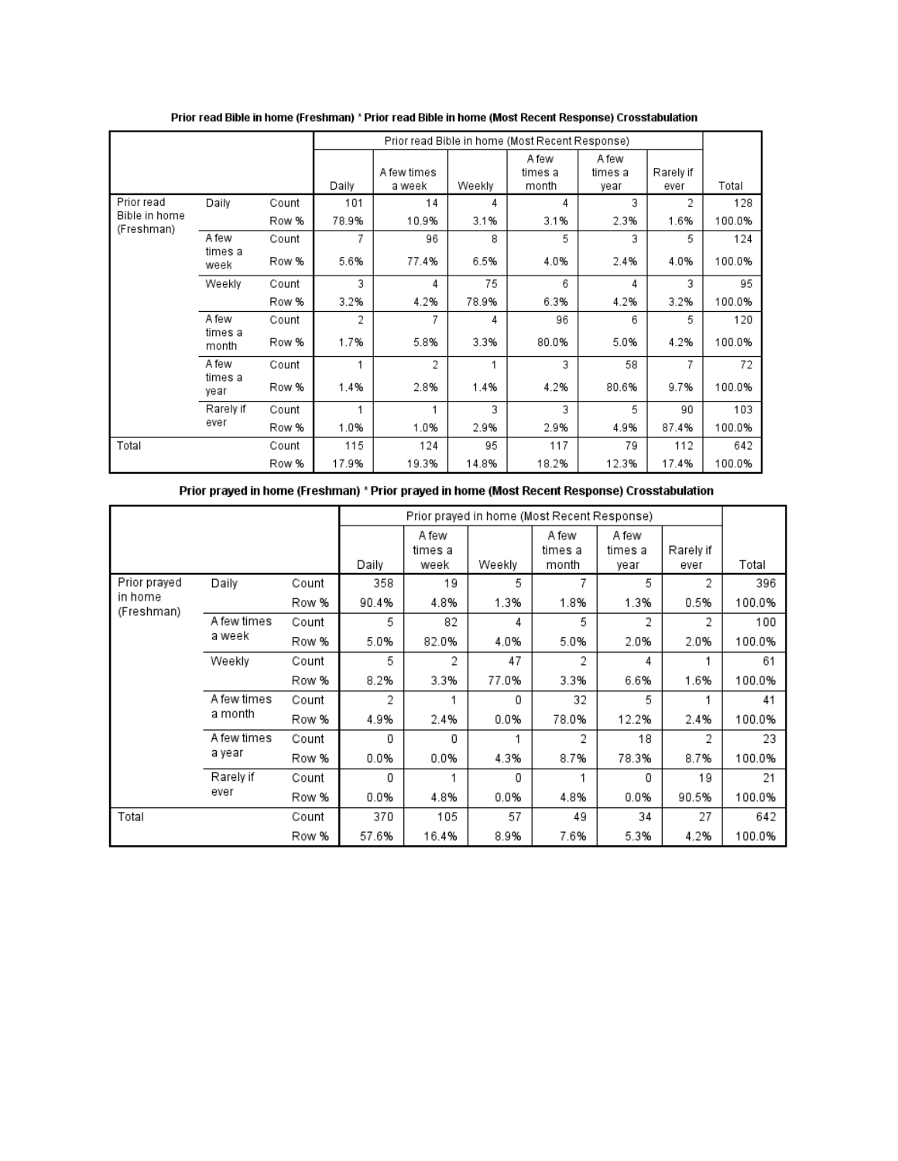|                             |                  |       |       |                       |        | Prior read Bible in home (Most Recent Response) |                          |                   |        |
|-----------------------------|------------------|-------|-------|-----------------------|--------|-------------------------------------------------|--------------------------|-------------------|--------|
|                             |                  |       | Daily | A few times<br>a week | Weekly | A few<br>times a<br>month                       | A few<br>times a<br>year | Rarely if<br>ever | Total  |
| Prior read                  | Daily            | Count | 101   | 14                    | 4      | 4                                               | 3                        | 2                 | 128    |
| Bible in home<br>(Freshman) |                  | Row % | 78.9% | 10.9%                 | 3.1%   | 3.1%                                            | 2.3%                     | 1.6%              | 100.0% |
|                             | A few            | Count | 7     | 96                    | 8      | 5                                               | 3                        | 5                 | 124    |
|                             | times a<br>week  | Row % | 5.6%  | 77.4%                 | 6.5%   | 4.0%                                            | 2.4%                     | 4.0%              | 100.0% |
|                             | Weekly           | Count | 3     | 4                     | 75     | 6                                               | 4                        | 3                 | 95     |
|                             |                  | Row % | 3.2%  | 4.2%                  | 78.9%  | 6.3%                                            | 4.2%                     | 3.2%              | 100.0% |
|                             | A few            | Count | 2     | 7                     | 4      | 96                                              | 6                        | 5                 | 120    |
|                             | times a<br>month | Row % | 1.7%  | 5.8%                  | 3.3%   | 80.0%                                           | 5.0%                     | 4.2%              | 100.0% |
|                             | A few            | Count | 1     | 2                     | 1      | 3                                               | 58                       | 7                 | 72     |
|                             | times a<br>year  | Row % | 1.4%  | 2.8%                  | 1.4%   | 4.2%                                            | 80.6%                    | 9.7%              | 100.0% |
|                             | Rarely if        | Count | 1     |                       | 3      | 3                                               | 5                        | 90                | 103    |
|                             | ever             | Row % | 1.0%  | 1.0%                  | 2.9%   | 2.9%                                            | 4.9%                     | 87.4%             | 100.0% |
| Total                       |                  | Count | 115   | 124                   | 95     | 117                                             | 79                       | 112               | 642    |
|                             |                  | Row % | 17.9% | 19.3%                 | 14.8%  | 18.2%                                           | 12.3%                    | 17.4%             | 100.0% |

Prior read Bible in home (Freshman) \* Prior read Bible in home (Most Recent Response) Crosstabulation

Prior prayed in home (Freshman) \* Prior prayed in home (Most Recent Response) Crosstabulation

|                       |             |       |       |                  |        | Prior prayed in home (Most Recent Response) |                  |           |        |
|-----------------------|-------------|-------|-------|------------------|--------|---------------------------------------------|------------------|-----------|--------|
|                       |             |       |       | A few<br>times a |        | A few<br>times a                            | A few<br>times a | Rarely if |        |
|                       |             |       | Daily | week             | Weekly | month                                       | year             | ever      | Total  |
| Prior prayed          | Daily       | Count | 358   | 19               | 5      | 7                                           | 5                | 2         | 396    |
| in home<br>(Freshman) |             | Row % | 90.4% | 4.8%             | 1.3%   | 1.8%                                        | 1.3%             | 0.5%      | 100.0% |
|                       | A few times | Count | 5     | 82               | 4      | 5                                           | 2                | 2         | 100    |
|                       | a week      | Row % | 5.0%  | 82.0%            | 4.0%   | 5.0%                                        | 2.0%             | 2.0%      | 100.0% |
|                       | Weekly      | Count | 5     | 2                | 47     | 2                                           | 4                |           | 61     |
|                       |             | Row % | 8.2%  | 3.3%             | 77.0%  | 3.3%                                        | 6.6%             | 1.6%      | 100.0% |
|                       | A few times | Count | 2     |                  | 0      | 32                                          | 5                |           | 41     |
|                       | a month     | Row % | 4.9%  | 2.4%             | 0.0%   | 78.0%                                       | 12.2%            | 2.4%      | 100.0% |
|                       | A few times | Count | 0     | 0                |        | 2                                           | 18               | 2         | 23     |
|                       | a year      | Row % | 0.0%  | 0.0%             | 4.3%   | 8.7%                                        | 78.3%            | 8.7%      | 100.0% |
|                       | Rarely if   | Count | 0     |                  | 0      | 1                                           | 0                | 19        | 21     |
|                       | ever        | Row % | 0.0%  | 4.8%             | 0.0%   | 4.8%                                        | 0.0%             | 90.5%     | 100.0% |
| Total                 |             | Count | 370   | 105              | 57     | 49                                          | 34               | 27        | 642    |
|                       |             | Row % | 57.6% | 16.4%            | 8.9%   | 7.6%                                        | 5.3%             | 4.2%      | 100.0% |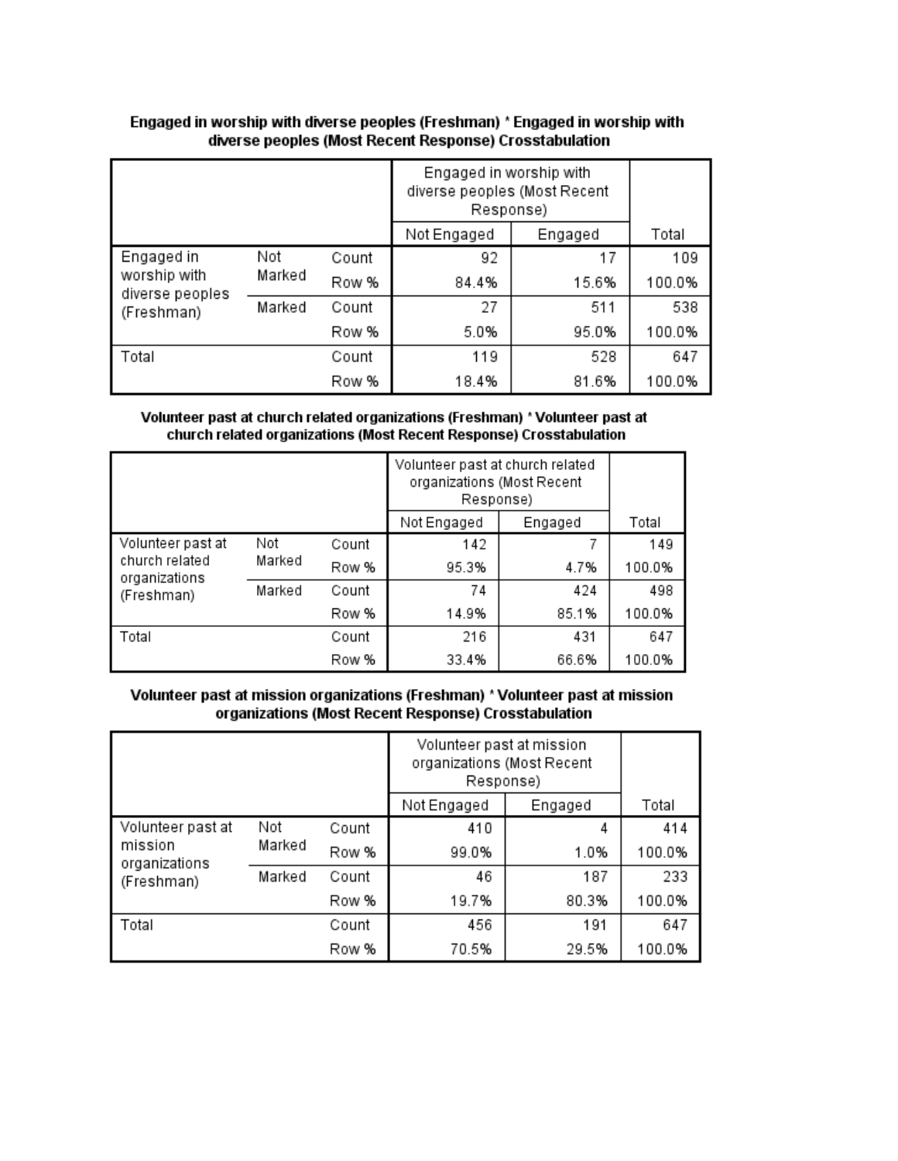|                                               |        |       | Engaged in worship with<br>diverse peoples (Most Recent<br>Response) |         |        |
|-----------------------------------------------|--------|-------|----------------------------------------------------------------------|---------|--------|
|                                               |        |       | Not Engaged                                                          | Engaged | Total  |
| Engaged in<br>worship with<br>diverse peoples | Not    | Count | 92                                                                   | 17      | 109    |
|                                               | Marked | Row % | 84.4%                                                                | 15.6%   | 100.0% |
| (Freshman)                                    | Marked | Count | 27                                                                   | 511     | 538    |
|                                               |        | Row % | 5.0%                                                                 | 95.0%   | 100.0% |
| Total                                         |        | Count | 119                                                                  | 528     | 647    |
|                                               |        | Row % | 18.4%                                                                | 81.6%   | 100.0% |

### Engaged in worship with diverse peoples (Freshman) \* Engaged in worship with diverse peoples (Most Recent Response) Crosstabulation

#### Volunteer past at church related organizations (Freshman) \* Volunteer past at church related organizations (Most Recent Response) Crosstabulation

|                                                      |        |       | Volunteer past at church related<br>organizations (Most Recent<br>Response) |         |        |
|------------------------------------------------------|--------|-------|-----------------------------------------------------------------------------|---------|--------|
|                                                      |        |       | Not Engaged                                                                 | Engaged | Total  |
| Volunteer past at<br>church related<br>organizations | Not    | Count | 142                                                                         |         | 149    |
|                                                      | Marked | Row % | 95.3%                                                                       | 4.7%    | 100.0% |
| (Freshman)                                           | Marked | Count | 74                                                                          | 424     | 498    |
|                                                      |        | Row % | 14.9%                                                                       | 85.1%   | 100.0% |
| Total                                                |        | Count | 216                                                                         | 431     | 647    |
|                                                      |        | Row % | 33.4%                                                                       | 66.6%   | 100.0% |

# Volunteer past at mission organizations (Freshman) \* Volunteer past at mission organizations (Most Recent Response) Crosstabulation

|                                        |        |       | Volunteer past at mission<br>organizations (Most Recent<br>Response) |         |        |
|----------------------------------------|--------|-------|----------------------------------------------------------------------|---------|--------|
|                                        |        |       | Not Engaged                                                          | Engaged | Total  |
| Volunteer past at                      | Not    | Count | 410                                                                  | 4       | 414    |
| mission<br>organizations<br>(Freshman) | Marked | Row % | 99.0%                                                                | 1.0%    | 100.0% |
|                                        | Marked | Count | 46                                                                   | 187     | 233    |
|                                        |        | Row % | 19.7%                                                                | 80.3%   | 100.0% |
| Total                                  |        | Count | 456                                                                  | 191     | 647    |
|                                        |        | Row % | 70.5%                                                                | 29.5%   | 100.0% |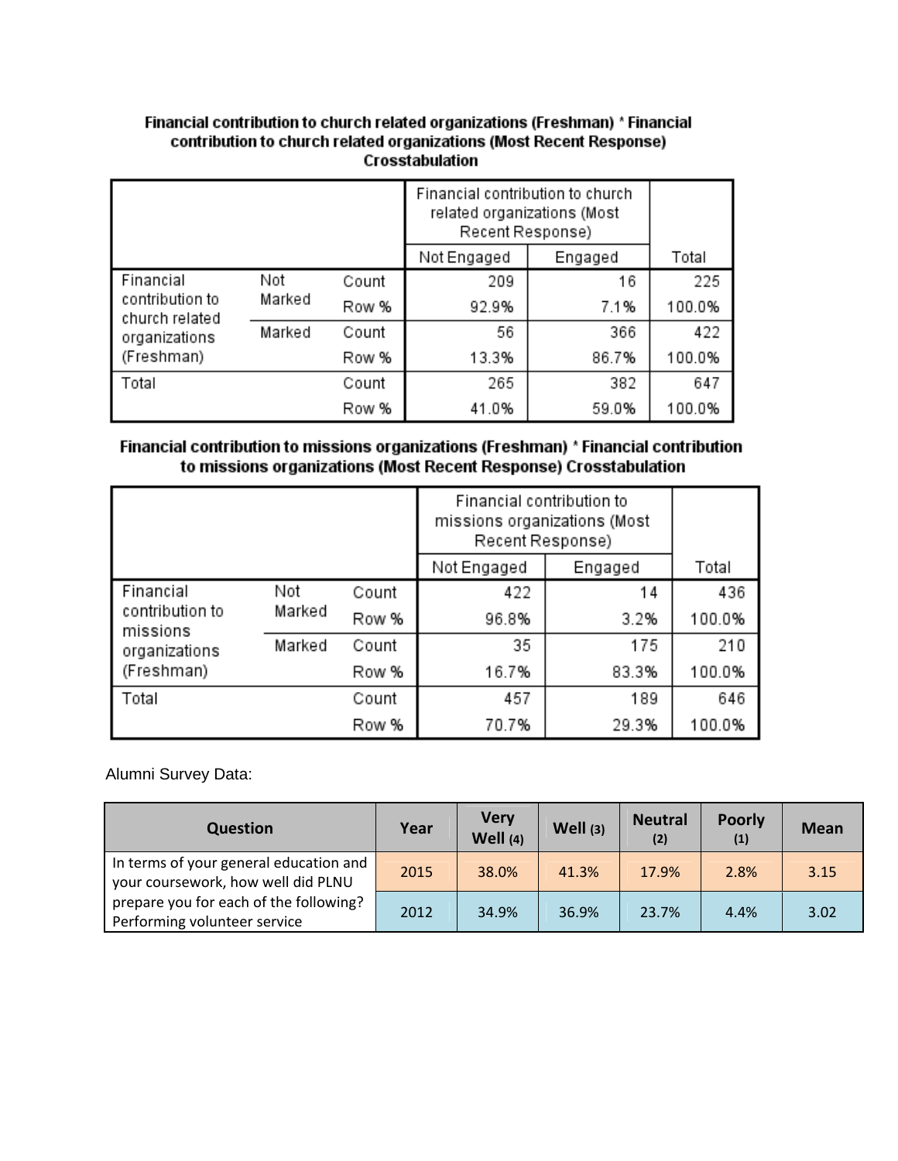# Financial contribution to church related organizations (Freshman) \* Financial contribution to church related organizations (Most Recent Response) Crosstabulation

|                                   |        |       | Financial contribution to church<br>related organizations (Most<br>Recent Response) |         |        |
|-----------------------------------|--------|-------|-------------------------------------------------------------------------------------|---------|--------|
|                                   |        |       | Not Engaged                                                                         | Engaged | Total  |
| Financial                         | Not    |       | 209                                                                                 | 16      | 225    |
| contribution to<br>church related | Marked | Row % | 92.9%                                                                               | 7.1%    | 100.0% |
| organizations                     | Marked | Count | 56                                                                                  | 366     | 422    |
| (Freshman)                        |        | Row % | 13.3%                                                                               | 86.7%   | 100.0% |
| Total                             |        | Count | 265                                                                                 | 382     | 647    |
|                                   |        | Row % | 41.0%                                                                               | 59.0%   | 100.0% |

# Financial contribution to missions organizations (Freshman) \* Financial contribution to missions organizations (Most Recent Response) Crosstabulation

|                             |        |       | Financial contribution to<br>missions organizations (Most<br>Recent Response) |         |        |
|-----------------------------|--------|-------|-------------------------------------------------------------------------------|---------|--------|
|                             |        |       | Not Engaged                                                                   | Engaged | Total  |
| Financial<br>Not            |        | Count | 422                                                                           | 14      | 436    |
| contribution to<br>missions | Marked | Row % | 96.8%                                                                         | 3.2%    | 100.0% |
| organizations               | Marked | Count | 35                                                                            | 175     | 210    |
| (Freshman)                  |        | Row % | 16.7%                                                                         | 83.3%   | 100.0% |
| Total                       |        | Count | 457                                                                           | 189     | 646    |
|                             |        | Row % | 70.7%                                                                         | 29.3%   | 100.0% |

Alumni Survey Data:

| <b>Question</b>                                                              | Year | <b>Very</b><br>Well (4) | Well (3) | <b>Neutral</b><br>(2) | <b>Poorly</b><br>(1) | <b>Mean</b> |
|------------------------------------------------------------------------------|------|-------------------------|----------|-----------------------|----------------------|-------------|
| In terms of your general education and<br>your coursework, how well did PLNU | 2015 | 38.0%                   | 41.3%    | 17.9%                 | 2.8%                 | 3.15        |
| prepare you for each of the following?<br>Performing volunteer service       | 2012 | 34.9%                   | 36.9%    | 23.7%                 | 4.4%                 | 3.02        |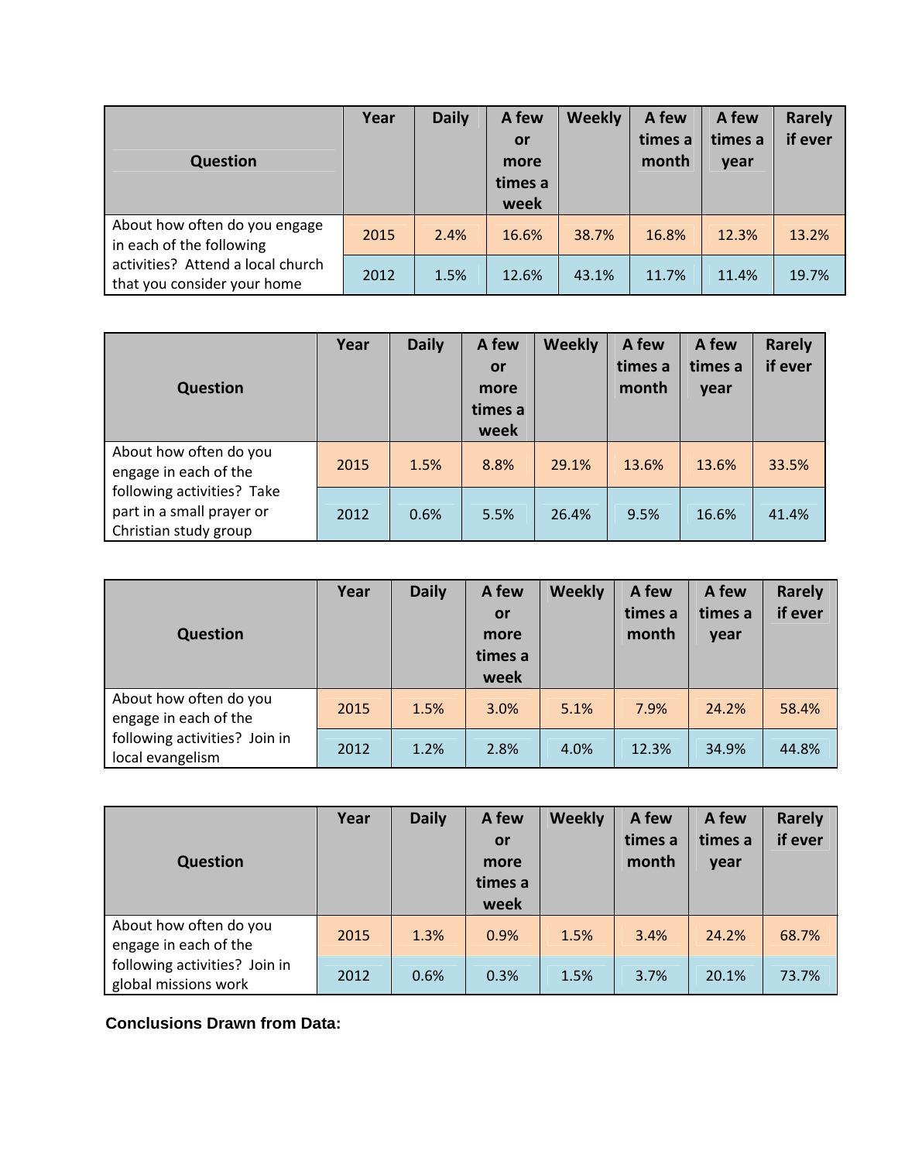| <b>Question</b>                                                  | Year | <b>Daily</b> | A few<br>or<br>more<br>times a<br>week | <b>Weekly</b> | A few<br>times a<br>month | A few<br>times a<br>year | Rarely<br>if ever |
|------------------------------------------------------------------|------|--------------|----------------------------------------|---------------|---------------------------|--------------------------|-------------------|
| About how often do you engage<br>in each of the following        | 2015 | 2.4%         | 16.6%                                  | 38.7%         | 16.8%                     | 12.3%                    | 13.2%             |
| activities? Attend a local church<br>that you consider your home | 2012 | 1.5%         | 12.6%                                  | 43.1%         | 11.7%                     | 11.4%                    | 19.7%             |

| <b>Question</b>                                                                  | Year | <b>Daily</b> | A few<br>or<br>more<br>times a<br>week | <b>Weekly</b> | A few<br>times a<br>month | A few<br>times a<br>year | <b>Rarely</b><br>if ever |
|----------------------------------------------------------------------------------|------|--------------|----------------------------------------|---------------|---------------------------|--------------------------|--------------------------|
| About how often do you<br>engage in each of the                                  | 2015 | 1.5%         | 8.8%                                   | 29.1%         | 13.6%                     | 13.6%                    | 33.5%                    |
| following activities? Take<br>part in a small prayer or<br>Christian study group | 2012 | 0.6%         | 5.5%                                   | 26.4%         | 9.5%                      | 16.6%                    | 41.4%                    |

| <b>Question</b>                                   | Year | <b>Daily</b> | A few<br>or<br>more<br>times a | <b>Weekly</b> | A few<br>times a<br>month | A few<br>times a<br>year | <b>Rarely</b><br>if ever |
|---------------------------------------------------|------|--------------|--------------------------------|---------------|---------------------------|--------------------------|--------------------------|
| About how often do you<br>engage in each of the   | 2015 | 1.5%         | week<br>3.0%                   | 5.1%          | 7.9%                      | 24.2%                    | 58.4%                    |
| following activities? Join in<br>local evangelism | 2012 | 1.2%         | 2.8%                           | 4.0%          | 12.3%                     | 34.9%                    | 44.8%                    |

| <b>Question</b>                                       | Year | <b>Daily</b> | A few<br>or<br>more<br>times a | <b>Weekly</b> | A few<br>times a<br>month | A few<br>times a<br>year | <b>Rarely</b><br>if ever |
|-------------------------------------------------------|------|--------------|--------------------------------|---------------|---------------------------|--------------------------|--------------------------|
|                                                       |      |              | week                           |               |                           |                          |                          |
| About how often do you<br>engage in each of the       | 2015 | 1.3%         | 0.9%                           | 1.5%          | 3.4%                      | 24.2%                    | 68.7%                    |
| following activities? Join in<br>global missions work | 2012 | 0.6%         | 0.3%                           | 1.5%          | 3.7%                      | 20.1%                    | 73.7%                    |

**Conclusions Drawn from Data:**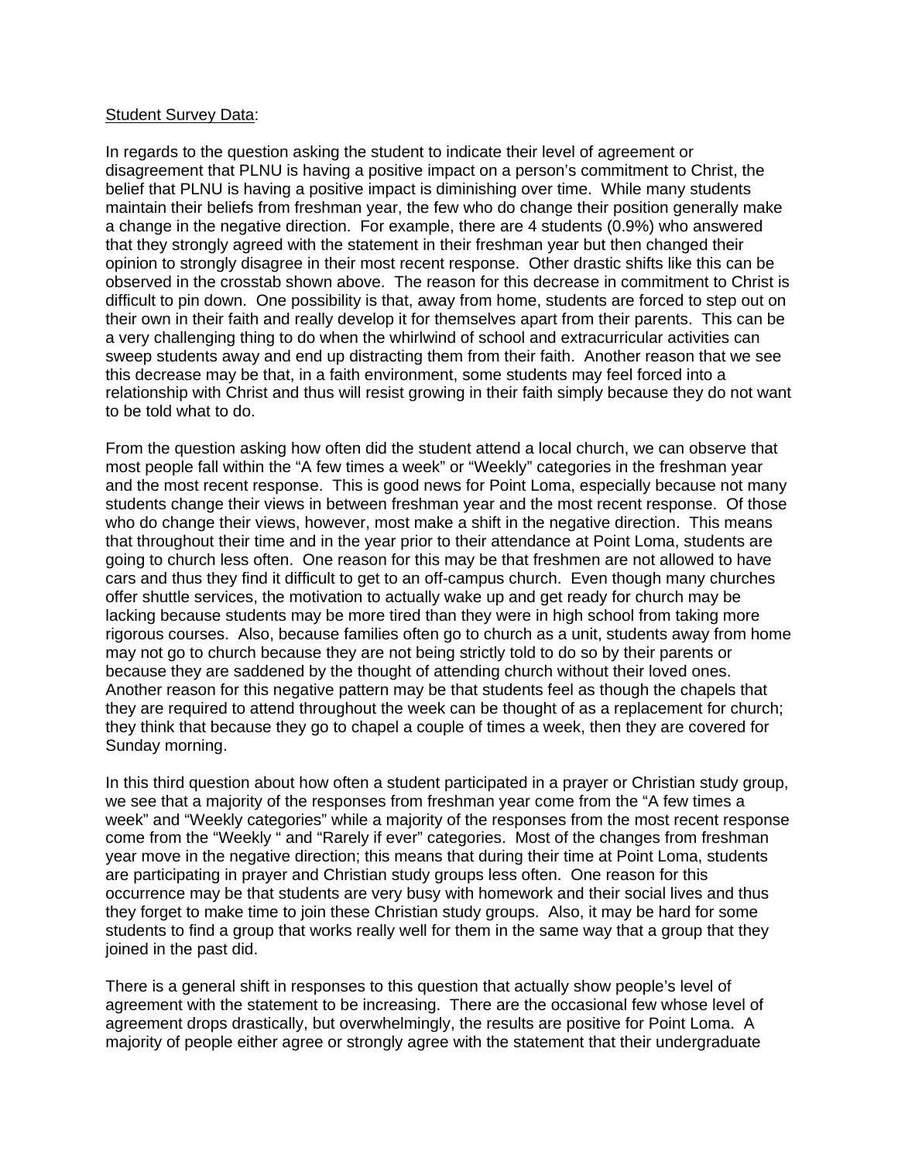#### Student Survey Data:

In regards to the question asking the student to indicate their level of agreement or disagreement that PLNU is having a positive impact on a person's commitment to Christ, the belief that PLNU is having a positive impact is diminishing over time. While many students maintain their beliefs from freshman year, the few who do change their position generally make a change in the negative direction. For example, there are 4 students (0.9%) who answered that they strongly agreed with the statement in their freshman year but then changed their opinion to strongly disagree in their most recent response. Other drastic shifts like this can be observed in the crosstab shown above. The reason for this decrease in commitment to Christ is difficult to pin down. One possibility is that, away from home, students are forced to step out on their own in their faith and really develop it for themselves apart from their parents. This can be a very challenging thing to do when the whirlwind of school and extracurricular activities can sweep students away and end up distracting them from their faith. Another reason that we see this decrease may be that, in a faith environment, some students may feel forced into a relationship with Christ and thus will resist growing in their faith simply because they do not want to be told what to do.

From the question asking how often did the student attend a local church, we can observe that most people fall within the "A few times a week" or "Weekly" categories in the freshman year and the most recent response. This is good news for Point Loma, especially because not many students change their views in between freshman year and the most recent response. Of those who do change their views, however, most make a shift in the negative direction. This means that throughout their time and in the year prior to their attendance at Point Loma, students are going to church less often. One reason for this may be that freshmen are not allowed to have cars and thus they find it difficult to get to an off-campus church. Even though many churches offer shuttle services, the motivation to actually wake up and get ready for church may be lacking because students may be more tired than they were in high school from taking more rigorous courses. Also, because families often go to church as a unit, students away from home may not go to church because they are not being strictly told to do so by their parents or because they are saddened by the thought of attending church without their loved ones. Another reason for this negative pattern may be that students feel as though the chapels that they are required to attend throughout the week can be thought of as a replacement for church; they think that because they go to chapel a couple of times a week, then they are covered for Sunday morning.

In this third question about how often a student participated in a prayer or Christian study group, we see that a majority of the responses from freshman year come from the "A few times a week" and "Weekly categories" while a majority of the responses from the most recent response come from the "Weekly " and "Rarely if ever" categories. Most of the changes from freshman year move in the negative direction; this means that during their time at Point Loma, students are participating in prayer and Christian study groups less often. One reason for this occurrence may be that students are very busy with homework and their social lives and thus they forget to make time to join these Christian study groups. Also, it may be hard for some students to find a group that works really well for them in the same way that a group that they joined in the past did.

There is a general shift in responses to this question that actually show people's level of agreement with the statement to be increasing. There are the occasional few whose level of agreement drops drastically, but overwhelmingly, the results are positive for Point Loma. A majority of people either agree or strongly agree with the statement that their undergraduate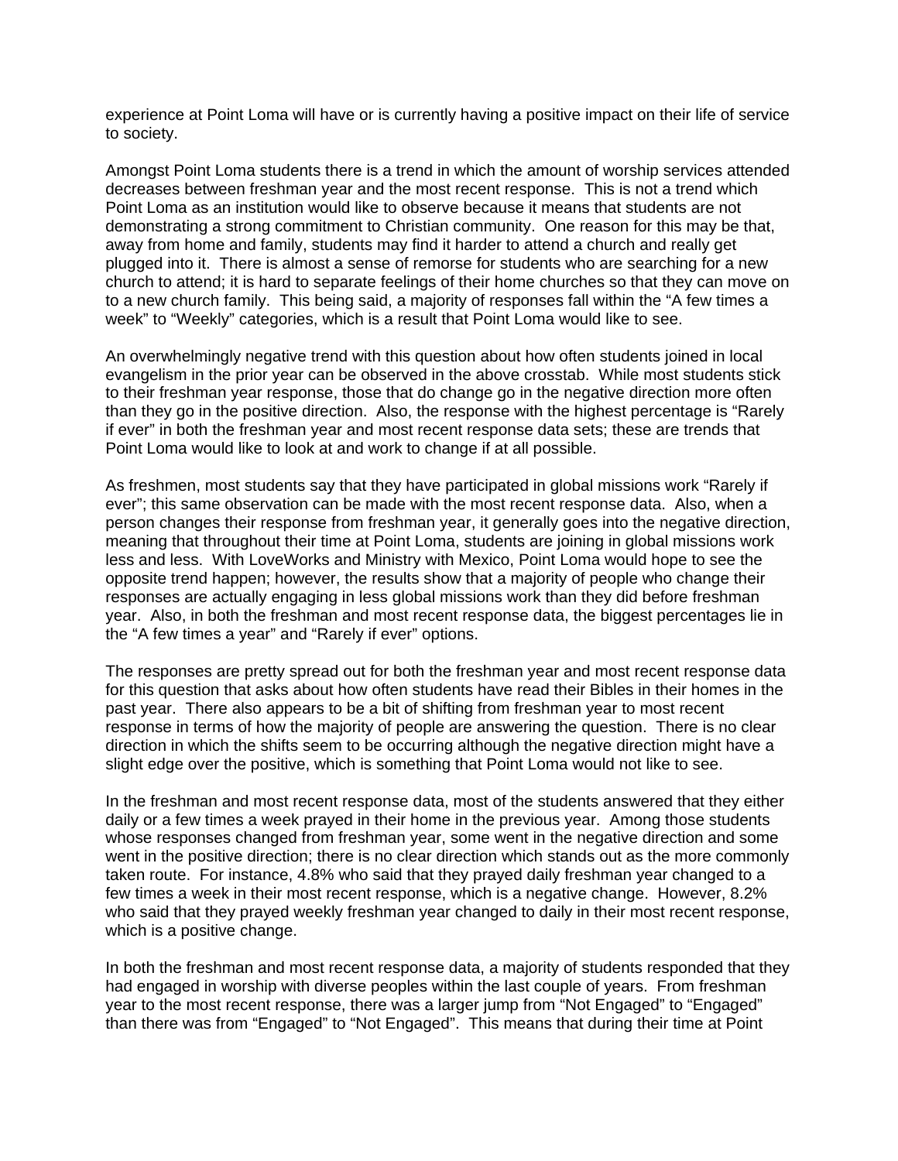experience at Point Loma will have or is currently having a positive impact on their life of service to society.

Amongst Point Loma students there is a trend in which the amount of worship services attended decreases between freshman year and the most recent response. This is not a trend which Point Loma as an institution would like to observe because it means that students are not demonstrating a strong commitment to Christian community. One reason for this may be that, away from home and family, students may find it harder to attend a church and really get plugged into it. There is almost a sense of remorse for students who are searching for a new church to attend; it is hard to separate feelings of their home churches so that they can move on to a new church family. This being said, a majority of responses fall within the "A few times a week" to "Weekly" categories, which is a result that Point Loma would like to see.

An overwhelmingly negative trend with this question about how often students joined in local evangelism in the prior year can be observed in the above crosstab. While most students stick to their freshman year response, those that do change go in the negative direction more often than they go in the positive direction. Also, the response with the highest percentage is "Rarely if ever" in both the freshman year and most recent response data sets; these are trends that Point Loma would like to look at and work to change if at all possible.

As freshmen, most students say that they have participated in global missions work "Rarely if ever"; this same observation can be made with the most recent response data. Also, when a person changes their response from freshman year, it generally goes into the negative direction, meaning that throughout their time at Point Loma, students are joining in global missions work less and less. With LoveWorks and Ministry with Mexico, Point Loma would hope to see the opposite trend happen; however, the results show that a majority of people who change their responses are actually engaging in less global missions work than they did before freshman year. Also, in both the freshman and most recent response data, the biggest percentages lie in the "A few times a year" and "Rarely if ever" options.

The responses are pretty spread out for both the freshman year and most recent response data for this question that asks about how often students have read their Bibles in their homes in the past year. There also appears to be a bit of shifting from freshman year to most recent response in terms of how the majority of people are answering the question. There is no clear direction in which the shifts seem to be occurring although the negative direction might have a slight edge over the positive, which is something that Point Loma would not like to see.

In the freshman and most recent response data, most of the students answered that they either daily or a few times a week prayed in their home in the previous year. Among those students whose responses changed from freshman year, some went in the negative direction and some went in the positive direction; there is no clear direction which stands out as the more commonly taken route. For instance, 4.8% who said that they prayed daily freshman year changed to a few times a week in their most recent response, which is a negative change. However, 8.2% who said that they prayed weekly freshman year changed to daily in their most recent response, which is a positive change.

In both the freshman and most recent response data, a majority of students responded that they had engaged in worship with diverse peoples within the last couple of years. From freshman year to the most recent response, there was a larger jump from "Not Engaged" to "Engaged" than there was from "Engaged" to "Not Engaged". This means that during their time at Point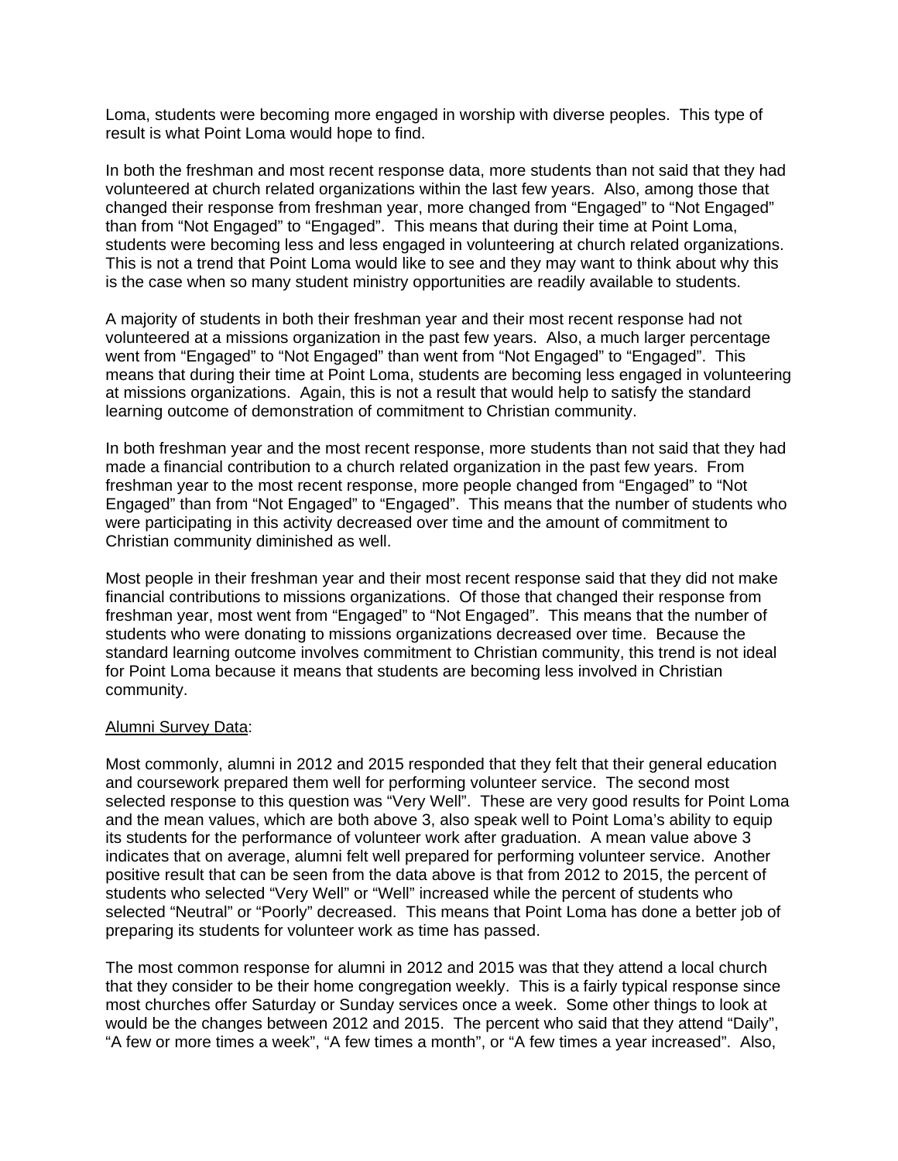Loma, students were becoming more engaged in worship with diverse peoples. This type of result is what Point Loma would hope to find.

In both the freshman and most recent response data, more students than not said that they had volunteered at church related organizations within the last few years. Also, among those that changed their response from freshman year, more changed from "Engaged" to "Not Engaged" than from "Not Engaged" to "Engaged". This means that during their time at Point Loma, students were becoming less and less engaged in volunteering at church related organizations. This is not a trend that Point Loma would like to see and they may want to think about why this is the case when so many student ministry opportunities are readily available to students.

A majority of students in both their freshman year and their most recent response had not volunteered at a missions organization in the past few years. Also, a much larger percentage went from "Engaged" to "Not Engaged" than went from "Not Engaged" to "Engaged". This means that during their time at Point Loma, students are becoming less engaged in volunteering at missions organizations. Again, this is not a result that would help to satisfy the standard learning outcome of demonstration of commitment to Christian community.

In both freshman year and the most recent response, more students than not said that they had made a financial contribution to a church related organization in the past few years. From freshman year to the most recent response, more people changed from "Engaged" to "Not Engaged" than from "Not Engaged" to "Engaged". This means that the number of students who were participating in this activity decreased over time and the amount of commitment to Christian community diminished as well.

Most people in their freshman year and their most recent response said that they did not make financial contributions to missions organizations. Of those that changed their response from freshman year, most went from "Engaged" to "Not Engaged". This means that the number of students who were donating to missions organizations decreased over time. Because the standard learning outcome involves commitment to Christian community, this trend is not ideal for Point Loma because it means that students are becoming less involved in Christian community.

#### Alumni Survey Data:

Most commonly, alumni in 2012 and 2015 responded that they felt that their general education and coursework prepared them well for performing volunteer service. The second most selected response to this question was "Very Well". These are very good results for Point Loma and the mean values, which are both above 3, also speak well to Point Loma's ability to equip its students for the performance of volunteer work after graduation. A mean value above 3 indicates that on average, alumni felt well prepared for performing volunteer service. Another positive result that can be seen from the data above is that from 2012 to 2015, the percent of students who selected "Very Well" or "Well" increased while the percent of students who selected "Neutral" or "Poorly" decreased. This means that Point Loma has done a better job of preparing its students for volunteer work as time has passed.

The most common response for alumni in 2012 and 2015 was that they attend a local church that they consider to be their home congregation weekly. This is a fairly typical response since most churches offer Saturday or Sunday services once a week. Some other things to look at would be the changes between 2012 and 2015. The percent who said that they attend "Daily", "A few or more times a week", "A few times a month", or "A few times a year increased". Also,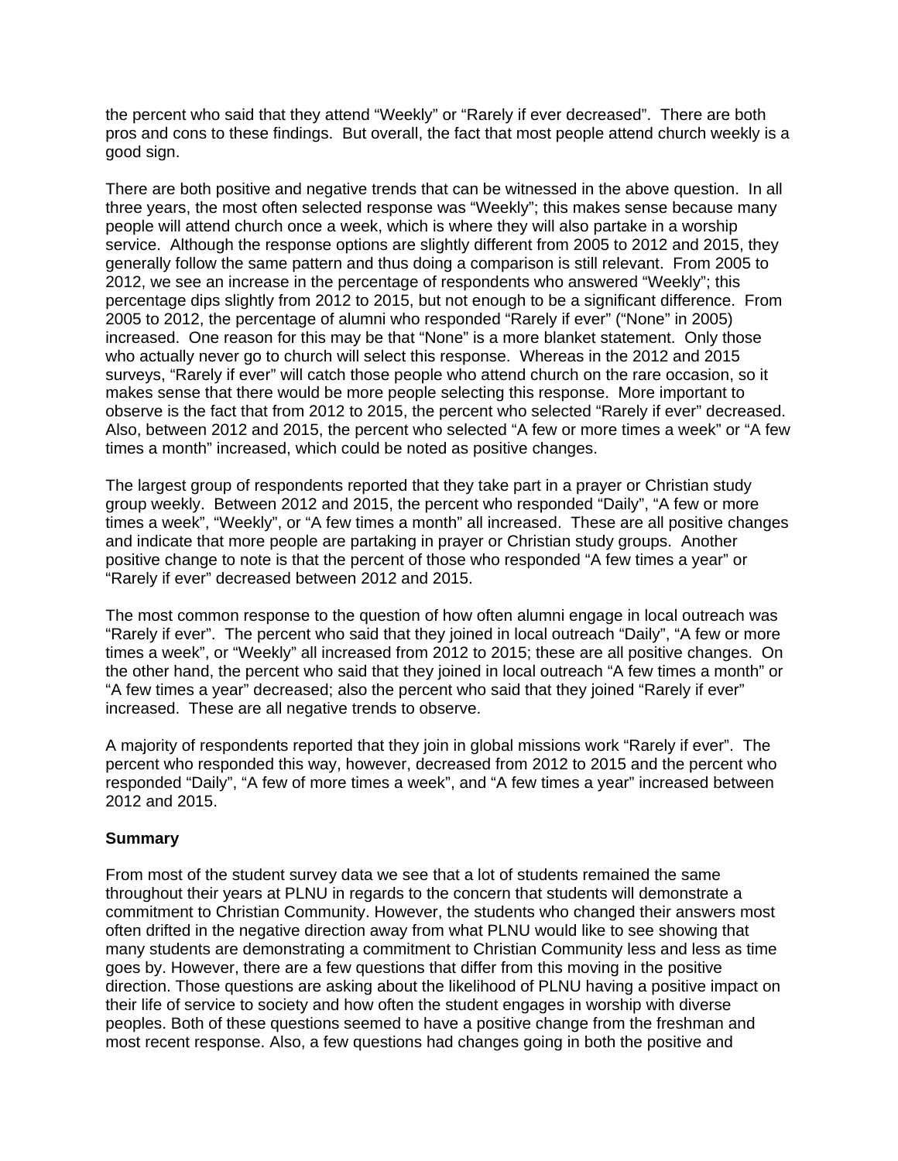the percent who said that they attend "Weekly" or "Rarely if ever decreased". There are both pros and cons to these findings. But overall, the fact that most people attend church weekly is a good sign.

There are both positive and negative trends that can be witnessed in the above question. In all three years, the most often selected response was "Weekly"; this makes sense because many people will attend church once a week, which is where they will also partake in a worship service. Although the response options are slightly different from 2005 to 2012 and 2015, they generally follow the same pattern and thus doing a comparison is still relevant. From 2005 to 2012, we see an increase in the percentage of respondents who answered "Weekly"; this percentage dips slightly from 2012 to 2015, but not enough to be a significant difference. From 2005 to 2012, the percentage of alumni who responded "Rarely if ever" ("None" in 2005) increased. One reason for this may be that "None" is a more blanket statement. Only those who actually never go to church will select this response. Whereas in the 2012 and 2015 surveys, "Rarely if ever" will catch those people who attend church on the rare occasion, so it makes sense that there would be more people selecting this response. More important to observe is the fact that from 2012 to 2015, the percent who selected "Rarely if ever" decreased. Also, between 2012 and 2015, the percent who selected "A few or more times a week" or "A few times a month" increased, which could be noted as positive changes.

The largest group of respondents reported that they take part in a prayer or Christian study group weekly. Between 2012 and 2015, the percent who responded "Daily", "A few or more times a week", "Weekly", or "A few times a month" all increased. These are all positive changes and indicate that more people are partaking in prayer or Christian study groups. Another positive change to note is that the percent of those who responded "A few times a year" or "Rarely if ever" decreased between 2012 and 2015.

The most common response to the question of how often alumni engage in local outreach was "Rarely if ever". The percent who said that they joined in local outreach "Daily", "A few or more times a week", or "Weekly" all increased from 2012 to 2015; these are all positive changes. On the other hand, the percent who said that they joined in local outreach "A few times a month" or "A few times a year" decreased; also the percent who said that they joined "Rarely if ever" increased. These are all negative trends to observe.

A majority of respondents reported that they join in global missions work "Rarely if ever". The percent who responded this way, however, decreased from 2012 to 2015 and the percent who responded "Daily", "A few of more times a week", and "A few times a year" increased between 2012 and 2015.

# **Summary**

From most of the student survey data we see that a lot of students remained the same throughout their years at PLNU in regards to the concern that students will demonstrate a commitment to Christian Community. However, the students who changed their answers most often drifted in the negative direction away from what PLNU would like to see showing that many students are demonstrating a commitment to Christian Community less and less as time goes by. However, there are a few questions that differ from this moving in the positive direction. Those questions are asking about the likelihood of PLNU having a positive impact on their life of service to society and how often the student engages in worship with diverse peoples. Both of these questions seemed to have a positive change from the freshman and most recent response. Also, a few questions had changes going in both the positive and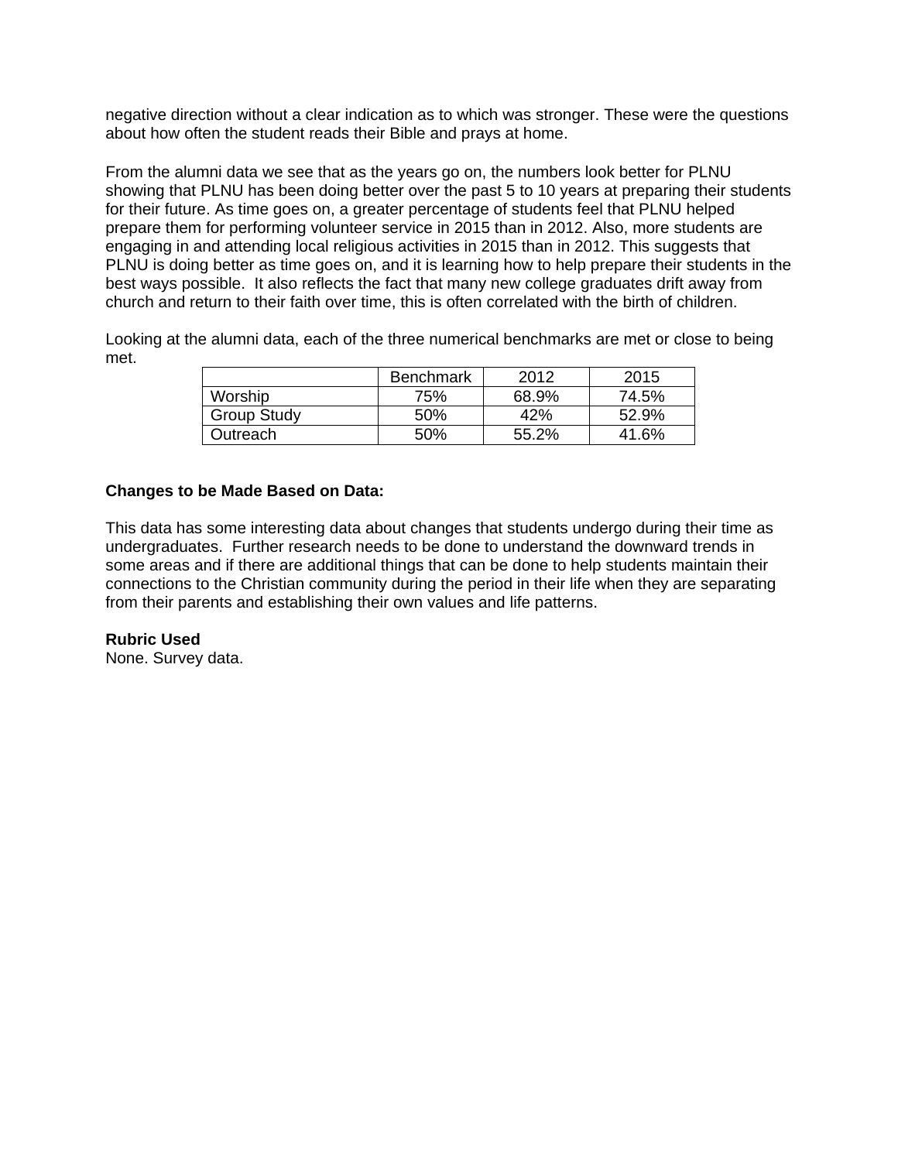negative direction without a clear indication as to which was stronger. These were the questions about how often the student reads their Bible and prays at home.

From the alumni data we see that as the years go on, the numbers look better for PLNU showing that PLNU has been doing better over the past 5 to 10 years at preparing their students for their future. As time goes on, a greater percentage of students feel that PLNU helped prepare them for performing volunteer service in 2015 than in 2012. Also, more students are engaging in and attending local religious activities in 2015 than in 2012. This suggests that PLNU is doing better as time goes on, and it is learning how to help prepare their students in the best ways possible. It also reflects the fact that many new college graduates drift away from church and return to their faith over time, this is often correlated with the birth of children.

Looking at the alumni data, each of the three numerical benchmarks are met or close to being met.

|             | Benchmark | 2012  | 2015  |
|-------------|-----------|-------|-------|
| Worship     | 75%       | 68.9% | 74.5% |
| Group Study | .50%      | 42%   | 52.9% |
| Outreach    | 50%       | 55.2% | 41.6% |

#### **Changes to be Made Based on Data:**

This data has some interesting data about changes that students undergo during their time as undergraduates. Further research needs to be done to understand the downward trends in some areas and if there are additional things that can be done to help students maintain their connections to the Christian community during the period in their life when they are separating from their parents and establishing their own values and life patterns.

#### **Rubric Used**

None. Survey data.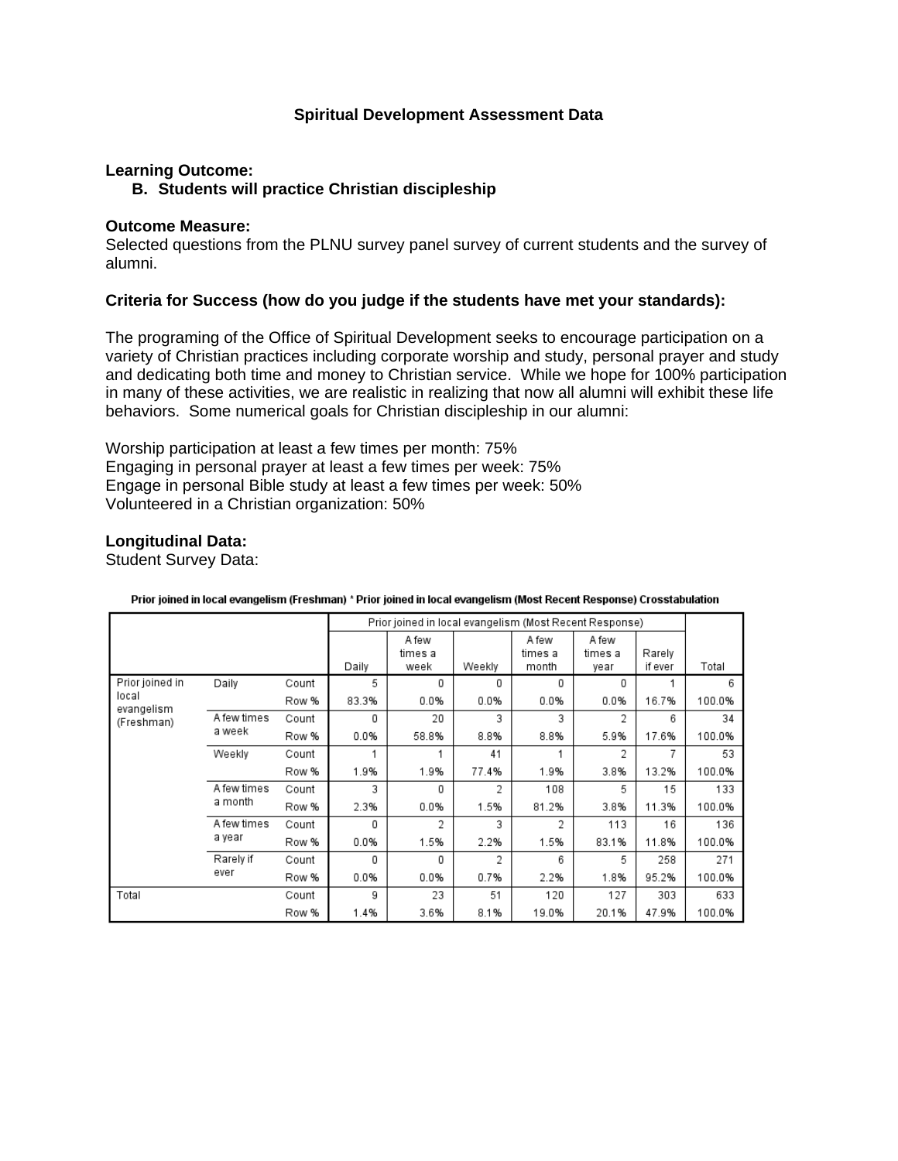# **Spiritual Development Assessment Data**

# **Learning Outcome:**

# **B. Students will practice Christian discipleship**

#### **Outcome Measure:**

Selected questions from the PLNU survey panel survey of current students and the survey of alumni.

#### **Criteria for Success (how do you judge if the students have met your standards):**

The programing of the Office of Spiritual Development seeks to encourage participation on a variety of Christian practices including corporate worship and study, personal prayer and study and dedicating both time and money to Christian service. While we hope for 100% participation in many of these activities, we are realistic in realizing that now all alumni will exhibit these life behaviors. Some numerical goals for Christian discipleship in our alumni:

Worship participation at least a few times per month: 75% Engaging in personal prayer at least a few times per week: 75% Engage in personal Bible study at least a few times per week: 50% Volunteered in a Christian organization: 50%

#### **Longitudinal Data:**

Student Survey Data:

|                          |                       |       |       | Prior joined in local evangelism (Most Recent Response) |        |                           |                          |                   |        |
|--------------------------|-----------------------|-------|-------|---------------------------------------------------------|--------|---------------------------|--------------------------|-------------------|--------|
|                          |                       |       | Daily | A few<br>times a<br>week                                | Weekly | A few<br>times a<br>month | A few<br>times a<br>year | Rarely<br>if ever | Total  |
| Prior joined in          | Daily                 | Count | 5     | 0                                                       | 0      | 0                         | 0                        |                   | 6      |
| local                    |                       | Row % | 83.3% | 0.0%                                                    | 0.0%   | 0.0%                      | 0.0%                     | 16.7%             | 100.0% |
| evangelism<br>(Freshman) | A few times<br>a week | Count | 0     | 20                                                      | 3      | 3                         | 2                        | 6                 | 34     |
|                          |                       | Row % | 0.0%  | 58.8%                                                   | 8.8%   | 8.8%                      | 5.9%                     | 17.6%             | 100.0% |
|                          | Weekly                | Count |       |                                                         | 41     |                           | 2                        | 7                 | 53     |
|                          |                       | Row % | 1.9%  | 1.9%                                                    | 77.4%  | 1.9%                      | 3.8%                     | 13.2%             | 100.0% |
|                          | A few times           | Count | 3     | 0                                                       | 2      | 108                       | 5                        | 15                | 133    |
|                          | a month               | Row % | 2.3%  | 0.0%                                                    | 1.5%   | 81.2%                     | 3.8%                     | 11.3%             | 100.0% |
|                          | A few times           | Count | 0     | 2                                                       | 3      | 2                         | 113                      | 16                | 136    |
|                          | a year                | Row % | 0.0%  | 1.5%                                                    | 2.2%   | 1.5%                      | 83.1%                    | 11.8%             | 100.0% |
|                          | Rarely if             | Count | 0     | 0                                                       | 2      | 6                         | 5                        | 258               | 271    |
|                          | ever                  | Row % | 0.0%  | 0.0%                                                    | 0.7%   | 2.2%                      | 1.8%                     | 95.2%             | 100.0% |
| Total                    |                       | Count | 9     | 23                                                      | 51     | 120                       | 127                      | 303               | 633    |
|                          |                       | Row % | 1.4%  | 3.6%                                                    | 8.1%   | 19.0%                     | 20.1%                    | 47.9%             | 100.0% |

#### Prior joined in local evangelism (Freshman) \* Prior joined in local evangelism (Most Recent Response) Crosstabulation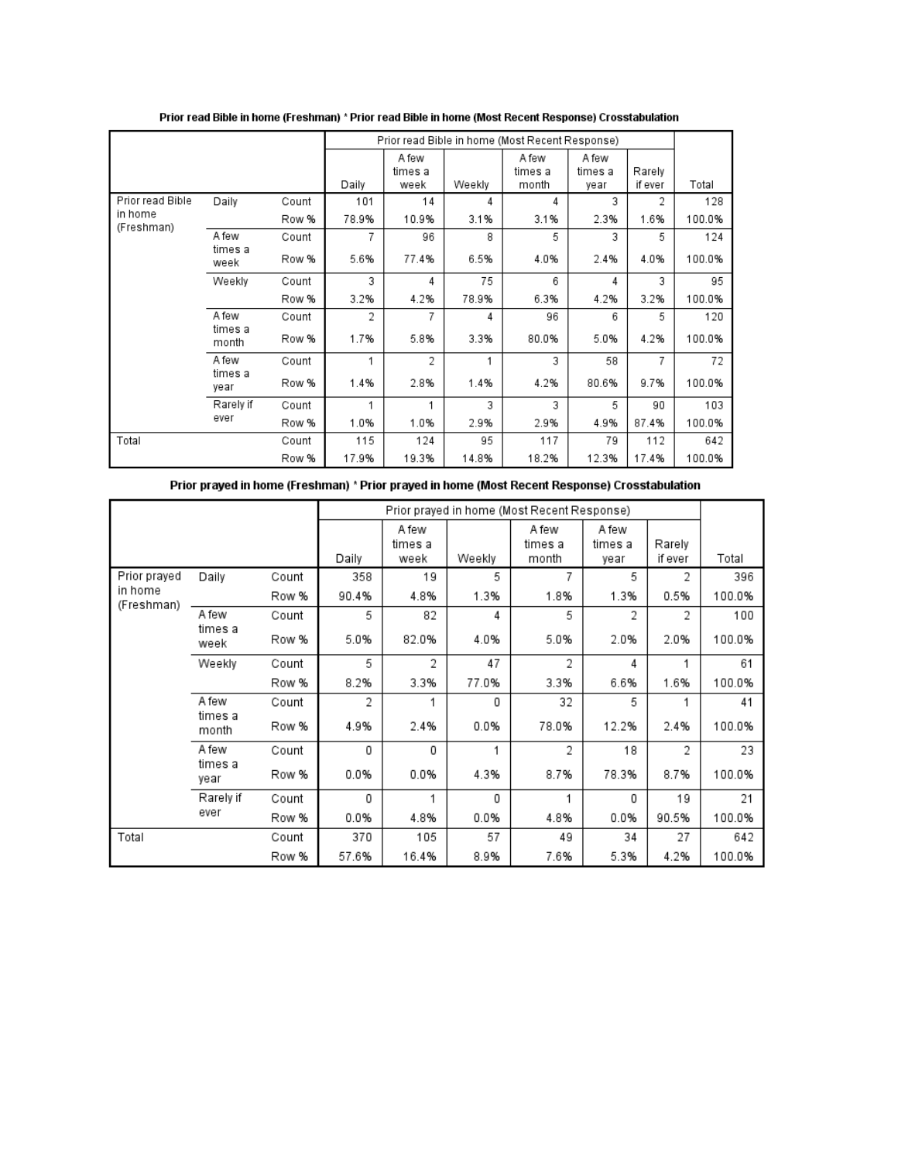|                  |                           |       |       |                          |        | Prior read Bible in home (Most Recent Response) |                          |                   |        |
|------------------|---------------------------|-------|-------|--------------------------|--------|-------------------------------------------------|--------------------------|-------------------|--------|
|                  |                           |       | Daily | A few<br>times a<br>week | Weekly | A few<br>times a<br>month                       | A few<br>times a<br>year | Rarely<br>if ever | Total  |
| Prior read Bible |                           |       |       | 14                       |        | 4                                               | 3                        | 2                 |        |
| in home          | Daily                     | Count | 101   |                          | 4      |                                                 |                          |                   | 128    |
| (Freshman)       |                           | Row % | 78.9% | 10.9%                    | 3.1%   | 3.1%                                            | 2.3%                     | 1.6%              | 100.0% |
|                  | A few                     | Count | 7     | 96                       | 8      | 5                                               | 3                        | 5                 | 124    |
|                  | times a<br>week           | Row % | 5.6%  | 77.4%                    | 6.5%   | 4.0%                                            | 2.4%                     | 4.0%              | 100.0% |
|                  | Weekly                    | Count | 3     | 4                        | 75     | 6                                               | 4                        | 3                 | 95     |
|                  |                           | Row % | 3.2%  | 4.2%                     | 78.9%  | 6.3%                                            | 4.2%                     | 3.2%              | 100.0% |
|                  | A few<br>times a<br>month | Count | 2     | 7                        | 4      | 96                                              | 6                        | 5                 | 120    |
|                  |                           | Row % | 1.7%  | 5.8%                     | 3.3%   | 80.0%                                           | 5.0%                     | 4.2%              | 100.0% |
|                  | A few                     | Count |       | $\overline{2}$           | 1      | 3                                               | 58                       | 7                 | 72     |
|                  | times a<br>vear           | Row % | 1.4%  | 2.8%                     | 1.4%   | 4.2%                                            | 80.6%                    | 9.7%              | 100.0% |
|                  | Rarely if                 | Count |       | 1                        | 3      | 3                                               | 5.                       | 90                | 103    |
|                  | ever                      | Row % | 1.0%  | 1.0%                     | 2.9%   | 2.9%                                            | 4.9%                     | 87.4%             | 100.0% |
| Total            |                           | Count | 115   | 124                      | 95     | 117                                             | 79                       | 112               | 642    |
|                  |                           | Row % | 17.9% | 19.3%                    | 14.8%  | 18.2%                                           | 12.3%                    | 17.4%             | 100.0% |

Prior read Bible in home (Freshman) \* Prior read Bible in home (Most Recent Response) Crosstabulation

Prior prayed in home (Freshman) \* Prior prayed in home (Most Recent Response) Crosstabulation

|              |                           |       |       |                          |        | Prior prayed in home (Most Recent Response) |                  |                   |        |
|--------------|---------------------------|-------|-------|--------------------------|--------|---------------------------------------------|------------------|-------------------|--------|
|              |                           |       | Daily | A few<br>times a<br>week | Weekly | A few<br>times a<br>month                   | A few<br>times a | Rarely<br>if ever | Total  |
| Prior prayed |                           |       |       |                          | 5      | 7                                           | year<br>5        | 2                 |        |
| in home      | Daily                     | Count | 358   | 19                       |        |                                             |                  |                   | 396    |
| (Freshman)   |                           | Row % | 90.4% | 4.8%                     | 1.3%   | 1.8%                                        | 1.3%             | 0.5%              | 100.0% |
|              | A few                     | Count | 5     | 82                       | 4      | 5                                           | 2                | 2                 | 100    |
|              | times a<br>week           | Row % | 5.0%  | 82.0%                    | 4.0%   | 5.0%                                        | 2.0%             | 2.0%              | 100.0% |
|              | Weekly                    | Count | 5     | $\overline{2}$           | 47     | 2                                           | 4                | 1                 | 61     |
|              |                           | Row % | 8.2%  | 3.3%                     | 77.0%  | 3.3%                                        | 6.6%             | 1.6%              | 100.0% |
|              | A few<br>times a<br>month | Count | 2     |                          | 0      | 32                                          | 5                |                   | 41     |
|              |                           | Row % | 4.9%  | 2.4%                     | 0.0%   | 78.0%                                       | 12.2%            | 2.4%              | 100.0% |
|              | A few                     | Count | 0     | 0                        | 1      | 2                                           | 18               | 2                 | 23     |
|              | times a<br>year           | Row % | 0.0%  | 0.0%                     | 4.3%   | 8.7%                                        | 78.3%            | 8.7%              | 100.0% |
|              | Rarely if                 | Count | 0     |                          | 0      |                                             | 0                | 19                | 21     |
|              | ever                      | Row % | 0.0%  | 4.8%                     | 0.0%   | 4.8%                                        | 0.0%             | 90.5%             | 100.0% |
| Total        |                           | Count | 370   | 105                      | 57     | 49                                          | 34               | 27                | 642    |
|              |                           | Row % | 57.6% | 16.4%                    | 8.9%   | 7.6%                                        | 5.3%             | 4.2%              | 100.0% |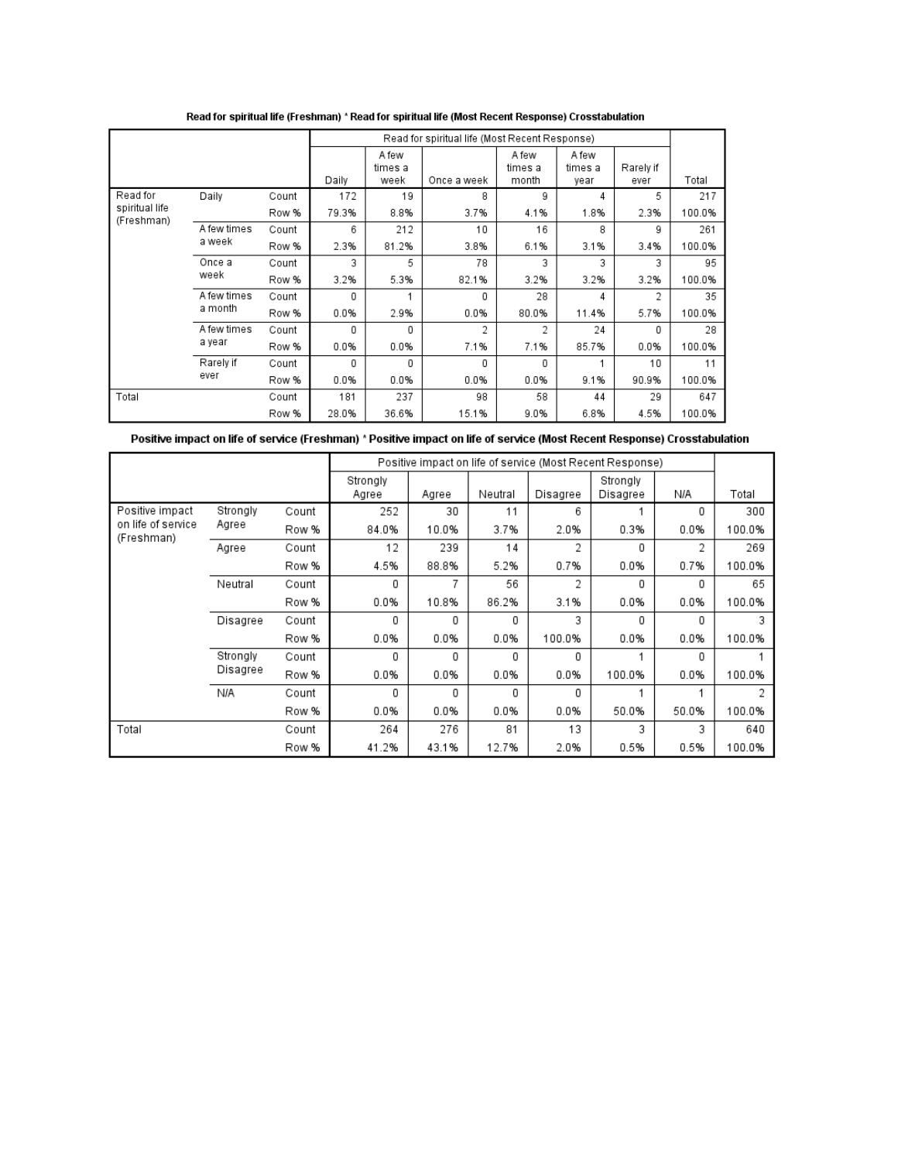|                              |                       |       |       |                          | Read for spiritual life (Most Recent Response) |                           |                          |                   |        |
|------------------------------|-----------------------|-------|-------|--------------------------|------------------------------------------------|---------------------------|--------------------------|-------------------|--------|
|                              |                       |       | Daily | A few<br>times a<br>week | Once a week                                    | A few<br>times a<br>month | A few<br>times a<br>year | Rarely if<br>ever | Total  |
| Read for                     | Daily                 | Count | 172   | 19                       | 8                                              | 9                         | 4                        | 5                 | 217    |
| spiritual life<br>(Freshman) |                       | Row % | 79.3% | 8.8%                     | 3.7%                                           | 4.1%                      | 1.8%                     | 2.3%              | 100.0% |
|                              | A few times<br>a week | Count | 6     | 212                      | 10                                             | 16                        | 8                        | 9                 | 261    |
|                              |                       | Row % | 2.3%  | 81.2%                    | 3.8%                                           | 6.1%                      | 3.1%                     | 3.4%              | 100.0% |
|                              | Once a<br>week        | Count | 3     | 5                        | 78                                             | 3                         | 3                        | 3                 | 95     |
|                              |                       | Row % | 3.2%  | 5.3%                     | 82.1%                                          | 3.2%                      | 3.2%                     | 3.2%              | 100.0% |
|                              | A few times           | Count | 0     |                          | 0                                              | 28                        | 4                        | 2                 | 35     |
|                              | a month               | Row % | 0.0%  | 2.9%                     | 0.0%                                           | 80.0%                     | 11.4%                    | 5.7%              | 100.0% |
|                              | A few times           | Count | 0     | 0                        | $\overline{2}$                                 | 2                         | 24                       | 0                 | 28     |
|                              | a year                | Row % | 0.0%  | 0.0%                     | 7.1%                                           | 7.1%                      | 85.7%                    | 0.0%              | 100.0% |
|                              | Rarely if             | Count | 0     | 0                        | 0                                              | 0                         |                          | 10                | 11     |
|                              | ever                  | Row % | 0.0%  | 0.0%                     | 0.0%                                           | 0.0%                      | 9.1%                     | 90.9%             | 100.0% |
| Total                        |                       | Count | 181   | 237                      | 98                                             | 58                        | 44                       | 29                | 647    |
|                              |                       | Row % | 28.0% | 36.6%                    | 15.1%                                          | 9.0%                      | 6.8%                     | 4.5%              | 100.0% |

Read for spiritual life (Freshman) \* Read for spiritual life (Most Recent Response) Crosstabulation

| Positive impact on life of service (Freshman) * Positive impact on life of service (Most Recent Response) Crosstabulation |  |  |
|---------------------------------------------------------------------------------------------------------------------------|--|--|
|---------------------------------------------------------------------------------------------------------------------------|--|--|

|                                  |          |       |                   | Positive impact on life of service (Most Recent Response) |         |          |                      |       |        |  |  |
|----------------------------------|----------|-------|-------------------|-----------------------------------------------------------|---------|----------|----------------------|-------|--------|--|--|
|                                  |          |       | Strongly<br>Agree | Agree                                                     | Neutral | Disagree | Strongly<br>Disagree | N/A   | Total  |  |  |
| Positive impact                  | Strongly | Count | 252               | 30                                                        | 11      | 6        |                      | 0     | 300    |  |  |
| on life of service<br>(Freshman) | Agree    | Row % | 84.0%             | 10.0%                                                     | 3.7%    | 2.0%     | 0.3%                 | 0.0%  | 100.0% |  |  |
|                                  | Agree    | Count | 12                | 239                                                       | 14      | 2        | 0                    | 2     | 269    |  |  |
|                                  |          | Row % | 4.5%              | 88.8%                                                     | 5.2%    | 0.7%     | 0.0%                 | 0.7%  | 100.0% |  |  |
|                                  | Neutral  | Count | 0                 | 7                                                         | 56      | 2        | 0                    | 0     | 65     |  |  |
|                                  |          | Row % | 0.0%              | 10.8%                                                     | 86.2%   | 3.1%     | 0.0%                 | 0.0%  | 100.0% |  |  |
|                                  | Disagree | Count | 0                 | 0                                                         | 0       | 3        | 0                    | 0     | 3      |  |  |
|                                  |          | Row % | 0.0%              | 0.0%                                                      | 0.0%    | 100.0%   | 0.0%                 | 0.0%  | 100.0% |  |  |
|                                  | Strongly | Count | 0                 | 0                                                         | 0       | 0        |                      | 0     |        |  |  |
|                                  | Disagree | Row % | 0.0%              | 0.0%                                                      | 0.0%    | 0.0%     | 100.0%               | 0.0%  | 100.0% |  |  |
|                                  | N/A      | Count | 0                 | 0                                                         | 0       | 0        |                      |       | 2      |  |  |
|                                  |          | Row % | 0.0%              | 0.0%                                                      | 0.0%    | 0.0%     | 50.0%                | 50.0% | 100.0% |  |  |
| Total                            |          | Count | 264               | 276                                                       | 81      | 13       | 3                    | 3     | 640    |  |  |
|                                  |          | Row % | 41.2%             | 43.1%                                                     | 12.7%   | 2.0%     | 0.5%                 | 0.5%  | 100.0% |  |  |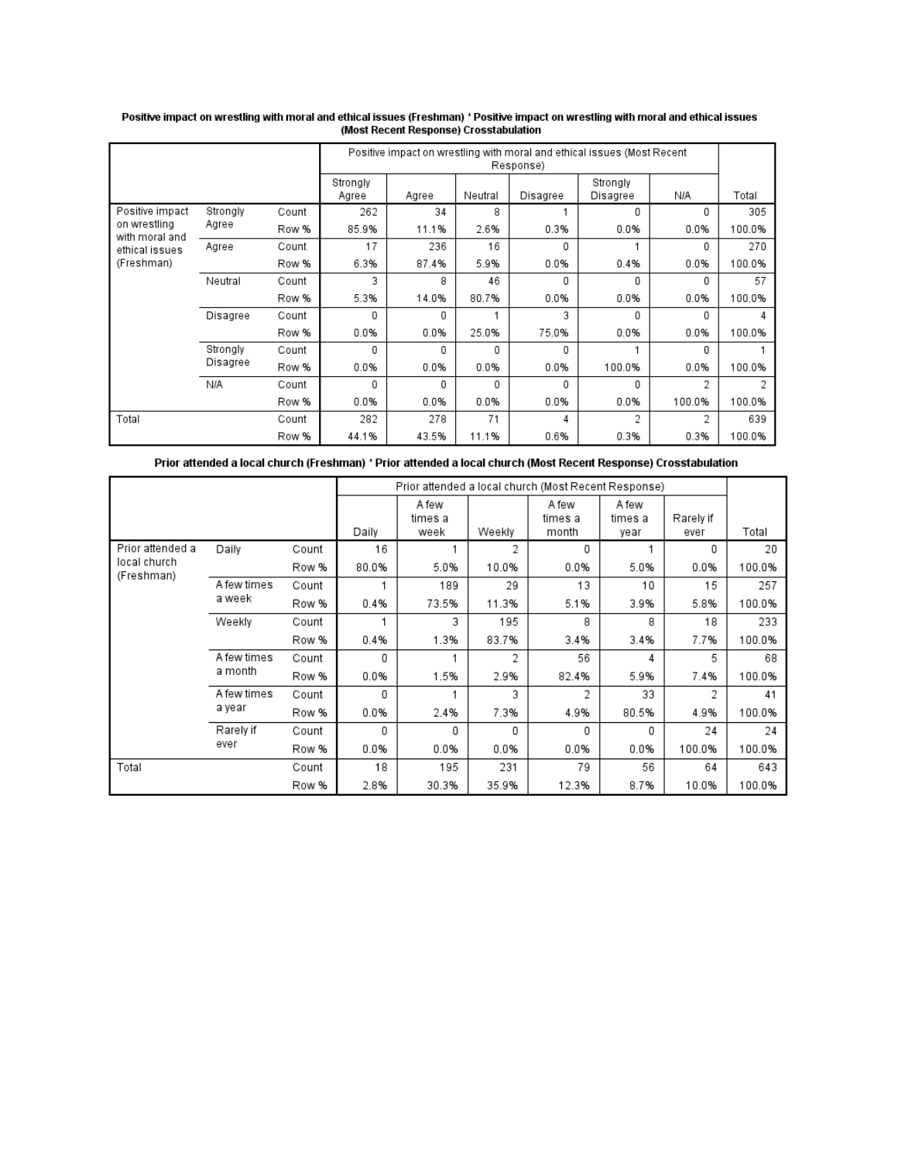|                                                                |          |       |                   | Positive impact on wrestling with moral and ethical issues (Most Recent<br>Response) |          |          |                      |        |        |  |  |
|----------------------------------------------------------------|----------|-------|-------------------|--------------------------------------------------------------------------------------|----------|----------|----------------------|--------|--------|--|--|
|                                                                |          |       | Strongly<br>Agree | Agree                                                                                | Neutral  | Disagree | Strongly<br>Disagree | N/A    | Total  |  |  |
| Positive impact                                                | Strongly | Count | 262               | 34                                                                                   | 8        |          | 0                    | 0      | 305    |  |  |
| on wrestling<br>with moral and<br>ethical issues<br>(Freshman) | Agree    | Row % | 85.9%             | 11.1%                                                                                | 2.6%     | 0.3%     | 0.0%                 | 0.0%   | 100.0% |  |  |
|                                                                | Agree    | Count | 17                | 236                                                                                  | 16       | 0        |                      | 0      | 270    |  |  |
|                                                                |          | Row % | 6.3%              | 87.4%                                                                                | 5.9%     | 0.0%     | 0.4%                 | 0.0%   | 100.0% |  |  |
|                                                                | Neutral  | Count | 3                 | 8                                                                                    | 46       | 0        | O                    | 0      | 57     |  |  |
|                                                                |          | Row % | 5.3%              | 14.0%                                                                                | 80.7%    | 0.0%     | 0.0%                 | 0.0%   | 100.0% |  |  |
|                                                                | Disagree | Count | 0                 | 0                                                                                    |          | 3        | $\Omega$             | 0      |        |  |  |
|                                                                |          | Row % | 0.0%              | 0.0%                                                                                 | 25.0%    | 75.0%    | 0.0%                 | 0.0%   | 100.0% |  |  |
|                                                                | Strongly | Count | 0                 | 0                                                                                    | $\Omega$ | 0        |                      | 0      |        |  |  |
|                                                                | Disagree | Row % | 0.0%              | 0.0%                                                                                 | 0.0%     | 0.0%     | 100.0%               | 0.0%   | 100.0% |  |  |
|                                                                | N/A      | Count | 0                 | 0                                                                                    | 0        | 0        | 0                    | 2      |        |  |  |
|                                                                |          | Row % | 0.0%              | 0.0%                                                                                 | 0.0%     | 0.0%     | 0.0%                 | 100.0% | 100.0% |  |  |
| Total                                                          |          | Count | 282               | 278                                                                                  | 71       | 4        | 2                    | 2      | 639    |  |  |
|                                                                |          | Row % | 44.1%             | 43.5%                                                                                | 11.1%    | 0.6%     | 0.3%                 | 0.3%   | 100.0% |  |  |

# Positive impact on wrestling with moral and ethical issues (Freshman) \*Positive impact on wrestling with moral and ethical issues<br>Most Recent Response) Crosstabulation)

Prior attended a local church (Freshman) \* Prior attended a local church (Most Recent Response) Crosstabulation

|                            |             |       |       |                  |        | Prior attended a local church (Most Recent Response) |                  |           |        |
|----------------------------|-------------|-------|-------|------------------|--------|------------------------------------------------------|------------------|-----------|--------|
|                            |             |       |       | A few<br>times a |        | A few<br>times a                                     | A few<br>times a | Rarely if |        |
|                            |             |       | Daily | week             | Weekly | month                                                | year             | ever      | Total  |
| Prior attended a           | Daily       | Count | 16    |                  | 2      | 0                                                    |                  | 0         | 20     |
| local church<br>(Freshman) |             | Row % | 80.0% | 5.0%             | 10.0%  | 0.0%                                                 | 5.0%             | 0.0%      | 100.0% |
|                            | A few times | Count |       | 189              | 29     | 13                                                   | 10               | 15        | 257    |
|                            | a week      | Row % | 0.4%  | 73.5%            | 11.3%  | 5.1%                                                 | 3.9%             | 5.8%      | 100.0% |
|                            | Weekly      | Count |       | 3                | 195    | 8                                                    | 8                | 18        | 233    |
|                            |             | Row % | 0.4%  | 1.3%             | 83.7%  | 3.4%                                                 | 3.4%             | 7.7%      | 100.0% |
|                            | A few times | Count | 0     |                  | 2      | 56                                                   | 4                | 5         | 68     |
|                            | a month     | Row % | 0.0%  | 1.5%             | 2.9%   | 82.4%                                                | 5.9%             | 7.4%      | 100.0% |
|                            | A few times | Count | 0     |                  | 3      | 2                                                    | 33               | 2         | 41     |
|                            | a year      | Row % | 0.0%  | 2.4%             | 7.3%   | 4.9%                                                 | 80.5%            | 4.9%      | 100.0% |
|                            | Rarely if   | Count | 0     | 0                | 0      | 0                                                    | 0                | 24        | 24     |
|                            | ever        | Row % | 0.0%  | 0.0%             | 0.0%   | 0.0%                                                 | 0.0%             | 100.0%    | 100.0% |
| Total                      |             | Count | 18    | 195              | 231    | 79                                                   | 56               | 64        | 643    |
|                            |             | Row % | 2.8%  | 30.3%            | 35.9%  | 12.3%                                                | 8.7%             | 10.0%     | 100.0% |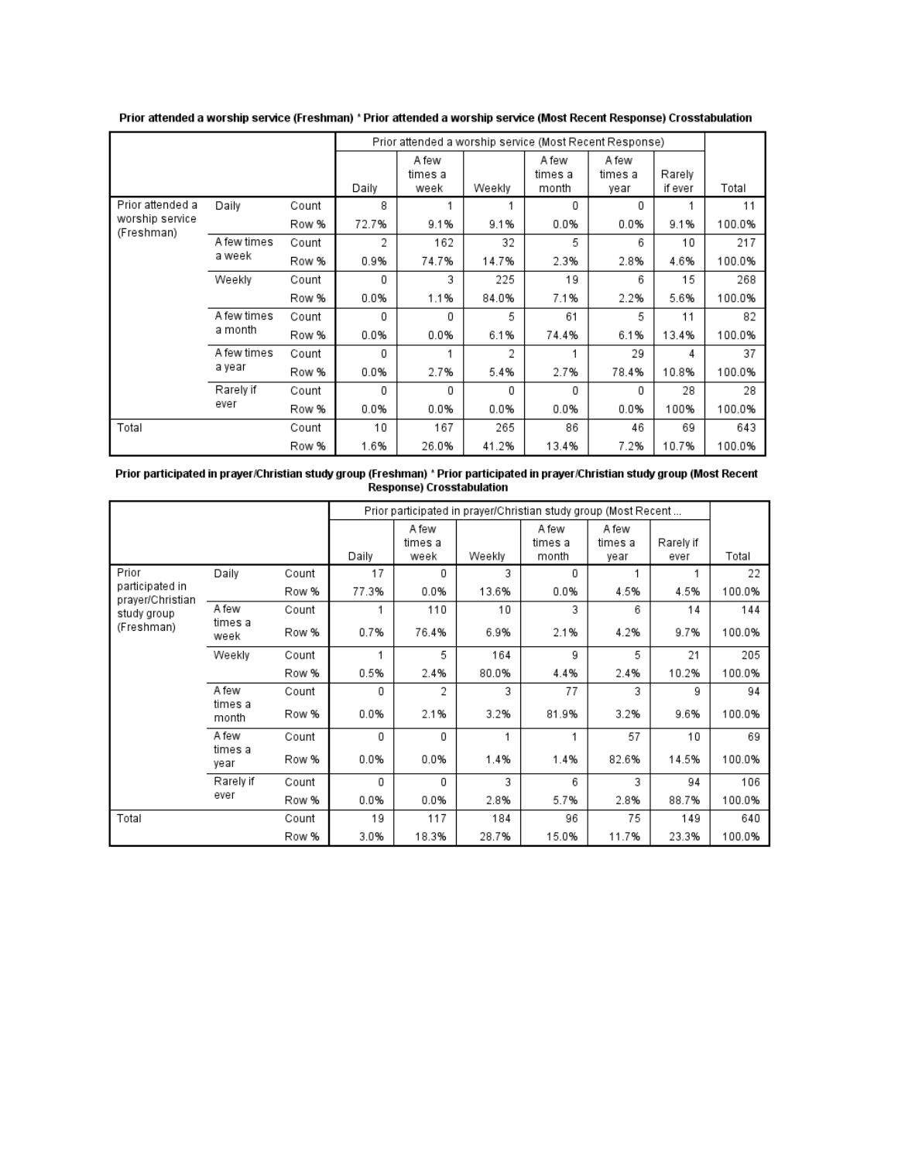|                               |             |       |       | Prior attended a worship service (Most Recent Response) |        |                           |                          |                   |        |
|-------------------------------|-------------|-------|-------|---------------------------------------------------------|--------|---------------------------|--------------------------|-------------------|--------|
|                               |             |       | Daily | A few<br>times a<br>week                                | Weekly | A few<br>times a<br>month | A few<br>times a<br>year | Rarely<br>if ever | Total  |
| Prior attended a              | Daily       | Count | 8     |                                                         |        | 0                         | 0                        |                   | 11     |
| worship service<br>(Freshman) |             | Row % | 72.7% | 9.1%                                                    | 9.1%   | 0.0%                      | 0.0%                     | 9.1%              | 100.0% |
|                               | A few times | Count | 2     | 162                                                     | 32     | 5                         | 6                        | 10                | 217    |
|                               | a week      | Row % | 0.9%  | 74.7%                                                   | 14.7%  | 2.3%                      | 2.8%                     | 4.6%              | 100.0% |
|                               | Weekly      | Count | 0     | 3                                                       | 225    | 19                        | 6                        | 15                | 268    |
|                               |             | Row % | 0.0%  | 1.1%                                                    | 84.0%  | 7.1%                      | 2.2%                     | 5.6%              | 100.0% |
|                               | A few times | Count | 0     | 0                                                       | 5      | 61                        | 5                        | 11                | 82     |
|                               | a month     | Row % | 0.0%  | 0.0%                                                    | 6.1%   | 74.4%                     | 6.1%                     | 13.4%             | 100.0% |
|                               | A few times | Count | 0     |                                                         | 2      |                           | 29                       | 4                 | 37     |
|                               | a year      | Row % | 0.0%  | 2.7%                                                    | 5.4%   | 2.7%                      | 78.4%                    | 10.8%             | 100.0% |
|                               | Rarely if   | Count | 0     | 0                                                       | 0      | 0                         | 0                        | 28                | 28     |
|                               | ever        | Row % | 0.0%  | 0.0%                                                    | 0.0%   | 0.0%                      | 0.0%                     | 100%              | 100.0% |
| Total                         |             | Count | 10    | 167                                                     | 265    | 86                        | 46                       | 69                | 643    |
|                               |             | Row % | 1.6%  | 26.0%                                                   | 41.2%  | 13.4%                     | 7.2%                     | 10.7%             | 100.0% |

Prior attended a worship service (Freshman) \* Prior attended a worship service (Most Recent Response) Crosstabulation

| Prior participated in prayer/Christian study group (Freshman) * Prior participated in prayer/Christian study group (Most Recent |
|---------------------------------------------------------------------------------------------------------------------------------|
| Response) Crosstabulation                                                                                                       |

|                                                                           |                           |       |       |                          |        | Prior participated in prayer/Christian study group (Most Recent |                          |                   |        |
|---------------------------------------------------------------------------|---------------------------|-------|-------|--------------------------|--------|-----------------------------------------------------------------|--------------------------|-------------------|--------|
|                                                                           |                           |       | Daily | A few<br>times a<br>week | Weekly | A few<br>times a<br>month                                       | A few<br>times a<br>year | Rarely if<br>ever | Total  |
| Prior<br>participated in<br>prayer/Christian<br>study group<br>(Freshman) | Daily                     | Count | 17    | 0                        | 3      | 0                                                               |                          |                   | 22     |
|                                                                           |                           | Row % | 77.3% | 0.0%                     | 13.6%  | 0.0%                                                            | 4.5%                     | 4.5%              | 100.0% |
|                                                                           | A few                     | Count |       | 110                      | 10     | 3                                                               | 6                        | 14                | 144    |
|                                                                           | times a<br>week           | Row % | 0.7%  | 76.4%                    | 6.9%   | 2.1%                                                            | 4.2%                     | 9.7%              | 100.0% |
|                                                                           | Weekly                    | Count | 1     | 5                        | 164    | 9                                                               | 5                        | 21                | 205    |
|                                                                           |                           | Row % | 0.5%  | 2.4%                     | 80.0%  | 4.4%                                                            | 2.4%                     | 10.2%             | 100.0% |
|                                                                           | A few<br>times a<br>month | Count | 0     | 2                        | 3      | 77                                                              | 3                        | 9                 | 94     |
|                                                                           |                           | Row % | 0.0%  | 2.1%                     | 3.2%   | 81.9%                                                           | 3.2%                     | 9.6%              | 100.0% |
|                                                                           | A few                     | Count | 0     | 0                        | 1      | 1                                                               | 57                       | 10                | 69     |
|                                                                           | times a<br>year           | Row % | 0.0%  | 0.0%                     | 1.4%   | 1.4%                                                            | 82.6%                    | 14.5%             | 100.0% |
|                                                                           | Rarely if                 | Count | 0     | 0                        | 3      | 6                                                               | 3                        | 94                | 106    |
|                                                                           | ever                      | Row % | 0.0%  | 0.0%                     | 2.8%   | 5.7%                                                            | 2.8%                     | 88.7%             | 100.0% |
| Total                                                                     |                           | Count | 19    | 117                      | 184    | 96                                                              | 75                       | 149               | 640    |
|                                                                           |                           | Row % | 3.0%  | 18.3%                    | 28.7%  | 15.0%                                                           | 11.7%                    | 23.3%             | 100.0% |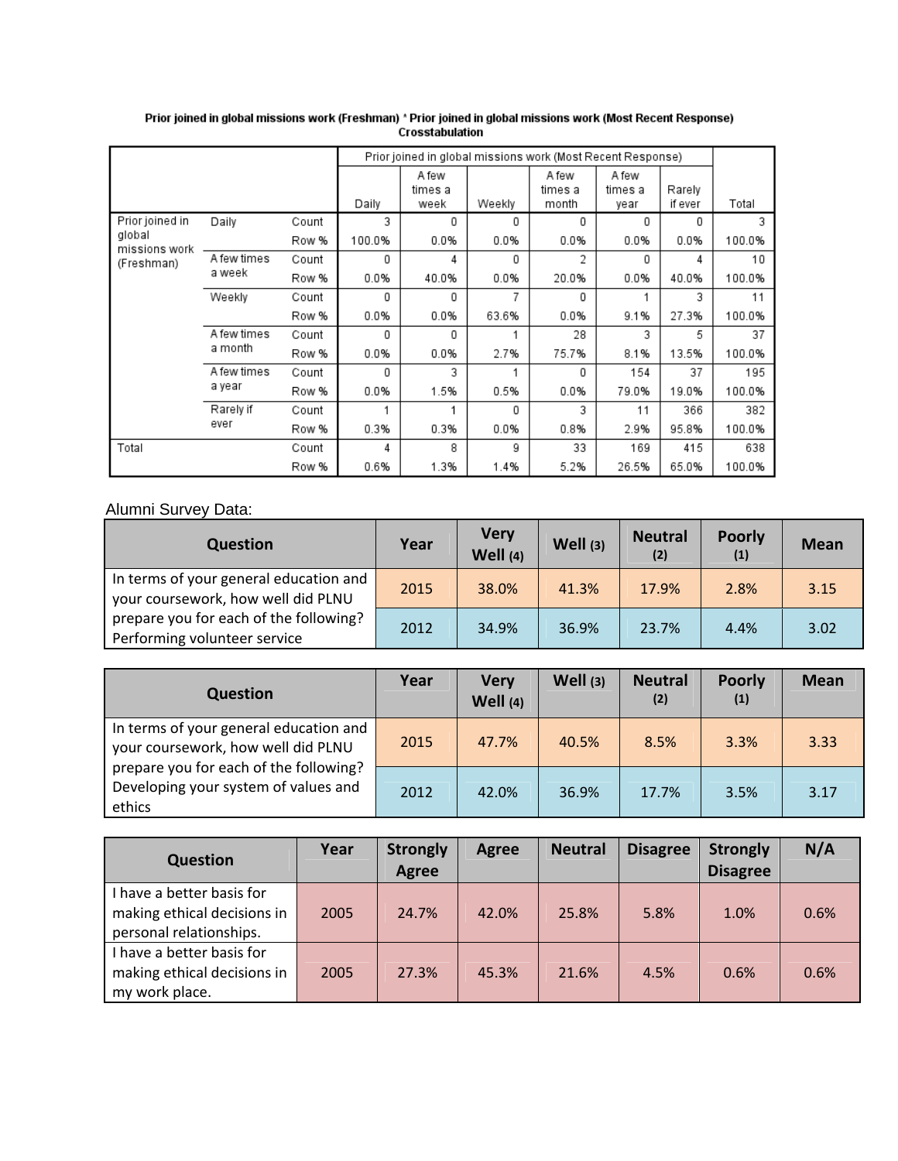|                         |             |       | Prior joined in global missions work (Most Recent Response) |                          |        |                           |                  |                   |        |
|-------------------------|-------------|-------|-------------------------------------------------------------|--------------------------|--------|---------------------------|------------------|-------------------|--------|
|                         |             |       | Daily                                                       | A few<br>times a<br>week | Weekly | A few<br>times a<br>month | A few<br>times a | Rarely<br>if ever | Total  |
| Prior joined in         |             |       | 3                                                           |                          |        |                           | year             |                   |        |
|                         | Daily       | Count |                                                             | 0                        | 0      | 0                         | 0                | 0                 | 3      |
| global<br>missions work |             | Row % | 100.0%                                                      | 0.0%                     | 0.0%   | 0.0%                      | 0.0%             | 0.0%              | 100.0% |
| (Freshman)              | A few times | Count | 0                                                           | 4                        | 0      | 2                         | 0                | 4                 | 10     |
|                         | a week      | Row % | 0.0%                                                        | 40.0%                    | 0.0%   | 20.0%                     | 0.0%             | 40.0%             | 100.0% |
|                         | Weekly      | Count | 0                                                           | 0                        | 7      | 0                         |                  | 3                 | 11     |
|                         |             | Row % | 0.0%                                                        | 0.0%                     | 63.6%  | 0.0%                      | 9.1%             | 27.3%             | 100.0% |
|                         | A few times | Count | 0                                                           | 0                        |        | 28                        | 3                | 5                 | 37     |
|                         | a month     | Row % | 0.0%                                                        | 0.0%                     | 2.7%   | 75.7%                     | 8.1%             | 13.5%             | 100.0% |
|                         | A few times | Count | 0                                                           | 3                        |        | 0                         | 154              | 37                | 195    |
|                         | a year      | Row % | 0.0%                                                        | 1.5%                     | 0.5%   | 0.0%                      | 79.0%            | 19.0%             | 100.0% |
|                         | Rarely if   | Count |                                                             |                          | 0      | 3                         | 11               | 366               | 382    |
|                         | ever        | Row % | 0.3%                                                        | 0.3%                     | 0.0%   | 0.8%                      | 2.9%             | 95.8%             | 100.0% |
| Total                   |             | Count | 4                                                           | 8                        | 9      | 33                        | 169              | 415               | 638    |
|                         |             | Row % | 0.6%                                                        | 1.3%                     | 1.4%   | 5.2%                      | 26.5%            | 65.0%             | 100.0% |

Prior joined in global missions work (Freshman) \* Prior joined in global missions work (Most Recent Response)<br>Crosstabulation

# Alumni Survey Data:

| <b>Question</b>                                                              | Year | <b>Very</b><br>Well $(4)$ | Well (3) | <b>Neutral</b><br>(2) | <b>Poorly</b><br>(1) | <b>Mean</b> |
|------------------------------------------------------------------------------|------|---------------------------|----------|-----------------------|----------------------|-------------|
| In terms of your general education and<br>your coursework, how well did PLNU | 2015 | 38.0%                     | 41.3%    | 17.9%                 | 2.8%                 | 3.15        |
| prepare you for each of the following?<br>Performing volunteer service       | 2012 | 34.9%                     | 36.9%    | 23.7%                 | 4.4%                 | 3.02        |

| <b>Question</b>                                                                          | Year | <b>Very</b><br>Well $(4)$ | Well (3) | <b>Neutral</b><br>(2) | <b>Poorly</b><br>(1) | <b>Mean</b> |
|------------------------------------------------------------------------------------------|------|---------------------------|----------|-----------------------|----------------------|-------------|
| In terms of your general education and<br>your coursework, how well did PLNU             | 2015 | 47.7%                     | 40.5%    | 8.5%                  | 3.3%                 | 3.33        |
| prepare you for each of the following?<br>Developing your system of values and<br>ethics | 2012 | 42.0%                     | 36.9%    | 17.7%                 | 3.5%                 | 3.17        |

| <b>Question</b>                                          | Year | <b>Strongly</b><br>Agree | <b>Agree</b> | <b>Neutral</b> | <b>Disagree</b> | <b>Strongly</b><br><b>Disagree</b> | N/A  |
|----------------------------------------------------------|------|--------------------------|--------------|----------------|-----------------|------------------------------------|------|
| I have a better basis for<br>making ethical decisions in | 2005 | 24.7%                    | 42.0%        | 25.8%          | 5.8%            | 1.0%                               | 0.6% |
| personal relationships.                                  |      |                          |              |                |                 |                                    |      |
| I have a better basis for                                |      |                          |              |                |                 |                                    |      |
| making ethical decisions in                              | 2005 | 27.3%                    | 45.3%        | 21.6%          | 4.5%            | 0.6%                               | 0.6% |
| my work place.                                           |      |                          |              |                |                 |                                    |      |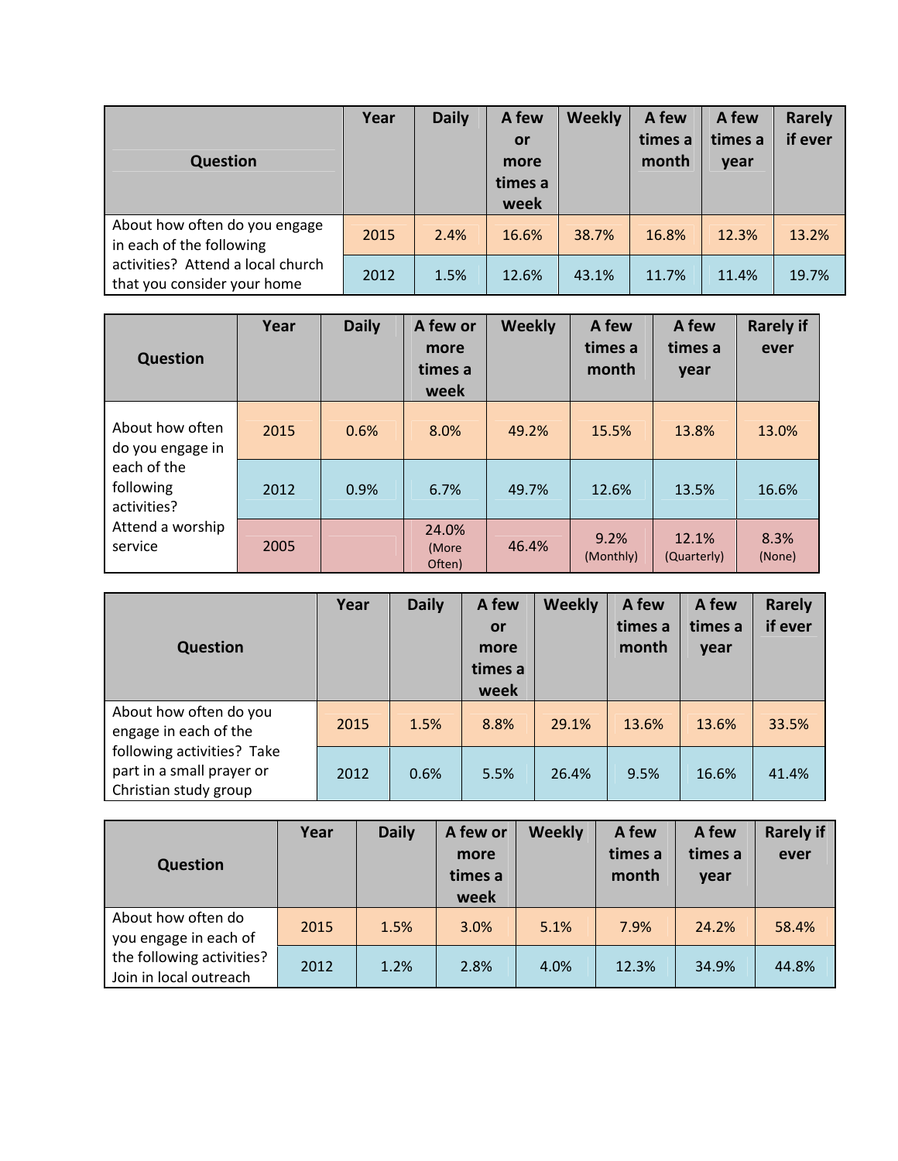| <b>Question</b>                                                  | Year | <b>Daily</b> | A few<br>or<br>more<br>times a<br>week | <b>Weekly</b> | A few<br>times a<br>month | A few<br>times a<br>year | Rarely<br>if ever |
|------------------------------------------------------------------|------|--------------|----------------------------------------|---------------|---------------------------|--------------------------|-------------------|
| About how often do you engage<br>in each of the following        | 2015 | 2.4%         | 16.6%                                  | 38.7%         | 16.8%                     | 12.3%                    | 13.2%             |
| activities? Attend a local church<br>that you consider your home | 2012 | 1.5%         | 12.6%                                  | 43.1%         | 11.7%                     | 11.4%                    | 19.7%             |

| <b>Question</b>                         | Year | <b>Daily</b> | A few or<br>more<br>times a<br>week | <b>Weekly</b> | A few<br>times a<br>month | A few<br>times a<br>year | <b>Rarely if</b><br>ever |
|-----------------------------------------|------|--------------|-------------------------------------|---------------|---------------------------|--------------------------|--------------------------|
| About how often<br>do you engage in     | 2015 | 0.6%         | 8.0%                                | 49.2%         | 15.5%                     | 13.8%                    | 13.0%                    |
| each of the<br>following<br>activities? | 2012 | 0.9%         | 6.7%                                | 49.7%         | 12.6%                     | 13.5%                    | 16.6%                    |
| Attend a worship<br>service             | 2005 |              | 24.0%<br>(More<br>Often)            | 46.4%         | 9.2%<br>(Monthly)         | 12.1%<br>(Quarterly)     | 8.3%<br>(None)           |

| <b>Question</b>                                                                  | Year | <b>Daily</b> | A few<br>or<br>more<br>times a<br>week | <b>Weekly</b> | A few<br>times a<br>month | A few<br>times a<br>year | <b>Rarely</b><br>if ever |
|----------------------------------------------------------------------------------|------|--------------|----------------------------------------|---------------|---------------------------|--------------------------|--------------------------|
| About how often do you<br>engage in each of the                                  | 2015 | 1.5%         | 8.8%                                   | 29.1%         | 13.6%                     | 13.6%                    | 33.5%                    |
| following activities? Take<br>part in a small prayer or<br>Christian study group | 2012 | 0.6%         | 5.5%                                   | 26.4%         | 9.5%                      | 16.6%                    | 41.4%                    |

| <b>Question</b>                                                                                    | Year | <b>Daily</b> | A few or<br>more<br>times a<br>week | <b>Weekly</b> | A few<br>times a<br>month | A few<br>times a<br>year | <b>Rarely if</b><br>ever |
|----------------------------------------------------------------------------------------------------|------|--------------|-------------------------------------|---------------|---------------------------|--------------------------|--------------------------|
| About how often do<br>you engage in each of<br>the following activities?<br>Join in local outreach | 2015 | 1.5%         | 3.0%                                | 5.1%          | 7.9%                      | 24.2%                    | 58.4%                    |
|                                                                                                    | 2012 | 1.2%         | 2.8%                                | 4.0%          | 12.3%                     | 34.9%                    | 44.8%                    |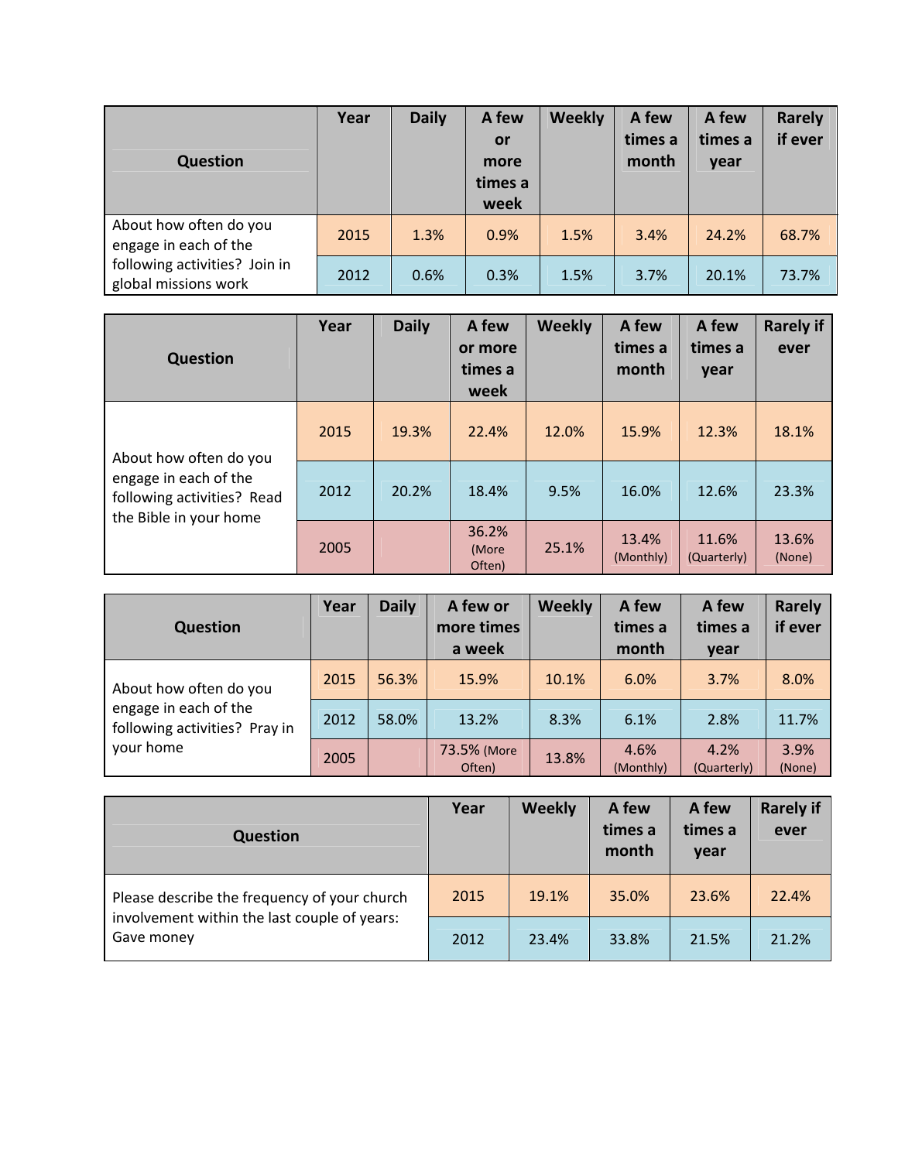| <b>Question</b>                                       | Year | <b>Daily</b> | A few<br>or<br>more<br>times a<br>week | <b>Weekly</b> | A few<br>times a<br>month | A few<br>times a<br>year | <b>Rarely</b><br>if ever |
|-------------------------------------------------------|------|--------------|----------------------------------------|---------------|---------------------------|--------------------------|--------------------------|
| About how often do you<br>engage in each of the       | 2015 | 1.3%         | 0.9%                                   | 1.5%          | 3.4%                      | 24.2%                    | 68.7%                    |
| following activities? Join in<br>global missions work | 2012 | 0.6%         | 0.3%                                   | 1.5%          | 3.7%                      | 20.1%                    | 73.7%                    |

| <b>Question</b>                                                                                         | Year | <b>Daily</b> | A few<br>or more<br>times a<br>week | <b>Weekly</b> | A few<br>times a<br>month | A few<br>times a<br>year | <b>Rarely if</b><br>ever |
|---------------------------------------------------------------------------------------------------------|------|--------------|-------------------------------------|---------------|---------------------------|--------------------------|--------------------------|
| About how often do you<br>engage in each of the<br>following activities? Read<br>the Bible in your home | 2015 | 19.3%        | 22.4%                               | 12.0%         | 15.9%                     | 12.3%                    | 18.1%                    |
|                                                                                                         | 2012 | 20.2%        | 18.4%                               | 9.5%          | 16.0%                     | 12.6%                    | 23.3%                    |
|                                                                                                         | 2005 |              | 36.2%<br>(More<br>Often)            | 25.1%         | 13.4%<br>(Monthly)        | 11.6%<br>(Quarterly)     | 13.6%<br>(None)          |

| <b>Question</b>                                                                               | Year | <b>Daily</b> | A few or<br>more times<br>a week | <b>Weekly</b> | A few<br>times a<br>month | A few<br>times a<br>year | <b>Rarely</b><br>if ever |
|-----------------------------------------------------------------------------------------------|------|--------------|----------------------------------|---------------|---------------------------|--------------------------|--------------------------|
| About how often do you<br>engage in each of the<br>following activities? Pray in<br>your home | 2015 | 56.3%        | 15.9%                            | 10.1%         | 6.0%                      | 3.7%                     | 8.0%                     |
|                                                                                               | 2012 | 58.0%        | 13.2%                            | 8.3%          | 6.1%                      | 2.8%                     | 11.7%                    |
|                                                                                               | 2005 |              | 73.5% (More<br>Often)            | 13.8%         | 4.6%<br>(Monthly)         | 4.2%<br>(Quarterly)      | 3.9%<br>(None)           |

| <b>Question</b>                                            | Year | <b>Weekly</b> | A few<br>times a<br>month | A few<br>times a<br>year | <b>Rarely if</b><br>ever |
|------------------------------------------------------------|------|---------------|---------------------------|--------------------------|--------------------------|
| Please describe the frequency of your church               | 2015 | 19.1%         | 35.0%                     | 23.6%                    | 22.4%                    |
| involvement within the last couple of years:<br>Gave money | 2012 | 23.4%         | 33.8%                     | 21.5%                    | 21.2%                    |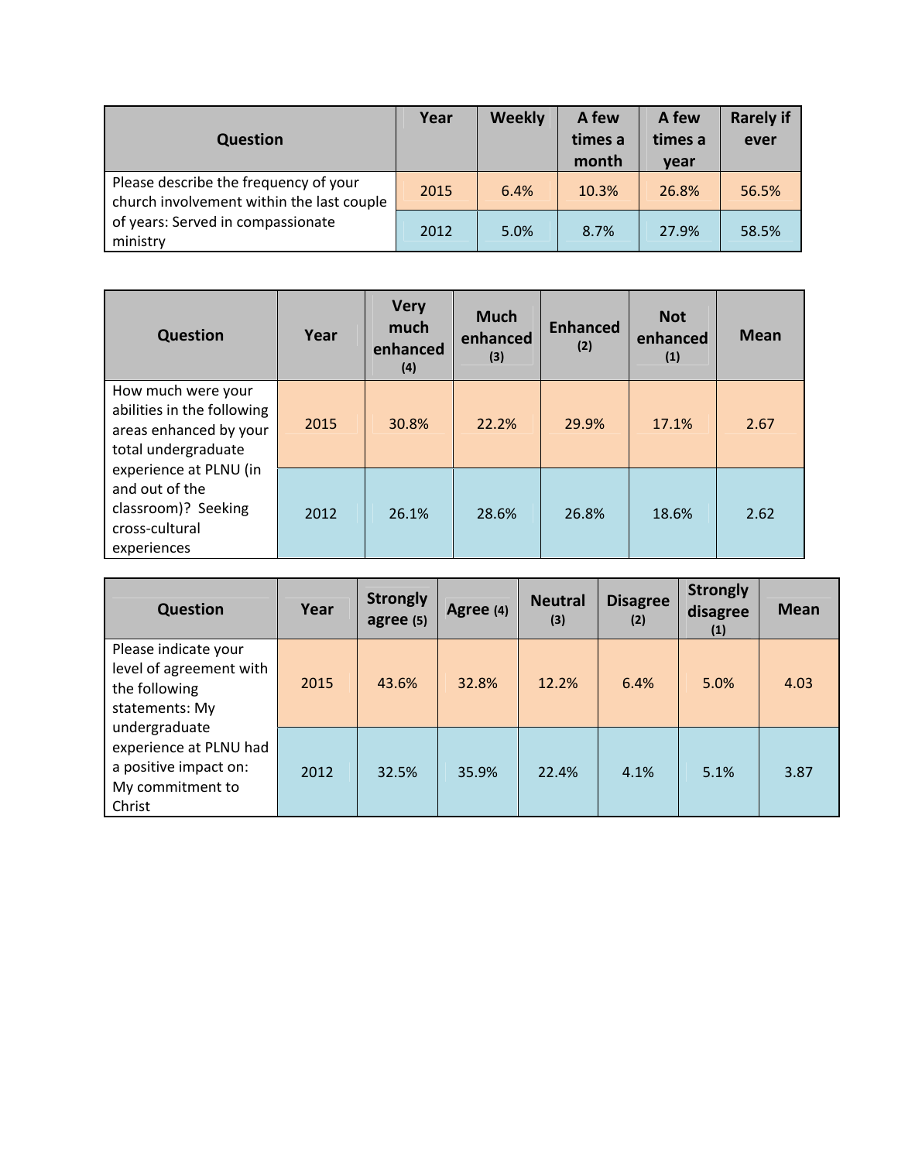| <b>Question</b>                                                                    | Year | <b>Weekly</b> | A few<br>times a<br>month | A few<br>times a<br>vear | <b>Rarely if</b><br>ever |
|------------------------------------------------------------------------------------|------|---------------|---------------------------|--------------------------|--------------------------|
| Please describe the frequency of your<br>church involvement within the last couple | 2015 | 6.4%          | 10.3%                     | 26.8%                    | 56.5%                    |
| of years: Served in compassionate<br>ministry                                      | 2012 | 5.0%          | 8.7%                      | 27.9%                    | 58.5%                    |

| <b>Question</b>                                                                                   | Year | <b>Very</b><br>much<br>enhanced<br>(4) | <b>Much</b><br>enhanced<br>(3) | <b>Enhanced</b><br>(2) | <b>Not</b><br>enhanced<br>(1) | <b>Mean</b> |
|---------------------------------------------------------------------------------------------------|------|----------------------------------------|--------------------------------|------------------------|-------------------------------|-------------|
| How much were your<br>abilities in the following<br>areas enhanced by your<br>total undergraduate | 2015 | 30.8%                                  | 22.2%                          | 29.9%                  | 17.1%                         | 2.67        |
| experience at PLNU (in<br>and out of the<br>classroom)? Seeking<br>cross-cultural<br>experiences  | 2012 | 26.1%                                  | 28.6%                          | 26.8%                  | 18.6%                         | 2.62        |

| <b>Question</b>                                                                                | Year | <b>Strongly</b><br>agree (5) | Agree (4) | <b>Neutral</b><br>(3) | <b>Disagree</b><br>(2) | <b>Strongly</b><br>disagree<br>(1) | <b>Mean</b> |
|------------------------------------------------------------------------------------------------|------|------------------------------|-----------|-----------------------|------------------------|------------------------------------|-------------|
| Please indicate your<br>level of agreement with<br>the following<br>statements: My             | 2015 | 43.6%                        | 32.8%     | 12.2%                 | 6.4%                   | 5.0%                               | 4.03        |
| undergraduate<br>experience at PLNU had<br>a positive impact on:<br>My commitment to<br>Christ | 2012 | 32.5%                        | 35.9%     | 22.4%                 | 4.1%                   | 5.1%                               | 3.87        |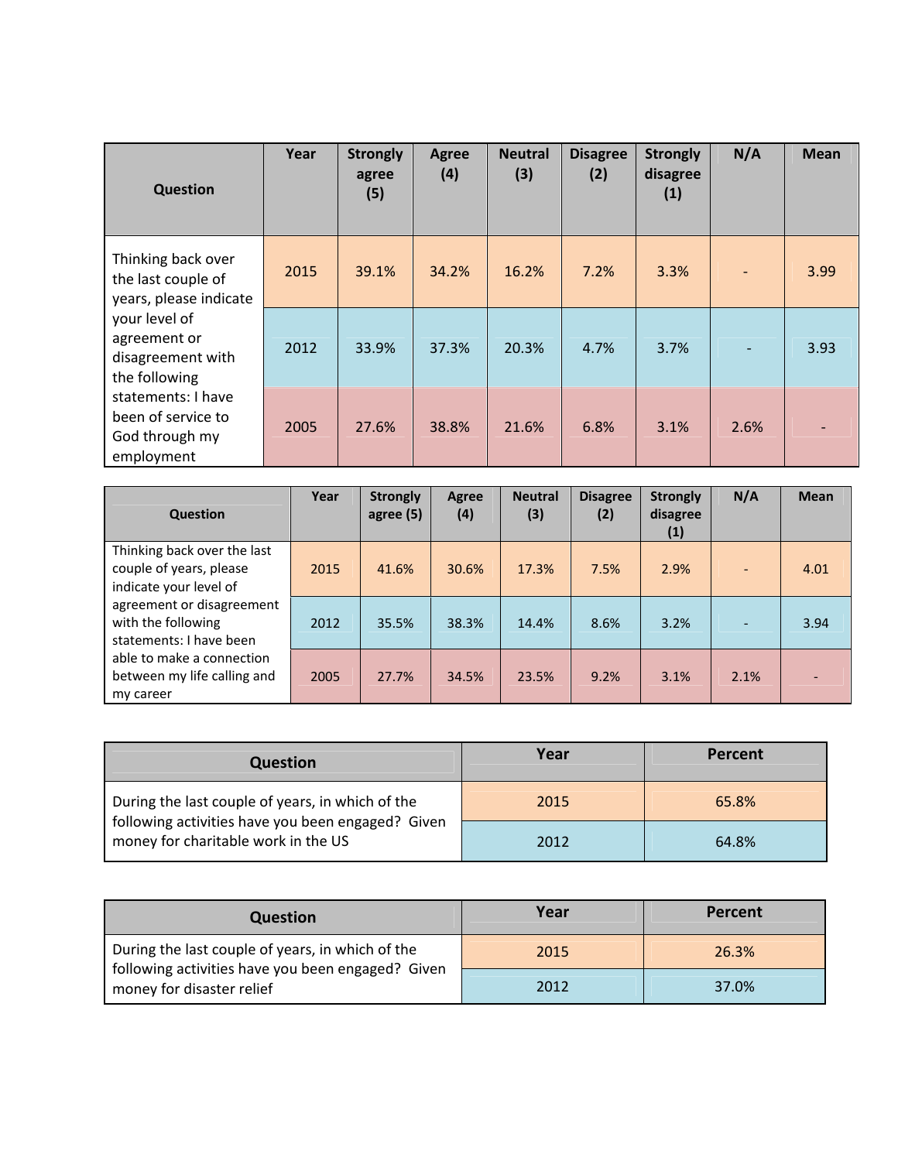| Question                                                                 | Year | <b>Strongly</b><br>agree<br>(5) | Agree<br>(4) | <b>Neutral</b><br>(3) | <b>Disagree</b><br>(2) | <b>Strongly</b><br>disagree<br>(1) | N/A  | <b>Mean</b> |
|--------------------------------------------------------------------------|------|---------------------------------|--------------|-----------------------|------------------------|------------------------------------|------|-------------|
| Thinking back over<br>the last couple of<br>years, please indicate       | 2015 | 39.1%                           | 34.2%        | 16.2%                 | 7.2%                   | 3.3%                               |      | 3.99        |
| your level of<br>agreement or<br>disagreement with<br>the following      | 2012 | 33.9%                           | 37.3%        | 20.3%                 | 4.7%                   | 3.7%                               |      | 3.93        |
| statements: I have<br>been of service to<br>God through my<br>employment | 2005 | 27.6%                           | 38.8%        | 21.6%                 | 6.8%                   | 3.1%                               | 2.6% |             |

| <b>Question</b>                                                                  | Year | <b>Strongly</b><br>agree (5) | <b>Agree</b><br>(4) | <b>Neutral</b><br>(3) | <b>Disagree</b><br>(2) | <b>Strongly</b><br>disagree<br>(1) | N/A  | <b>Mean</b> |
|----------------------------------------------------------------------------------|------|------------------------------|---------------------|-----------------------|------------------------|------------------------------------|------|-------------|
| Thinking back over the last<br>couple of years, please<br>indicate your level of | 2015 | 41.6%                        | 30.6%               | 17.3%                 | 7.5%                   | 2.9%                               |      | 4.01        |
| agreement or disagreement<br>with the following<br>statements: I have been       | 2012 | 35.5%                        | 38.3%               | 14.4%                 | 8.6%                   | 3.2%                               |      | 3.94        |
| able to make a connection<br>between my life calling and<br>my career            | 2005 | 27.7%                        | 34.5%               | 23.5%                 | 9.2%                   | 3.1%                               | 2.1% |             |

| <b>Question</b>                                                                                                                              | Year | Percent |
|----------------------------------------------------------------------------------------------------------------------------------------------|------|---------|
| During the last couple of years, in which of the<br>following activities have you been engaged? Given<br>money for charitable work in the US | 2015 | 65.8%   |
|                                                                                                                                              | 2012 | 64.8%   |

| <b>Question</b>                                                                                                                    | Year | Percent |
|------------------------------------------------------------------------------------------------------------------------------------|------|---------|
| During the last couple of years, in which of the<br>following activities have you been engaged? Given<br>money for disaster relief | 2015 | 26.3%   |
|                                                                                                                                    | 2012 | 37.0%   |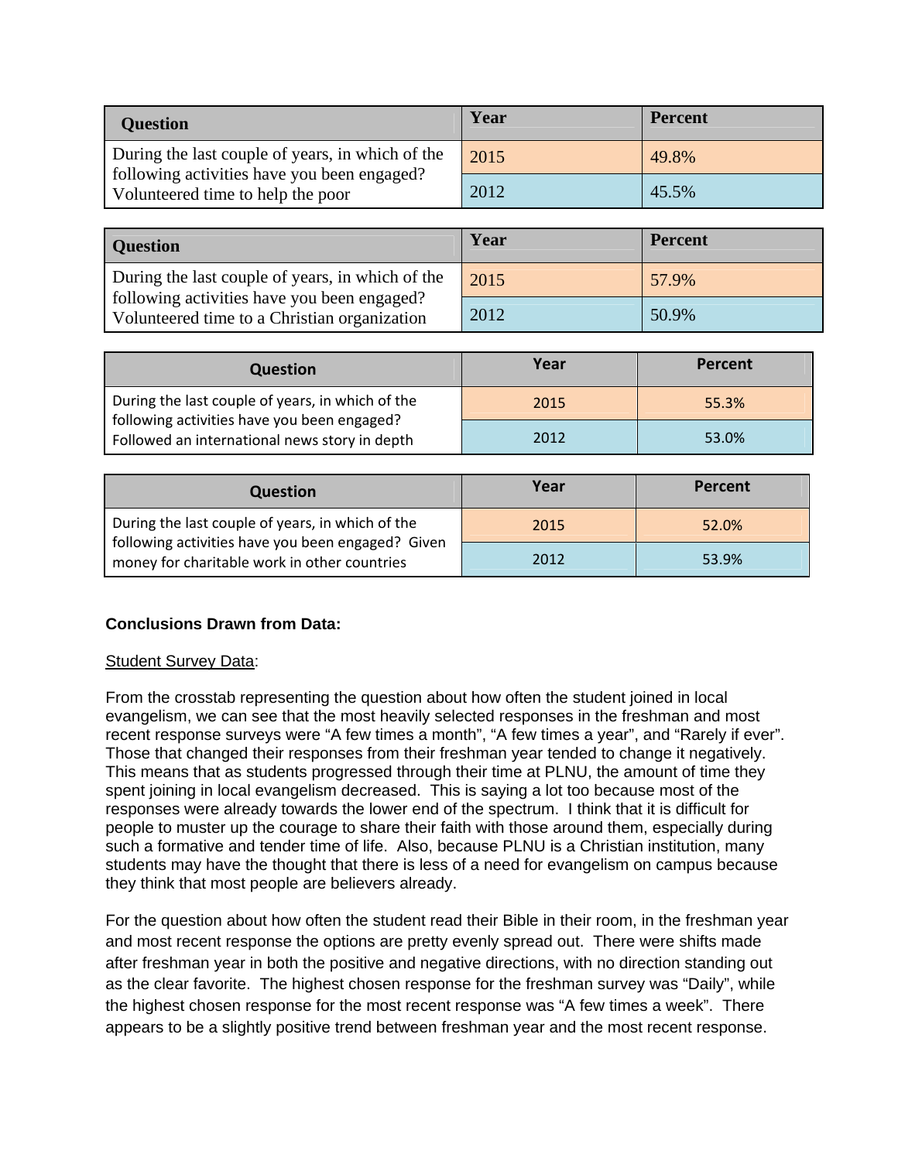| <b>Question</b>                                                                                                                      | Year | <b>Percent</b> |
|--------------------------------------------------------------------------------------------------------------------------------------|------|----------------|
| During the last couple of years, in which of the<br>following activities have you been engaged?<br>Volunteered time to help the poor | 2015 | 49.8%          |
|                                                                                                                                      | 2012 | 45.5%          |

| <b>Question</b>                                                                             | Year | <b>Percent</b> |
|---------------------------------------------------------------------------------------------|------|----------------|
| During the last couple of years, in which of the                                            | 2015 | 57.9%          |
| following activities have you been engaged?<br>Volunteered time to a Christian organization | 2012 | 50.9%          |

| <b>Question</b>                                                                                 | Year | Percent |
|-------------------------------------------------------------------------------------------------|------|---------|
| During the last couple of years, in which of the<br>following activities have you been engaged? | 2015 | 55.3%   |
| Followed an international news story in depth                                                   | 2012 | 53.0%   |

| <b>Question</b>                                                                                                                                       | Year | Percent |
|-------------------------------------------------------------------------------------------------------------------------------------------------------|------|---------|
| During the last couple of years, in which of the<br>following activities have you been engaged? Given<br>money for charitable work in other countries | 2015 | 52.0%   |
|                                                                                                                                                       | 2012 | 53.9%   |

# **Conclusions Drawn from Data:**

# **Student Survey Data:**

From the crosstab representing the question about how often the student joined in local evangelism, we can see that the most heavily selected responses in the freshman and most recent response surveys were "A few times a month", "A few times a year", and "Rarely if ever". Those that changed their responses from their freshman year tended to change it negatively. This means that as students progressed through their time at PLNU, the amount of time they spent joining in local evangelism decreased. This is saying a lot too because most of the responses were already towards the lower end of the spectrum. I think that it is difficult for people to muster up the courage to share their faith with those around them, especially during such a formative and tender time of life. Also, because PLNU is a Christian institution, many students may have the thought that there is less of a need for evangelism on campus because they think that most people are believers already.

For the question about how often the student read their Bible in their room, in the freshman year and most recent response the options are pretty evenly spread out. There were shifts made after freshman year in both the positive and negative directions, with no direction standing out as the clear favorite. The highest chosen response for the freshman survey was "Daily", while the highest chosen response for the most recent response was "A few times a week". There appears to be a slightly positive trend between freshman year and the most recent response.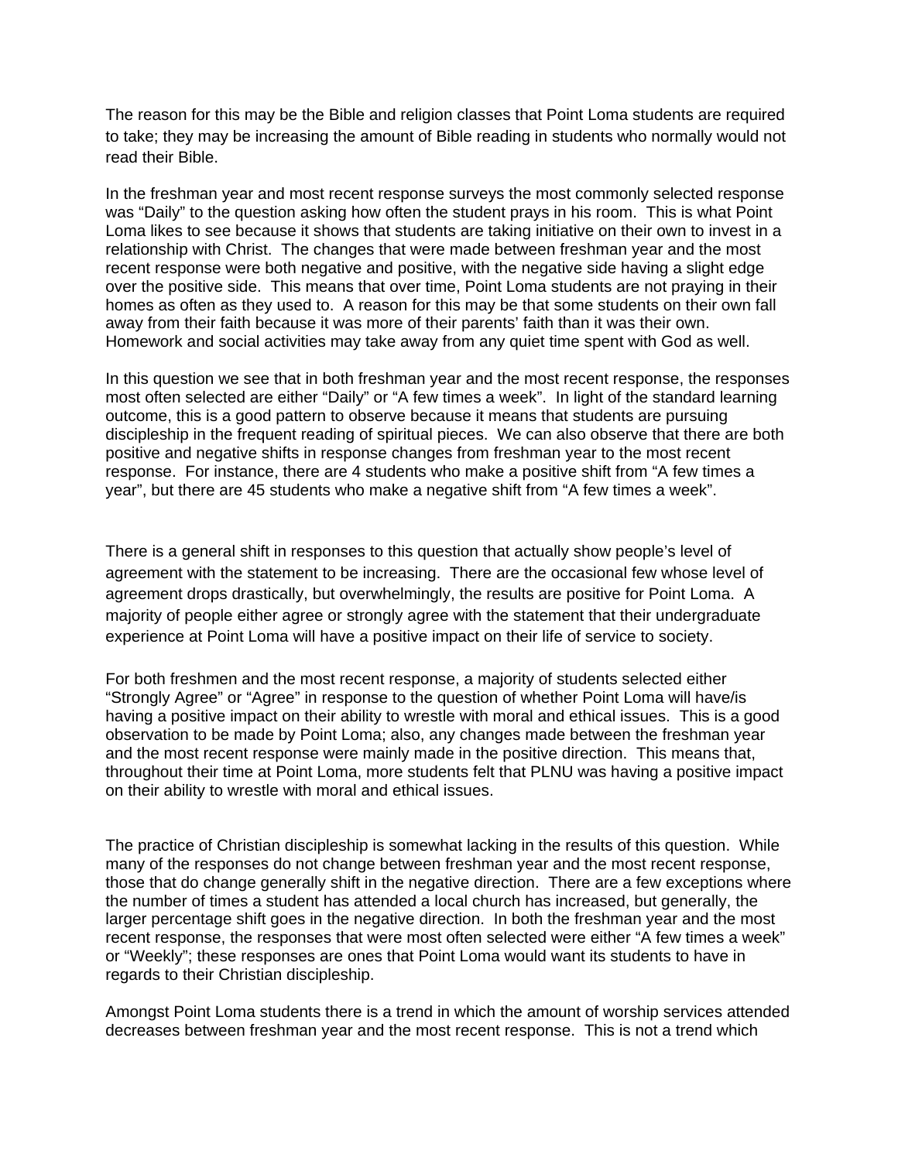The reason for this may be the Bible and religion classes that Point Loma students are required to take; they may be increasing the amount of Bible reading in students who normally would not read their Bible.

In the freshman year and most recent response surveys the most commonly selected response was "Daily" to the question asking how often the student prays in his room. This is what Point Loma likes to see because it shows that students are taking initiative on their own to invest in a relationship with Christ. The changes that were made between freshman year and the most recent response were both negative and positive, with the negative side having a slight edge over the positive side. This means that over time, Point Loma students are not praying in their homes as often as they used to. A reason for this may be that some students on their own fall away from their faith because it was more of their parents' faith than it was their own. Homework and social activities may take away from any quiet time spent with God as well.

In this question we see that in both freshman year and the most recent response, the responses most often selected are either "Daily" or "A few times a week". In light of the standard learning outcome, this is a good pattern to observe because it means that students are pursuing discipleship in the frequent reading of spiritual pieces. We can also observe that there are both positive and negative shifts in response changes from freshman year to the most recent response. For instance, there are 4 students who make a positive shift from "A few times a year", but there are 45 students who make a negative shift from "A few times a week".

There is a general shift in responses to this question that actually show people's level of agreement with the statement to be increasing. There are the occasional few whose level of agreement drops drastically, but overwhelmingly, the results are positive for Point Loma. A majority of people either agree or strongly agree with the statement that their undergraduate experience at Point Loma will have a positive impact on their life of service to society.

For both freshmen and the most recent response, a majority of students selected either "Strongly Agree" or "Agree" in response to the question of whether Point Loma will have/is having a positive impact on their ability to wrestle with moral and ethical issues. This is a good observation to be made by Point Loma; also, any changes made between the freshman year and the most recent response were mainly made in the positive direction. This means that, throughout their time at Point Loma, more students felt that PLNU was having a positive impact on their ability to wrestle with moral and ethical issues.

The practice of Christian discipleship is somewhat lacking in the results of this question. While many of the responses do not change between freshman year and the most recent response, those that do change generally shift in the negative direction. There are a few exceptions where the number of times a student has attended a local church has increased, but generally, the larger percentage shift goes in the negative direction. In both the freshman year and the most recent response, the responses that were most often selected were either "A few times a week" or "Weekly"; these responses are ones that Point Loma would want its students to have in regards to their Christian discipleship.

Amongst Point Loma students there is a trend in which the amount of worship services attended decreases between freshman year and the most recent response. This is not a trend which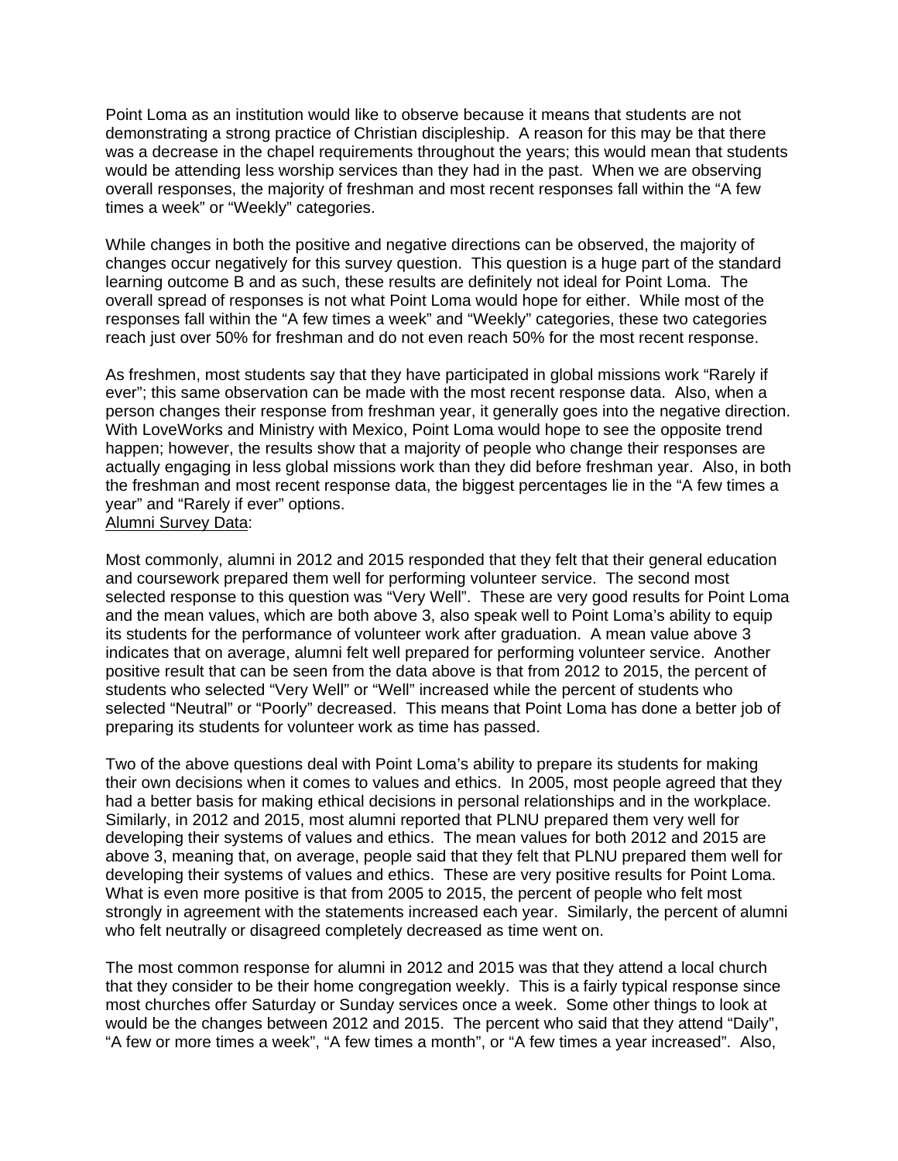Point Loma as an institution would like to observe because it means that students are not demonstrating a strong practice of Christian discipleship. A reason for this may be that there was a decrease in the chapel requirements throughout the years; this would mean that students would be attending less worship services than they had in the past. When we are observing overall responses, the majority of freshman and most recent responses fall within the "A few times a week" or "Weekly" categories.

While changes in both the positive and negative directions can be observed, the majority of changes occur negatively for this survey question. This question is a huge part of the standard learning outcome B and as such, these results are definitely not ideal for Point Loma. The overall spread of responses is not what Point Loma would hope for either. While most of the responses fall within the "A few times a week" and "Weekly" categories, these two categories reach just over 50% for freshman and do not even reach 50% for the most recent response.

As freshmen, most students say that they have participated in global missions work "Rarely if ever"; this same observation can be made with the most recent response data. Also, when a person changes their response from freshman year, it generally goes into the negative direction. With LoveWorks and Ministry with Mexico, Point Loma would hope to see the opposite trend happen; however, the results show that a majority of people who change their responses are actually engaging in less global missions work than they did before freshman year. Also, in both the freshman and most recent response data, the biggest percentages lie in the "A few times a year" and "Rarely if ever" options. Alumni Survey Data:

Most commonly, alumni in 2012 and 2015 responded that they felt that their general education and coursework prepared them well for performing volunteer service. The second most selected response to this question was "Very Well". These are very good results for Point Loma and the mean values, which are both above 3, also speak well to Point Loma's ability to equip its students for the performance of volunteer work after graduation. A mean value above 3 indicates that on average, alumni felt well prepared for performing volunteer service. Another positive result that can be seen from the data above is that from 2012 to 2015, the percent of students who selected "Very Well" or "Well" increased while the percent of students who selected "Neutral" or "Poorly" decreased. This means that Point Loma has done a better job of preparing its students for volunteer work as time has passed.

Two of the above questions deal with Point Loma's ability to prepare its students for making their own decisions when it comes to values and ethics. In 2005, most people agreed that they had a better basis for making ethical decisions in personal relationships and in the workplace. Similarly, in 2012 and 2015, most alumni reported that PLNU prepared them very well for developing their systems of values and ethics. The mean values for both 2012 and 2015 are above 3, meaning that, on average, people said that they felt that PLNU prepared them well for developing their systems of values and ethics. These are very positive results for Point Loma. What is even more positive is that from 2005 to 2015, the percent of people who felt most strongly in agreement with the statements increased each year. Similarly, the percent of alumni who felt neutrally or disagreed completely decreased as time went on.

The most common response for alumni in 2012 and 2015 was that they attend a local church that they consider to be their home congregation weekly. This is a fairly typical response since most churches offer Saturday or Sunday services once a week. Some other things to look at would be the changes between 2012 and 2015. The percent who said that they attend "Daily", "A few or more times a week", "A few times a month", or "A few times a year increased". Also,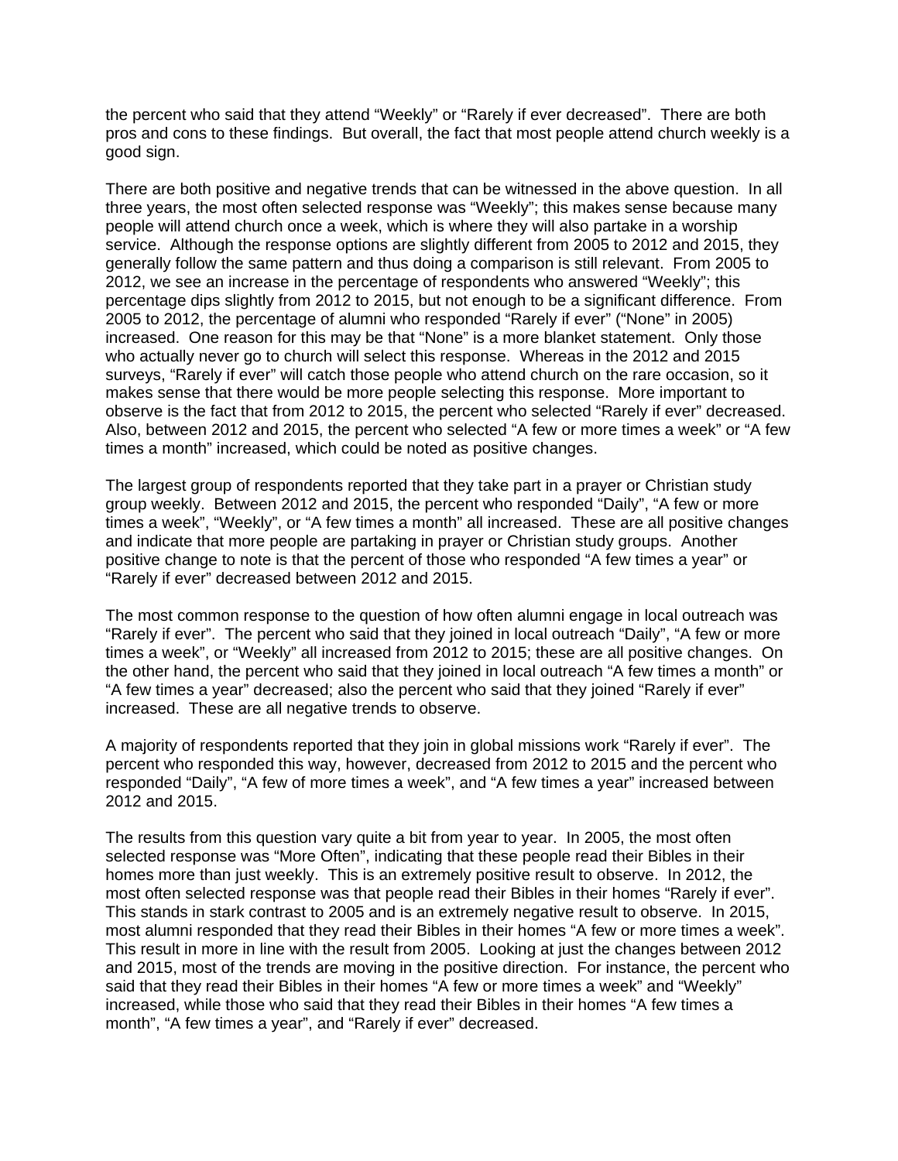the percent who said that they attend "Weekly" or "Rarely if ever decreased". There are both pros and cons to these findings. But overall, the fact that most people attend church weekly is a good sign.

There are both positive and negative trends that can be witnessed in the above question. In all three years, the most often selected response was "Weekly"; this makes sense because many people will attend church once a week, which is where they will also partake in a worship service. Although the response options are slightly different from 2005 to 2012 and 2015, they generally follow the same pattern and thus doing a comparison is still relevant. From 2005 to 2012, we see an increase in the percentage of respondents who answered "Weekly"; this percentage dips slightly from 2012 to 2015, but not enough to be a significant difference. From 2005 to 2012, the percentage of alumni who responded "Rarely if ever" ("None" in 2005) increased. One reason for this may be that "None" is a more blanket statement. Only those who actually never go to church will select this response. Whereas in the 2012 and 2015 surveys, "Rarely if ever" will catch those people who attend church on the rare occasion, so it makes sense that there would be more people selecting this response. More important to observe is the fact that from 2012 to 2015, the percent who selected "Rarely if ever" decreased. Also, between 2012 and 2015, the percent who selected "A few or more times a week" or "A few times a month" increased, which could be noted as positive changes.

The largest group of respondents reported that they take part in a prayer or Christian study group weekly. Between 2012 and 2015, the percent who responded "Daily", "A few or more times a week", "Weekly", or "A few times a month" all increased. These are all positive changes and indicate that more people are partaking in prayer or Christian study groups. Another positive change to note is that the percent of those who responded "A few times a year" or "Rarely if ever" decreased between 2012 and 2015.

The most common response to the question of how often alumni engage in local outreach was "Rarely if ever". The percent who said that they joined in local outreach "Daily", "A few or more times a week", or "Weekly" all increased from 2012 to 2015; these are all positive changes. On the other hand, the percent who said that they joined in local outreach "A few times a month" or "A few times a year" decreased; also the percent who said that they joined "Rarely if ever" increased. These are all negative trends to observe.

A majority of respondents reported that they join in global missions work "Rarely if ever". The percent who responded this way, however, decreased from 2012 to 2015 and the percent who responded "Daily", "A few of more times a week", and "A few times a year" increased between 2012 and 2015.

The results from this question vary quite a bit from year to year. In 2005, the most often selected response was "More Often", indicating that these people read their Bibles in their homes more than just weekly. This is an extremely positive result to observe. In 2012, the most often selected response was that people read their Bibles in their homes "Rarely if ever". This stands in stark contrast to 2005 and is an extremely negative result to observe. In 2015, most alumni responded that they read their Bibles in their homes "A few or more times a week". This result in more in line with the result from 2005. Looking at just the changes between 2012 and 2015, most of the trends are moving in the positive direction. For instance, the percent who said that they read their Bibles in their homes "A few or more times a week" and "Weekly" increased, while those who said that they read their Bibles in their homes "A few times a month", "A few times a year", and "Rarely if ever" decreased.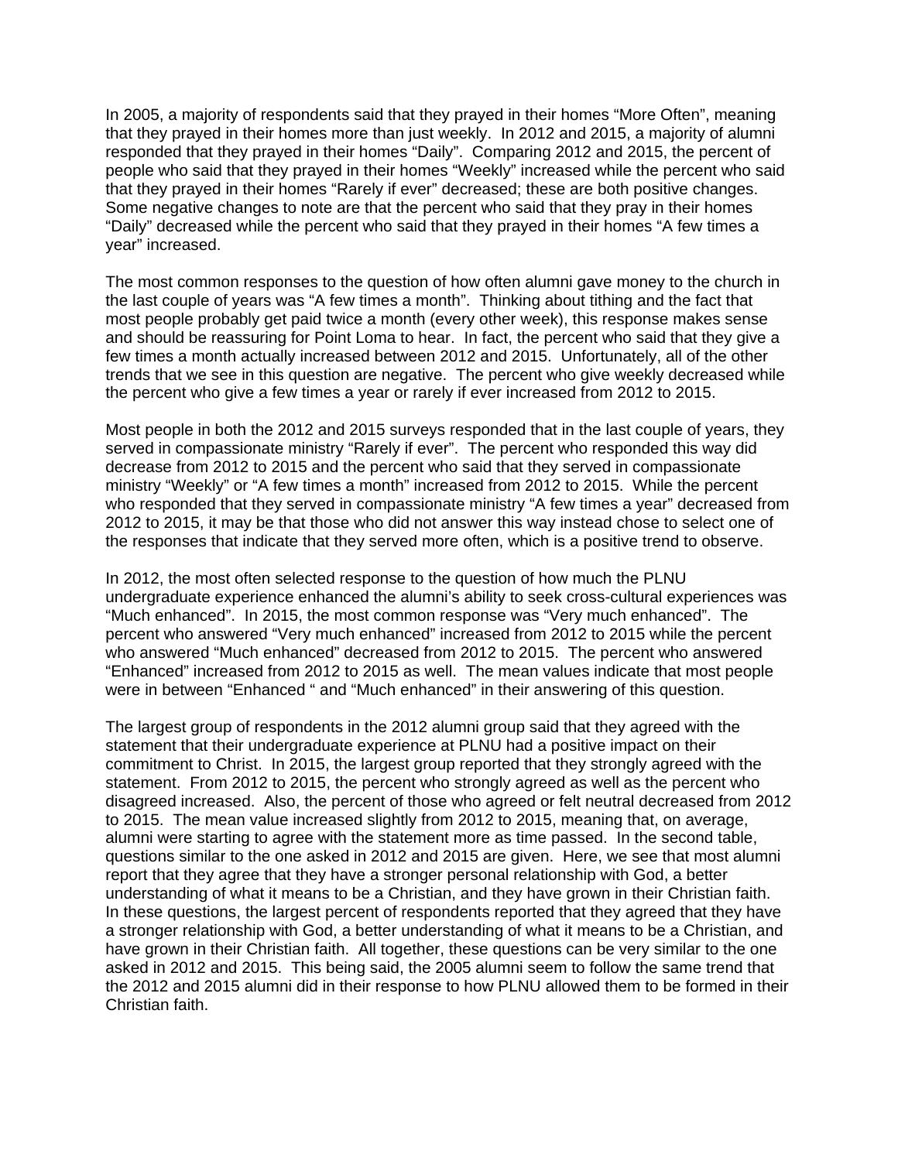In 2005, a majority of respondents said that they prayed in their homes "More Often", meaning that they prayed in their homes more than just weekly. In 2012 and 2015, a majority of alumni responded that they prayed in their homes "Daily". Comparing 2012 and 2015, the percent of people who said that they prayed in their homes "Weekly" increased while the percent who said that they prayed in their homes "Rarely if ever" decreased; these are both positive changes. Some negative changes to note are that the percent who said that they pray in their homes "Daily" decreased while the percent who said that they prayed in their homes "A few times a year" increased.

The most common responses to the question of how often alumni gave money to the church in the last couple of years was "A few times a month". Thinking about tithing and the fact that most people probably get paid twice a month (every other week), this response makes sense and should be reassuring for Point Loma to hear. In fact, the percent who said that they give a few times a month actually increased between 2012 and 2015. Unfortunately, all of the other trends that we see in this question are negative. The percent who give weekly decreased while the percent who give a few times a year or rarely if ever increased from 2012 to 2015.

Most people in both the 2012 and 2015 surveys responded that in the last couple of years, they served in compassionate ministry "Rarely if ever". The percent who responded this way did decrease from 2012 to 2015 and the percent who said that they served in compassionate ministry "Weekly" or "A few times a month" increased from 2012 to 2015. While the percent who responded that they served in compassionate ministry "A few times a year" decreased from 2012 to 2015, it may be that those who did not answer this way instead chose to select one of the responses that indicate that they served more often, which is a positive trend to observe.

In 2012, the most often selected response to the question of how much the PLNU undergraduate experience enhanced the alumni's ability to seek cross-cultural experiences was "Much enhanced". In 2015, the most common response was "Very much enhanced". The percent who answered "Very much enhanced" increased from 2012 to 2015 while the percent who answered "Much enhanced" decreased from 2012 to 2015. The percent who answered "Enhanced" increased from 2012 to 2015 as well. The mean values indicate that most people were in between "Enhanced " and "Much enhanced" in their answering of this question.

The largest group of respondents in the 2012 alumni group said that they agreed with the statement that their undergraduate experience at PLNU had a positive impact on their commitment to Christ. In 2015, the largest group reported that they strongly agreed with the statement. From 2012 to 2015, the percent who strongly agreed as well as the percent who disagreed increased. Also, the percent of those who agreed or felt neutral decreased from 2012 to 2015. The mean value increased slightly from 2012 to 2015, meaning that, on average, alumni were starting to agree with the statement more as time passed. In the second table, questions similar to the one asked in 2012 and 2015 are given. Here, we see that most alumni report that they agree that they have a stronger personal relationship with God, a better understanding of what it means to be a Christian, and they have grown in their Christian faith. In these questions, the largest percent of respondents reported that they agreed that they have a stronger relationship with God, a better understanding of what it means to be a Christian, and have grown in their Christian faith. All together, these questions can be very similar to the one asked in 2012 and 2015. This being said, the 2005 alumni seem to follow the same trend that the 2012 and 2015 alumni did in their response to how PLNU allowed them to be formed in their Christian faith.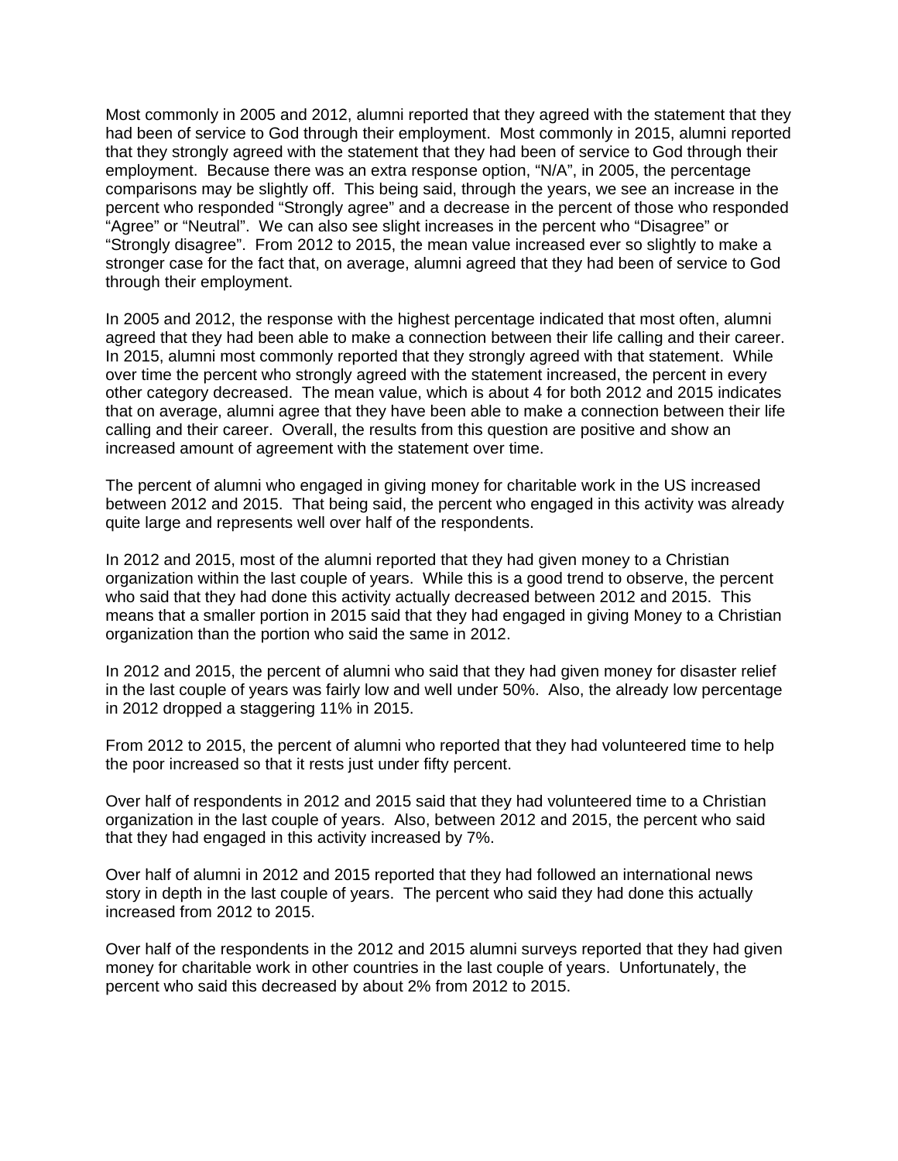Most commonly in 2005 and 2012, alumni reported that they agreed with the statement that they had been of service to God through their employment. Most commonly in 2015, alumni reported that they strongly agreed with the statement that they had been of service to God through their employment. Because there was an extra response option, "N/A", in 2005, the percentage comparisons may be slightly off. This being said, through the years, we see an increase in the percent who responded "Strongly agree" and a decrease in the percent of those who responded "Agree" or "Neutral". We can also see slight increases in the percent who "Disagree" or "Strongly disagree". From 2012 to 2015, the mean value increased ever so slightly to make a stronger case for the fact that, on average, alumni agreed that they had been of service to God through their employment.

In 2005 and 2012, the response with the highest percentage indicated that most often, alumni agreed that they had been able to make a connection between their life calling and their career. In 2015, alumni most commonly reported that they strongly agreed with that statement. While over time the percent who strongly agreed with the statement increased, the percent in every other category decreased. The mean value, which is about 4 for both 2012 and 2015 indicates that on average, alumni agree that they have been able to make a connection between their life calling and their career. Overall, the results from this question are positive and show an increased amount of agreement with the statement over time.

The percent of alumni who engaged in giving money for charitable work in the US increased between 2012 and 2015. That being said, the percent who engaged in this activity was already quite large and represents well over half of the respondents.

In 2012 and 2015, most of the alumni reported that they had given money to a Christian organization within the last couple of years. While this is a good trend to observe, the percent who said that they had done this activity actually decreased between 2012 and 2015. This means that a smaller portion in 2015 said that they had engaged in giving Money to a Christian organization than the portion who said the same in 2012.

In 2012 and 2015, the percent of alumni who said that they had given money for disaster relief in the last couple of years was fairly low and well under 50%. Also, the already low percentage in 2012 dropped a staggering 11% in 2015.

From 2012 to 2015, the percent of alumni who reported that they had volunteered time to help the poor increased so that it rests just under fifty percent.

Over half of respondents in 2012 and 2015 said that they had volunteered time to a Christian organization in the last couple of years. Also, between 2012 and 2015, the percent who said that they had engaged in this activity increased by 7%.

Over half of alumni in 2012 and 2015 reported that they had followed an international news story in depth in the last couple of years. The percent who said they had done this actually increased from 2012 to 2015.

Over half of the respondents in the 2012 and 2015 alumni surveys reported that they had given money for charitable work in other countries in the last couple of years. Unfortunately, the percent who said this decreased by about 2% from 2012 to 2015.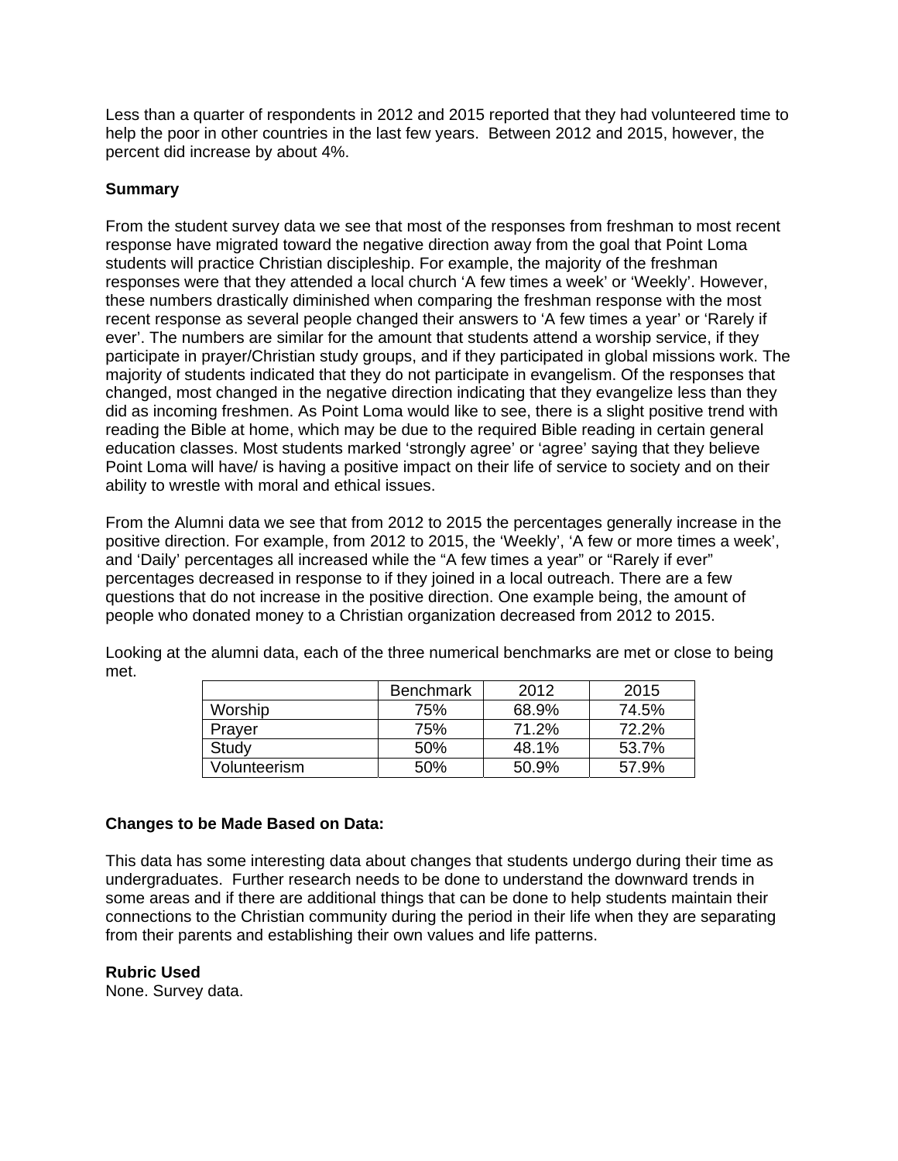Less than a quarter of respondents in 2012 and 2015 reported that they had volunteered time to help the poor in other countries in the last few years. Between 2012 and 2015, however, the percent did increase by about 4%.

# **Summary**

From the student survey data we see that most of the responses from freshman to most recent response have migrated toward the negative direction away from the goal that Point Loma students will practice Christian discipleship. For example, the majority of the freshman responses were that they attended a local church 'A few times a week' or 'Weekly'. However, these numbers drastically diminished when comparing the freshman response with the most recent response as several people changed their answers to 'A few times a year' or 'Rarely if ever'. The numbers are similar for the amount that students attend a worship service, if they participate in prayer/Christian study groups, and if they participated in global missions work. The majority of students indicated that they do not participate in evangelism. Of the responses that changed, most changed in the negative direction indicating that they evangelize less than they did as incoming freshmen. As Point Loma would like to see, there is a slight positive trend with reading the Bible at home, which may be due to the required Bible reading in certain general education classes. Most students marked 'strongly agree' or 'agree' saying that they believe Point Loma will have/ is having a positive impact on their life of service to society and on their ability to wrestle with moral and ethical issues.

From the Alumni data we see that from 2012 to 2015 the percentages generally increase in the positive direction. For example, from 2012 to 2015, the 'Weekly', 'A few or more times a week', and 'Daily' percentages all increased while the "A few times a year" or "Rarely if ever" percentages decreased in response to if they joined in a local outreach. There are a few questions that do not increase in the positive direction. One example being, the amount of people who donated money to a Christian organization decreased from 2012 to 2015.

|              | <b>Benchmark</b> | 2012  | 2015  |
|--------------|------------------|-------|-------|
| Worship      | 75%              | 68.9% | 74.5% |
| Prayer       | 75%              | 71.2% | 72.2% |
| Study        | 50%              | 48.1% | 53.7% |
| Volunteerism | 50%              | 50.9% | 57.9% |

Looking at the alumni data, each of the three numerical benchmarks are met or close to being met.

# **Changes to be Made Based on Data:**

This data has some interesting data about changes that students undergo during their time as undergraduates. Further research needs to be done to understand the downward trends in some areas and if there are additional things that can be done to help students maintain their connections to the Christian community during the period in their life when they are separating from their parents and establishing their own values and life patterns.

#### **Rubric Used**

None. Survey data.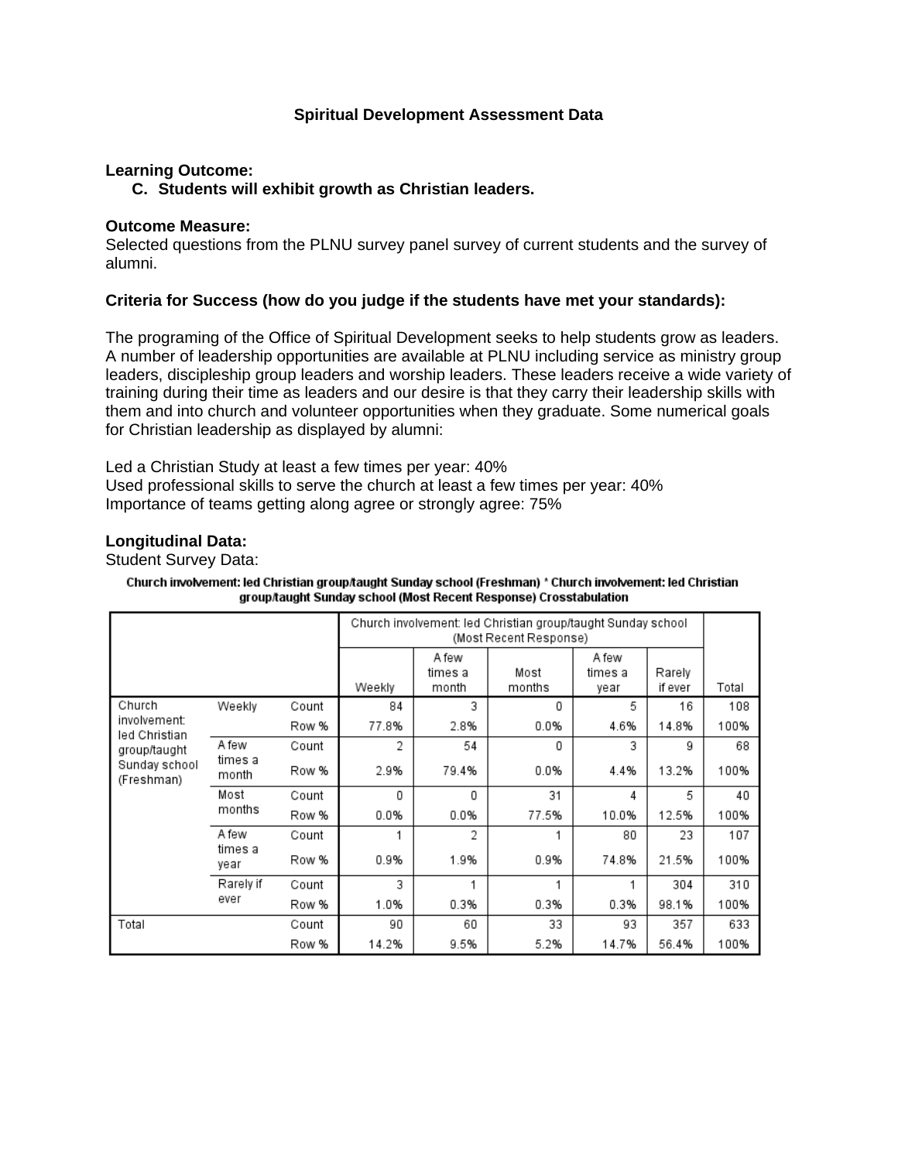# **Spiritual Development Assessment Data**

# **Learning Outcome:**

# **C. Students will exhibit growth as Christian leaders.**

#### **Outcome Measure:**

Selected questions from the PLNU survey panel survey of current students and the survey of alumni.

# **Criteria for Success (how do you judge if the students have met your standards):**

The programing of the Office of Spiritual Development seeks to help students grow as leaders. A number of leadership opportunities are available at PLNU including service as ministry group leaders, discipleship group leaders and worship leaders. These leaders receive a wide variety of training during their time as leaders and our desire is that they carry their leadership skills with them and into church and volunteer opportunities when they graduate. Some numerical goals for Christian leadership as displayed by alumni:

Led a Christian Study at least a few times per year: 40% Used professional skills to serve the church at least a few times per year: 40% Importance of teams getting along agree or strongly agree: 75%

#### **Longitudinal Data:**

Student Survey Data:

| Church involvement: led Christian group/taught Sunday school (Freshman) * Church involvement: led Christian |
|-------------------------------------------------------------------------------------------------------------|
| group/taught Sunday school (Most Recent Response) Crosstabulation                                           |

|                               |                  |       | Church involvement: led Christian group/taught Sunday school<br>(Most Recent Response) |                           |                |                  |         |       |
|-------------------------------|------------------|-------|----------------------------------------------------------------------------------------|---------------------------|----------------|------------------|---------|-------|
|                               |                  |       | Weekly                                                                                 | A few<br>times a<br>month | Most<br>months | A few<br>times a | Rarely  | Total |
|                               |                  |       |                                                                                        |                           |                | year             | if ever |       |
| Church                        | Weekly           | Count | 84                                                                                     | 3                         | 0              | 5                | 16      | 108   |
| involvement:<br>led Christian |                  | Row % | 77.8%                                                                                  | 2.8%                      | 0.0%           | 4.6%             | 14.8%   | 100%  |
| group/taught                  | A few            | Count | 2                                                                                      | 54                        | 0              | 3                | 9       | 68    |
| Sunday school<br>(Freshman)   | times a<br>month | Row % | 2.9%                                                                                   | 79.4%                     | 0.0%           | 4.4%             | 13.2%   | 100%  |
| Most<br>months                |                  | Count | 0                                                                                      | 0                         | 31             | 4                | 5       | 40    |
|                               |                  | Row % | 0.0%                                                                                   | 0.0%                      | 77.5%          | 10.0%            | 12.5%   | 100%  |
|                               | A few            | Count |                                                                                        | 2                         |                | 80               | 23      | 107   |
| times a<br>year               |                  | Row % | 0.9%                                                                                   | 1.9%                      | 0.9%           | 74.8%            | 21.5%   | 100%  |
|                               | Rarely if        | Count | 3                                                                                      |                           | 1              | 1                | 304     | 310   |
|                               | ever             | Row % | 1.0%                                                                                   | 0.3%                      | 0.3%           | 0.3%             | 98.1%   | 100%  |
| Total                         |                  | Count | 90                                                                                     | 60                        | 33             | 93               | 357     | 633   |
|                               |                  | Row % | 14.2%                                                                                  | 9.5%                      | 5.2%           | 14.7%            | 56.4%   | 100%  |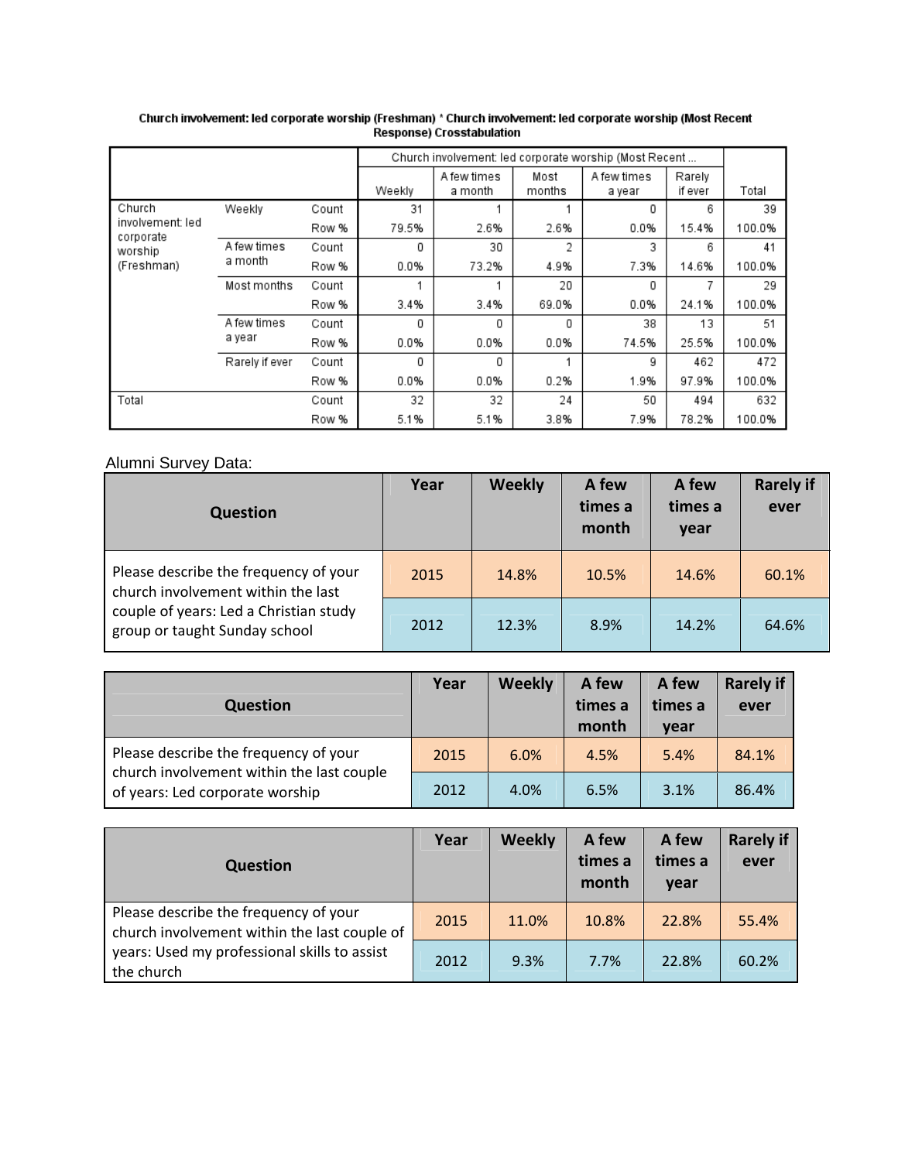|                               |             |       |        | Church involvement: led corporate worship (Most Recent |                |                       |                   |        |
|-------------------------------|-------------|-------|--------|--------------------------------------------------------|----------------|-----------------------|-------------------|--------|
|                               |             |       | Weekly | A few times<br>a month                                 | Most<br>months | A few times<br>a year | Rarely<br>if ever | Total  |
| Church                        | Weekly      | Count | 31     |                                                        |                | 0                     | 6                 | 39     |
| involvement: led<br>corporate |             | Row % | 79.5%  | 2.6%                                                   | 2.6%           | 0.0%                  | 15.4%             | 100.0% |
| worship                       | A few times | Count | 0      | 30                                                     | 2              | 3                     | 6                 | 41     |
| a month<br>(Freshman)         |             | Row % | 0.0%   | 73.2%                                                  | 4.9%           | 7.3%                  | 14.6%             | 100.0% |
|                               | Most months | Count |        |                                                        | 20             | 0                     | 7                 | 29     |
|                               |             | Row % | 3.4%   | 3.4%                                                   | 69.0%          | 0.0%                  | 24.1%             | 100.0% |
|                               | A few times | Count | 0      | 0                                                      | 0              | 38                    | 13                | 51     |
| a year<br>Rarely if ever      |             | Row % | 0.0%   | 0.0%                                                   | 0.0%           | 74.5%                 | 25.5%             | 100.0% |
|                               |             | Count | 0      | 0                                                      |                | g                     | 462               | 472    |
|                               |             | Row % | 0.0%   | 0.0%                                                   | 0.2%           | 1.9%                  | 97.9%             | 100.0% |
| Total                         |             | Count | 32     | 32                                                     | 24             | 50                    | 494               | 632    |
|                               |             | Row % | 5.1%   | 5.1%                                                   | 3.8%           | 7.9%                  | 78.2%             | 100.0% |

# Church involvement: led corporate worship (Freshman) \* Church involvement: led corporate worship (Most Recent<br>Response) Crosstabulation

# Alumni Survey Data:

| <b>Question</b>                                                                                                                                        | Year | Weekly | A few<br>times a<br>month | A few<br>times a<br>year | <b>Rarely if</b><br>ever |
|--------------------------------------------------------------------------------------------------------------------------------------------------------|------|--------|---------------------------|--------------------------|--------------------------|
| Please describe the frequency of your<br>church involvement within the last<br>couple of years: Led a Christian study<br>group or taught Sunday school | 2015 | 14.8%  | 10.5%                     | 14.6%                    | 60.1%                    |
|                                                                                                                                                        | 2012 | 12.3%  | 8.9%                      | 14.2%                    | 64.6%                    |

| <b>Question</b>                                                              | Year | <b>Weekly</b> | A few<br>times a<br>month | A few<br>times a<br>vear | <b>Rarely if</b><br>ever |
|------------------------------------------------------------------------------|------|---------------|---------------------------|--------------------------|--------------------------|
| Please describe the frequency of your                                        | 2015 | 6.0%          | 4.5%                      | 5.4%                     | 84.1%                    |
| church involvement within the last couple<br>of years: Led corporate worship | 2012 | 4.0%          | 6.5%                      | 3.1%                     | 86.4%                    |

| <b>Question</b>                                                                                                                                     | Year | Weekly | A few<br>times a<br>month | A few<br>times a<br>vear | <b>Rarely if</b><br>ever |
|-----------------------------------------------------------------------------------------------------------------------------------------------------|------|--------|---------------------------|--------------------------|--------------------------|
| Please describe the frequency of your<br>church involvement within the last couple of<br>years: Used my professional skills to assist<br>the church | 2015 | 11.0%  | 10.8%                     | 22.8%                    | 55.4%                    |
|                                                                                                                                                     | 2012 | 9.3%   | 7.7%                      | 22.8%                    | 60.2%                    |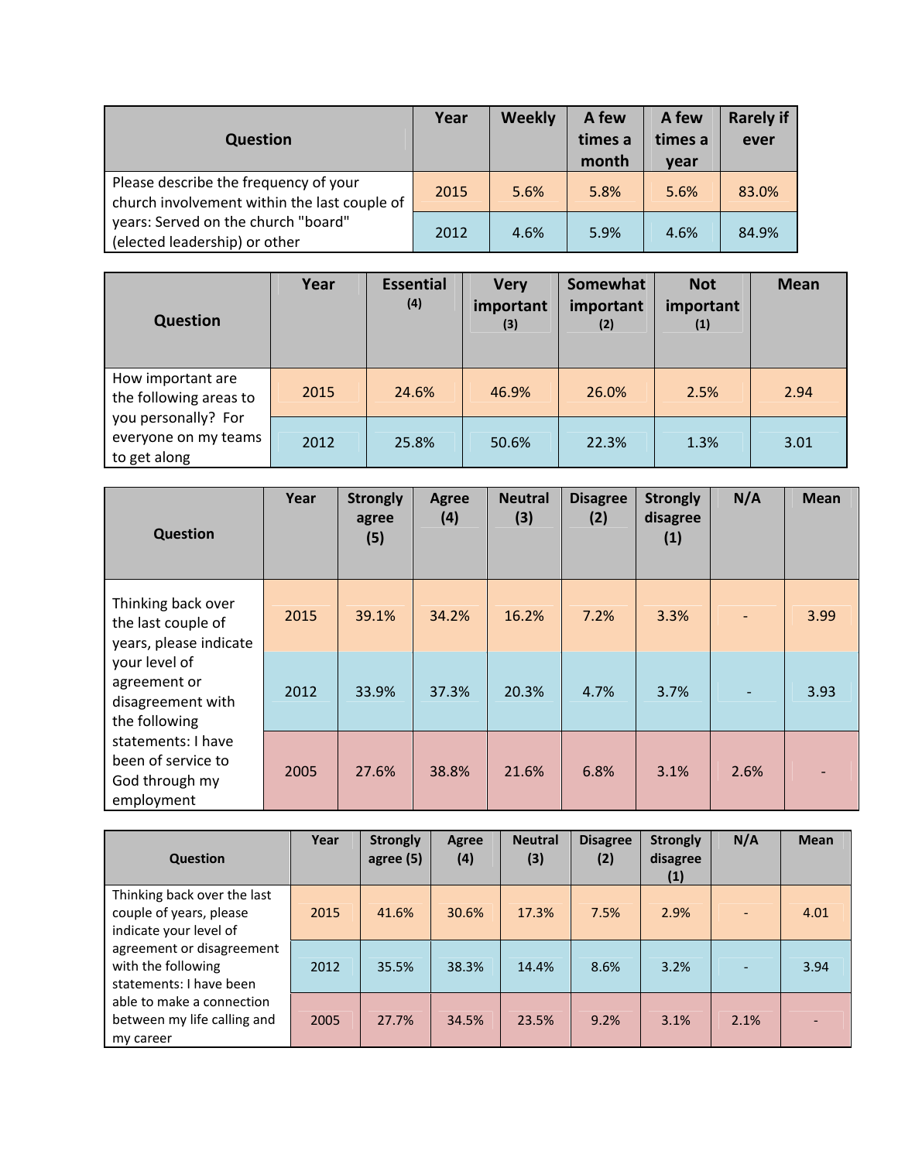| <b>Question</b>                                                                       | Year | <b>Weekly</b> | A few<br>times a<br>month | A few<br>times a<br>vear | <b>Rarely if</b><br>ever |
|---------------------------------------------------------------------------------------|------|---------------|---------------------------|--------------------------|--------------------------|
| Please describe the frequency of your<br>church involvement within the last couple of | 2015 | 5.6%          | 5.8%                      | 5.6%                     | 83.0%                    |
| years: Served on the church "board"<br>(elected leadership) or other                  | 2012 | 4.6%          | 5.9%                      | 4.6%                     | 84.9%                    |

| Question                                                    | Year | <b>Essential</b><br>(4) | <b>Very</b><br>important<br>(3) | Somewhat<br>important<br>(2) | <b>Not</b><br>important<br>(1) | <b>Mean</b> |
|-------------------------------------------------------------|------|-------------------------|---------------------------------|------------------------------|--------------------------------|-------------|
| How important are<br>the following areas to                 | 2015 | 24.6%                   | 46.9%                           | 26.0%                        | 2.5%                           | 2.94        |
| you personally? For<br>everyone on my teams<br>to get along | 2012 | 25.8%                   | 50.6%                           | 22.3%                        | 1.3%                           | 3.01        |

| <b>Question</b>                                                          | Year | <b>Strongly</b><br>agree<br>(5) | Agree<br>(4) | <b>Neutral</b><br>(3) | <b>Disagree</b><br>(2) | <b>Strongly</b><br>disagree<br>(1) | N/A  | <b>Mean</b> |
|--------------------------------------------------------------------------|------|---------------------------------|--------------|-----------------------|------------------------|------------------------------------|------|-------------|
| Thinking back over<br>the last couple of<br>years, please indicate       | 2015 | 39.1%                           | 34.2%        | 16.2%                 | 7.2%                   | 3.3%                               |      | 3.99        |
| your level of<br>agreement or<br>disagreement with<br>the following      | 2012 | 33.9%                           | 37.3%        | 20.3%                 | 4.7%                   | 3.7%                               |      | 3.93        |
| statements: I have<br>been of service to<br>God through my<br>employment | 2005 | 27.6%                           | 38.8%        | 21.6%                 | 6.8%                   | 3.1%                               | 2.6% |             |

| <b>Question</b>                                                                  | Year | <b>Strongly</b><br>agree (5) | Agree<br>(4) | <b>Neutral</b><br>(3) | <b>Disagree</b><br>(2) | <b>Strongly</b><br>disagree<br>(1) | N/A  | <b>Mean</b> |
|----------------------------------------------------------------------------------|------|------------------------------|--------------|-----------------------|------------------------|------------------------------------|------|-------------|
| Thinking back over the last<br>couple of years, please<br>indicate your level of | 2015 | 41.6%                        | 30.6%        | 17.3%                 | 7.5%                   | 2.9%                               |      | 4.01        |
| agreement or disagreement<br>with the following<br>statements: I have been       | 2012 | 35.5%                        | 38.3%        | 14.4%                 | 8.6%                   | 3.2%                               |      | 3.94        |
| able to make a connection<br>between my life calling and<br>my career            | 2005 | 27.7%                        | 34.5%        | 23.5%                 | 9.2%                   | 3.1%                               | 2.1% |             |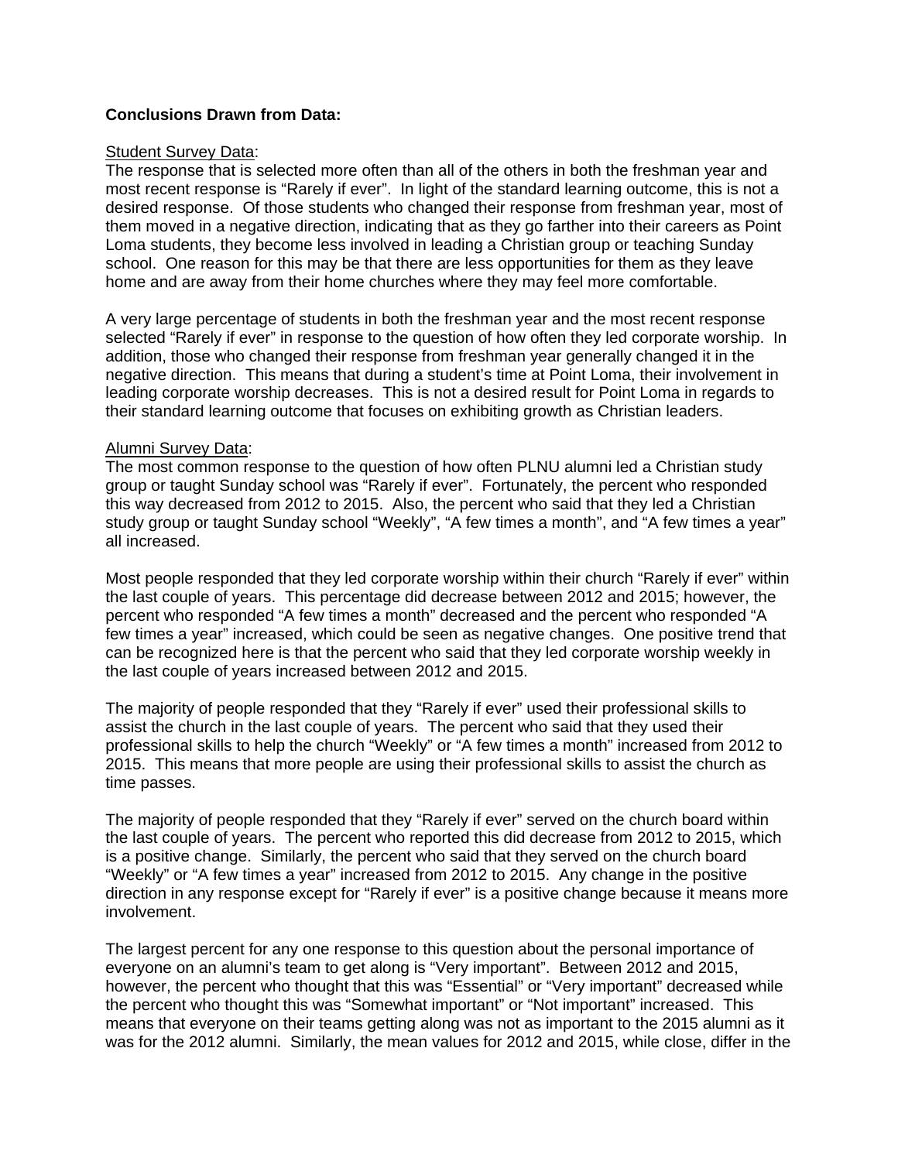# **Conclusions Drawn from Data:**

#### **Student Survey Data:**

The response that is selected more often than all of the others in both the freshman year and most recent response is "Rarely if ever". In light of the standard learning outcome, this is not a desired response. Of those students who changed their response from freshman year, most of them moved in a negative direction, indicating that as they go farther into their careers as Point Loma students, they become less involved in leading a Christian group or teaching Sunday school. One reason for this may be that there are less opportunities for them as they leave home and are away from their home churches where they may feel more comfortable.

A very large percentage of students in both the freshman year and the most recent response selected "Rarely if ever" in response to the question of how often they led corporate worship. In addition, those who changed their response from freshman year generally changed it in the negative direction. This means that during a student's time at Point Loma, their involvement in leading corporate worship decreases. This is not a desired result for Point Loma in regards to their standard learning outcome that focuses on exhibiting growth as Christian leaders.

#### Alumni Survey Data:

The most common response to the question of how often PLNU alumni led a Christian study group or taught Sunday school was "Rarely if ever". Fortunately, the percent who responded this way decreased from 2012 to 2015. Also, the percent who said that they led a Christian study group or taught Sunday school "Weekly", "A few times a month", and "A few times a year" all increased.

Most people responded that they led corporate worship within their church "Rarely if ever" within the last couple of years. This percentage did decrease between 2012 and 2015; however, the percent who responded "A few times a month" decreased and the percent who responded "A few times a year" increased, which could be seen as negative changes. One positive trend that can be recognized here is that the percent who said that they led corporate worship weekly in the last couple of years increased between 2012 and 2015.

The majority of people responded that they "Rarely if ever" used their professional skills to assist the church in the last couple of years. The percent who said that they used their professional skills to help the church "Weekly" or "A few times a month" increased from 2012 to 2015. This means that more people are using their professional skills to assist the church as time passes.

The majority of people responded that they "Rarely if ever" served on the church board within the last couple of years. The percent who reported this did decrease from 2012 to 2015, which is a positive change. Similarly, the percent who said that they served on the church board "Weekly" or "A few times a year" increased from 2012 to 2015. Any change in the positive direction in any response except for "Rarely if ever" is a positive change because it means more involvement.

The largest percent for any one response to this question about the personal importance of everyone on an alumni's team to get along is "Very important". Between 2012 and 2015, however, the percent who thought that this was "Essential" or "Very important" decreased while the percent who thought this was "Somewhat important" or "Not important" increased. This means that everyone on their teams getting along was not as important to the 2015 alumni as it was for the 2012 alumni. Similarly, the mean values for 2012 and 2015, while close, differ in the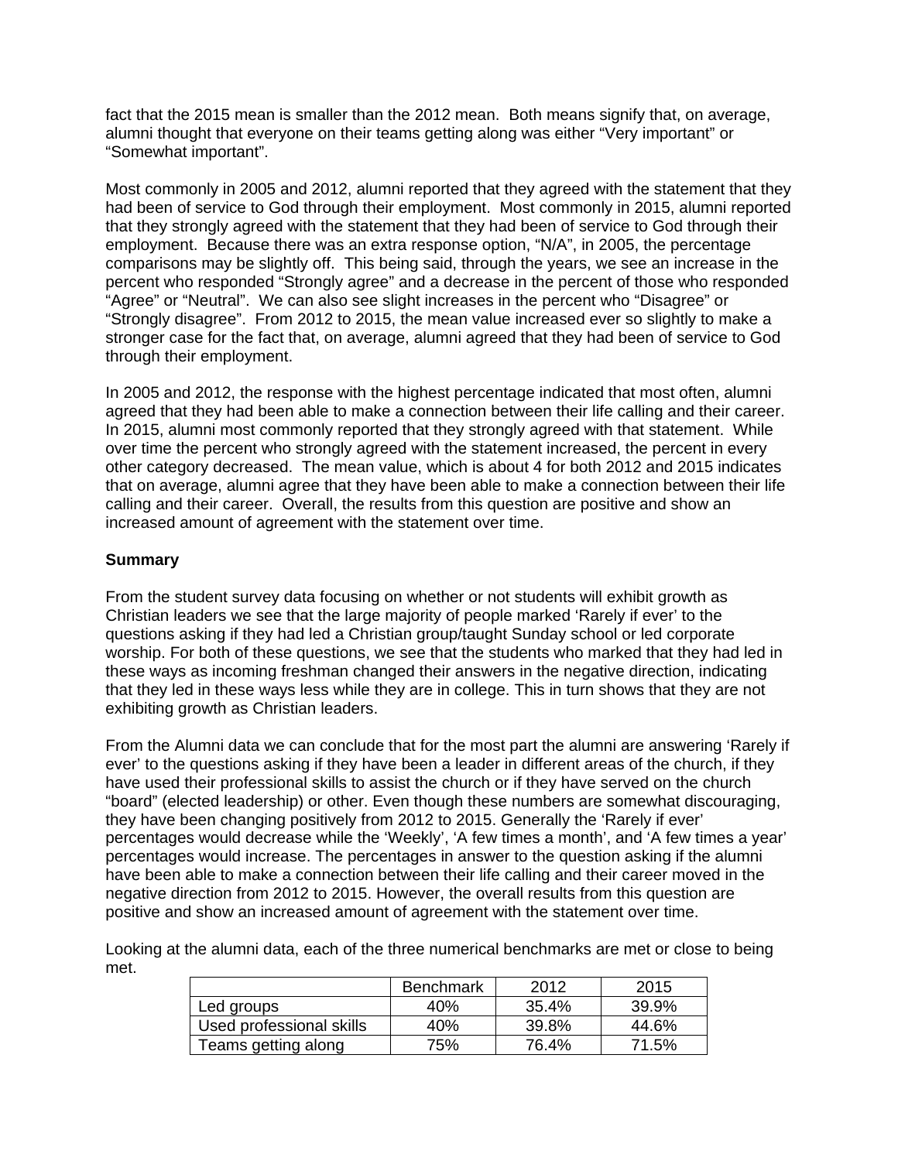fact that the 2015 mean is smaller than the 2012 mean. Both means signify that, on average, alumni thought that everyone on their teams getting along was either "Very important" or "Somewhat important".

Most commonly in 2005 and 2012, alumni reported that they agreed with the statement that they had been of service to God through their employment. Most commonly in 2015, alumni reported that they strongly agreed with the statement that they had been of service to God through their employment. Because there was an extra response option, "N/A", in 2005, the percentage comparisons may be slightly off. This being said, through the years, we see an increase in the percent who responded "Strongly agree" and a decrease in the percent of those who responded "Agree" or "Neutral". We can also see slight increases in the percent who "Disagree" or "Strongly disagree". From 2012 to 2015, the mean value increased ever so slightly to make a stronger case for the fact that, on average, alumni agreed that they had been of service to God through their employment.

In 2005 and 2012, the response with the highest percentage indicated that most often, alumni agreed that they had been able to make a connection between their life calling and their career. In 2015, alumni most commonly reported that they strongly agreed with that statement. While over time the percent who strongly agreed with the statement increased, the percent in every other category decreased. The mean value, which is about 4 for both 2012 and 2015 indicates that on average, alumni agree that they have been able to make a connection between their life calling and their career. Overall, the results from this question are positive and show an increased amount of agreement with the statement over time.

# **Summary**

From the student survey data focusing on whether or not students will exhibit growth as Christian leaders we see that the large majority of people marked 'Rarely if ever' to the questions asking if they had led a Christian group/taught Sunday school or led corporate worship. For both of these questions, we see that the students who marked that they had led in these ways as incoming freshman changed their answers in the negative direction, indicating that they led in these ways less while they are in college. This in turn shows that they are not exhibiting growth as Christian leaders.

From the Alumni data we can conclude that for the most part the alumni are answering 'Rarely if ever' to the questions asking if they have been a leader in different areas of the church, if they have used their professional skills to assist the church or if they have served on the church "board" (elected leadership) or other. Even though these numbers are somewhat discouraging, they have been changing positively from 2012 to 2015. Generally the 'Rarely if ever' percentages would decrease while the 'Weekly', 'A few times a month', and 'A few times a year' percentages would increase. The percentages in answer to the question asking if the alumni have been able to make a connection between their life calling and their career moved in the negative direction from 2012 to 2015. However, the overall results from this question are positive and show an increased amount of agreement with the statement over time.

Looking at the alumni data, each of the three numerical benchmarks are met or close to being met.

|                          | <b>Benchmark</b> | 2012  | 2015  |
|--------------------------|------------------|-------|-------|
| Led groups               | 40%              | 35.4% | 39.9% |
| Used professional skills | 40%              | 39.8% | 44.6% |
| Teams getting along      | 75%              | 76.4% | 71.5% |
|                          |                  |       |       |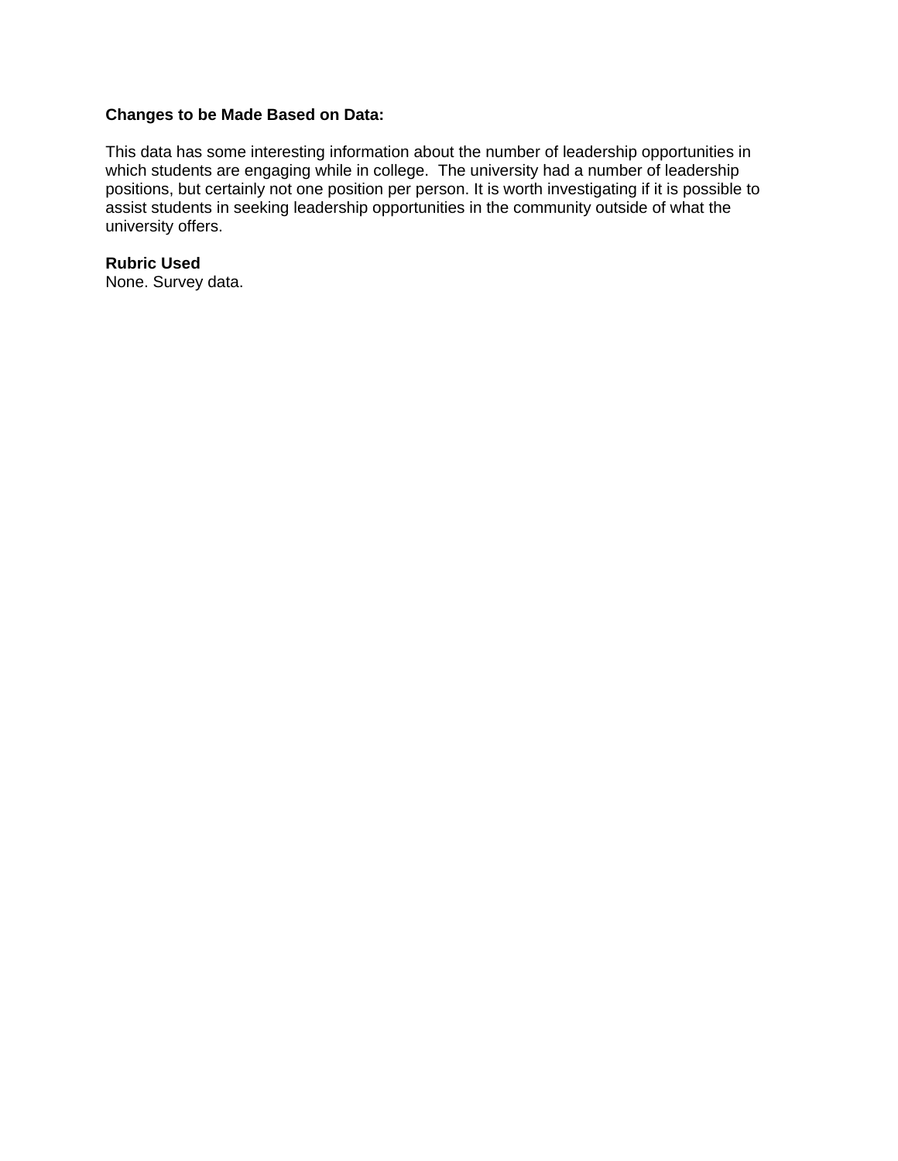# **Changes to be Made Based on Data:**

This data has some interesting information about the number of leadership opportunities in which students are engaging while in college. The university had a number of leadership positions, but certainly not one position per person. It is worth investigating if it is possible to assist students in seeking leadership opportunities in the community outside of what the university offers.

**Rubric Used**  None. Survey data.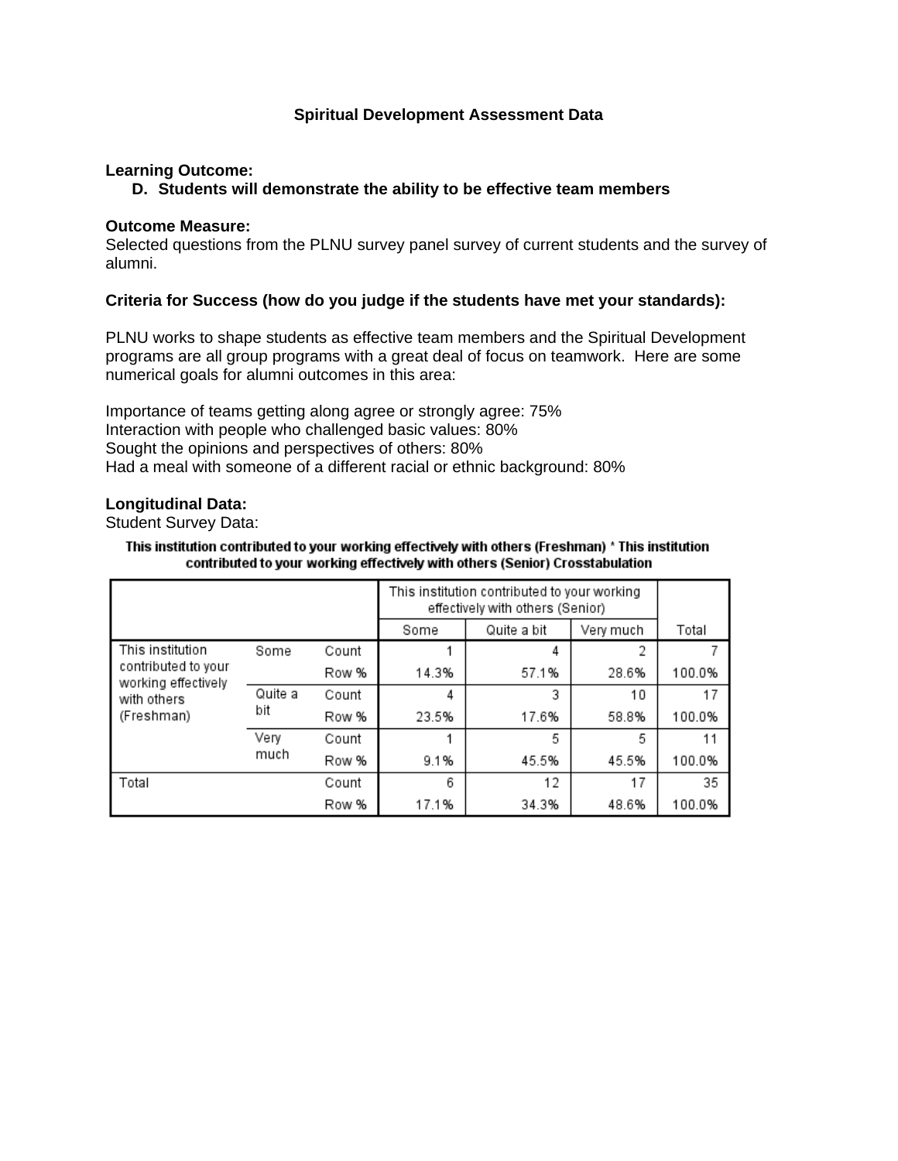# **Spiritual Development Assessment Data**

# **Learning Outcome:**

#### **D. Students will demonstrate the ability to be effective team members**

#### **Outcome Measure:**

Selected questions from the PLNU survey panel survey of current students and the survey of alumni.

# **Criteria for Success (how do you judge if the students have met your standards):**

PLNU works to shape students as effective team members and the Spiritual Development programs are all group programs with a great deal of focus on teamwork. Here are some numerical goals for alumni outcomes in this area:

Importance of teams getting along agree or strongly agree: 75% Interaction with people who challenged basic values: 80% Sought the opinions and perspectives of others: 80% Had a meal with someone of a different racial or ethnic background: 80%

#### **Longitudinal Data:**

Student Survey Data:

#### This institution contributed to your working effectively with others (Freshman) \* This institution contributed to your working effectively with others (Senior) Crosstabulation

|                                                  |         |       | This institution contributed to your working<br>effectively with others (Senior) |             |           |        |
|--------------------------------------------------|---------|-------|----------------------------------------------------------------------------------|-------------|-----------|--------|
|                                                  |         |       | Some                                                                             | Quite a bit | Very much | Total  |
| This institution                                 | Some    | Count |                                                                                  | 4           | 2         |        |
| contributed to your<br>working effectively       |         | Row % | 14.3%                                                                            | 57.1%       | 28.6%     | 100.0% |
| with others<br>bit<br>(Freshman)<br>Very<br>much | Quite a | Count | 4                                                                                | 3           | 10        | 17     |
|                                                  |         | Row % | 23.5%                                                                            | 17.6%       | 58.8%     | 100.0% |
|                                                  |         | Count |                                                                                  | 5           | 5         | 11     |
|                                                  |         | Row % | 9.1%                                                                             | 45.5%       | 45.5%     | 100.0% |
| Total                                            |         | Count | 6                                                                                | 12          | 17        | 35     |
|                                                  |         | Row % | 17.1%                                                                            | 34.3%       | 48.6%     | 100.0% |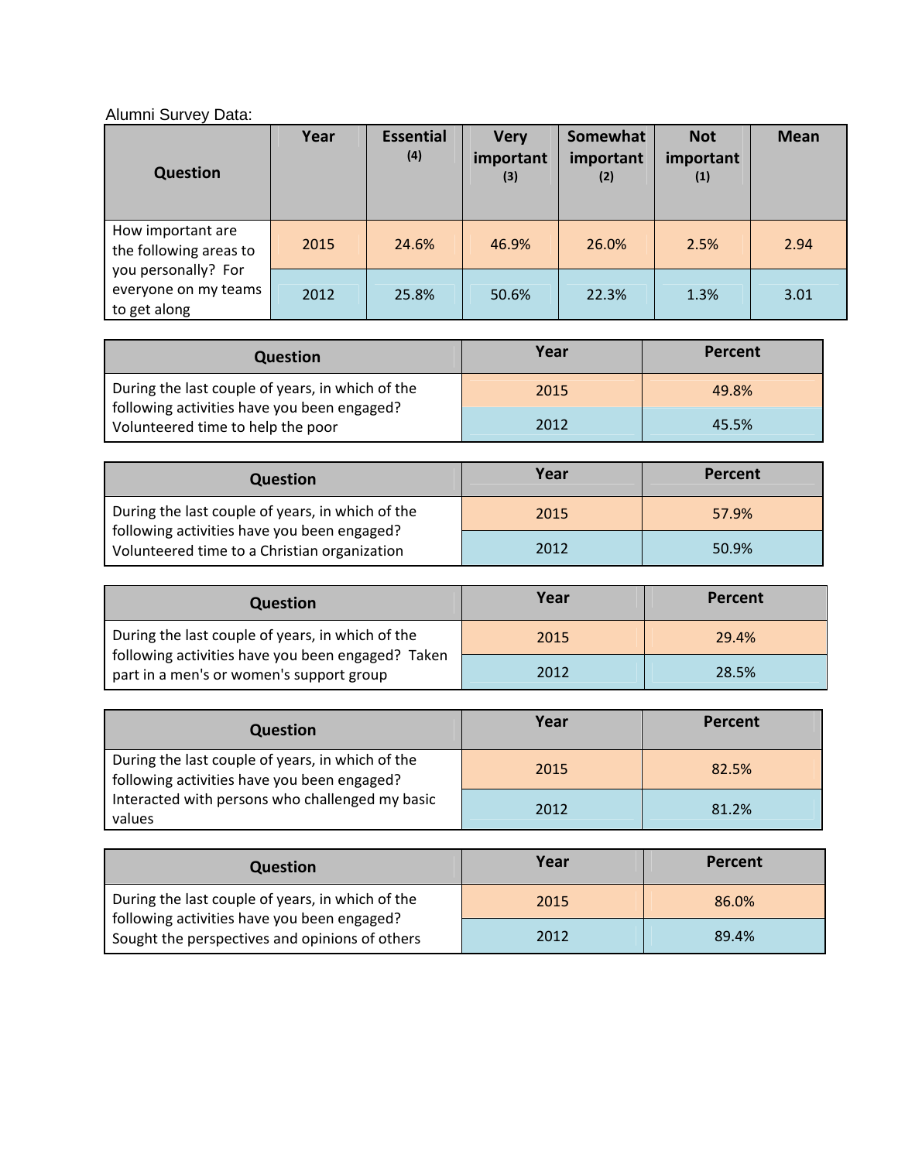# Alumni Survey Data:

| <b>Question</b>                                             | Year | <b>Essential</b><br>(4) | <b>Very</b><br>important<br>(3) | Somewhat<br>important<br>(2) | <b>Not</b><br>important<br>(1) | <b>Mean</b> |
|-------------------------------------------------------------|------|-------------------------|---------------------------------|------------------------------|--------------------------------|-------------|
| How important are<br>the following areas to                 | 2015 | 24.6%                   | 46.9%                           | 26.0%                        | 2.5%                           | 2.94        |
| you personally? For<br>everyone on my teams<br>to get along | 2012 | 25.8%                   | 50.6%                           | 22.3%                        | 1.3%                           | 3.01        |

| Question                                                                         | Year | Percent |
|----------------------------------------------------------------------------------|------|---------|
| During the last couple of years, in which of the                                 | 2015 | 49.8%   |
| following activities have you been engaged?<br>Volunteered time to help the poor | 2012 | 45.5%   |

| <b>Question</b>                                                                                 | Year | Percent |
|-------------------------------------------------------------------------------------------------|------|---------|
| During the last couple of years, in which of the<br>following activities have you been engaged? | 2015 | 57.9%   |
| Volunteered time to a Christian organization                                                    | 2012 | 50.9%   |

| <b>Question</b>                                                                               | Year | Percent |
|-----------------------------------------------------------------------------------------------|------|---------|
| During the last couple of years, in which of the                                              | 2015 | 29.4%   |
| following activities have you been engaged? Taken<br>part in a men's or women's support group | 2012 | 28.5%   |

| <b>Question</b>                                                                                   | Year | Percent |
|---------------------------------------------------------------------------------------------------|------|---------|
| During the last couple of years, in which of the<br>  following activities have you been engaged? | 2015 | 82.5%   |
| Interacted with persons who challenged my basic<br>values                                         | 2012 | 81.2%   |

| <b>Question</b>                                                                                                                                   | Year | Percent |
|---------------------------------------------------------------------------------------------------------------------------------------------------|------|---------|
| During the last couple of years, in which of the<br>following activities have you been engaged?<br>Sought the perspectives and opinions of others | 2015 | 86.0%   |
|                                                                                                                                                   | 2012 | 89.4%   |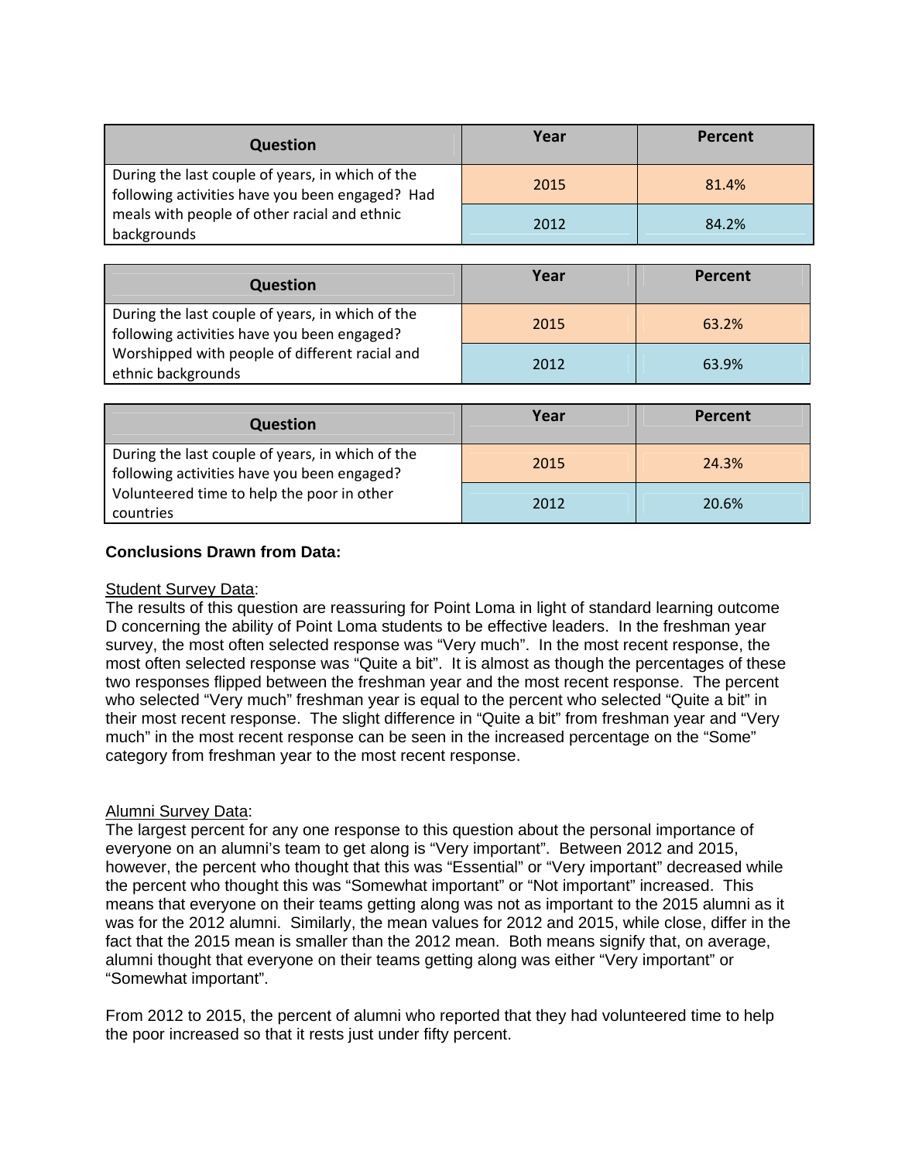| <b>Question</b>                                                                                                                                                    | Year | Percent |
|--------------------------------------------------------------------------------------------------------------------------------------------------------------------|------|---------|
| During the last couple of years, in which of the<br>following activities have you been engaged? Had<br>meals with people of other racial and ethnic<br>backgrounds | 2015 | 81.4%   |
|                                                                                                                                                                    | 2012 | 84.2%   |

| <b>Question</b>                                                                                                                                                         | Year | Percent |
|-------------------------------------------------------------------------------------------------------------------------------------------------------------------------|------|---------|
| During the last couple of years, in which of the<br>following activities have you been engaged?<br>Worshipped with people of different racial and<br>ethnic backgrounds | 2015 | 63.2%   |
|                                                                                                                                                                         | 2012 | 63.9%   |

| <b>Question</b>                                                                                                                                            | Year | Percent |
|------------------------------------------------------------------------------------------------------------------------------------------------------------|------|---------|
| During the last couple of years, in which of the<br>following activities have you been engaged?<br>Volunteered time to help the poor in other<br>countries | 2015 | 24.3%   |
|                                                                                                                                                            | 2012 | 20.6%   |

# **Conclusions Drawn from Data:**

# **Student Survey Data:**

The results of this question are reassuring for Point Loma in light of standard learning outcome D concerning the ability of Point Loma students to be effective leaders. In the freshman year survey, the most often selected response was "Very much". In the most recent response, the most often selected response was "Quite a bit". It is almost as though the percentages of these two responses flipped between the freshman year and the most recent response. The percent who selected "Very much" freshman year is equal to the percent who selected "Quite a bit" in their most recent response. The slight difference in "Quite a bit" from freshman year and "Very much" in the most recent response can be seen in the increased percentage on the "Some" category from freshman year to the most recent response.

# Alumni Survey Data:

The largest percent for any one response to this question about the personal importance of everyone on an alumni's team to get along is "Very important". Between 2012 and 2015, however, the percent who thought that this was "Essential" or "Very important" decreased while the percent who thought this was "Somewhat important" or "Not important" increased. This means that everyone on their teams getting along was not as important to the 2015 alumni as it was for the 2012 alumni. Similarly, the mean values for 2012 and 2015, while close, differ in the fact that the 2015 mean is smaller than the 2012 mean. Both means signify that, on average, alumni thought that everyone on their teams getting along was either "Very important" or "Somewhat important".

From 2012 to 2015, the percent of alumni who reported that they had volunteered time to help the poor increased so that it rests just under fifty percent.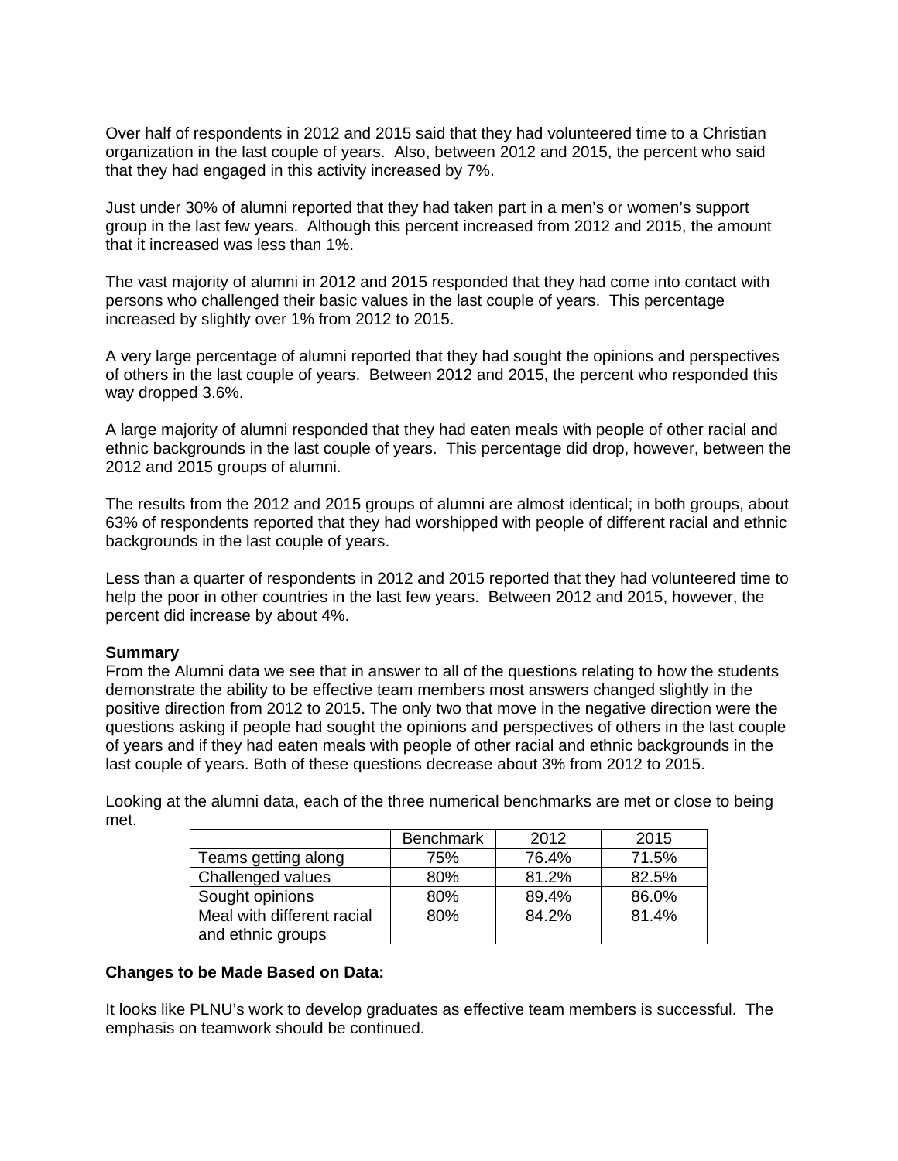Over half of respondents in 2012 and 2015 said that they had volunteered time to a Christian organization in the last couple of years. Also, between 2012 and 2015, the percent who said that they had engaged in this activity increased by 7%.

Just under 30% of alumni reported that they had taken part in a men's or women's support group in the last few years. Although this percent increased from 2012 and 2015, the amount that it increased was less than 1%.

The vast majority of alumni in 2012 and 2015 responded that they had come into contact with persons who challenged their basic values in the last couple of years. This percentage increased by slightly over 1% from 2012 to 2015.

A very large percentage of alumni reported that they had sought the opinions and perspectives of others in the last couple of years. Between 2012 and 2015, the percent who responded this way dropped 3.6%.

A large majority of alumni responded that they had eaten meals with people of other racial and ethnic backgrounds in the last couple of years. This percentage did drop, however, between the 2012 and 2015 groups of alumni.

The results from the 2012 and 2015 groups of alumni are almost identical; in both groups, about 63% of respondents reported that they had worshipped with people of different racial and ethnic backgrounds in the last couple of years.

Less than a quarter of respondents in 2012 and 2015 reported that they had volunteered time to help the poor in other countries in the last few years. Between 2012 and 2015, however, the percent did increase by about 4%.

#### **Summary**

From the Alumni data we see that in answer to all of the questions relating to how the students demonstrate the ability to be effective team members most answers changed slightly in the positive direction from 2012 to 2015. The only two that move in the negative direction were the questions asking if people had sought the opinions and perspectives of others in the last couple of years and if they had eaten meals with people of other racial and ethnic backgrounds in the last couple of years. Both of these questions decrease about 3% from 2012 to 2015.

Looking at the alumni data, each of the three numerical benchmarks are met or close to being met.

|                            | <b>Benchmark</b> | 2012  | 2015  |
|----------------------------|------------------|-------|-------|
| Teams getting along        | 75%              | 76.4% | 71.5% |
| Challenged values          | 80%              | 81.2% | 82.5% |
| Sought opinions            | 80%              | 89.4% | 86.0% |
| Meal with different racial | 80%              | 84.2% | 81.4% |
| and ethnic groups          |                  |       |       |

#### **Changes to be Made Based on Data:**

It looks like PLNU's work to develop graduates as effective team members is successful. The emphasis on teamwork should be continued.